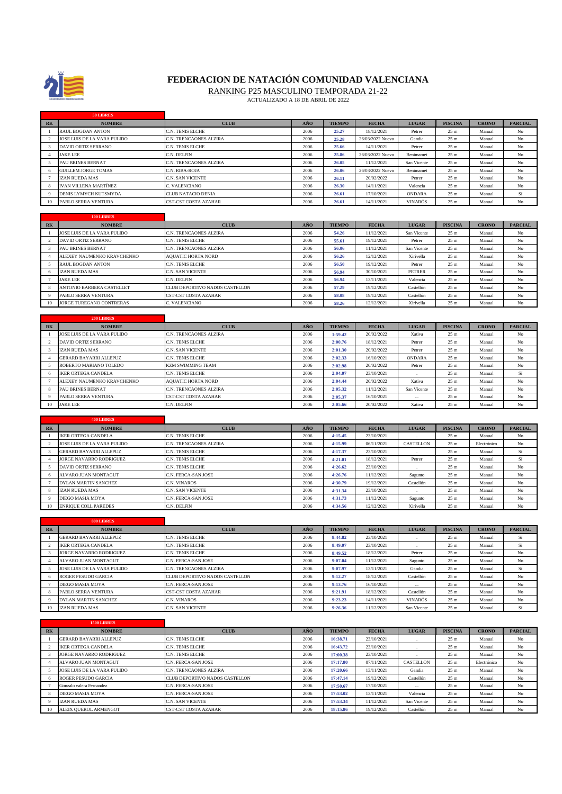

**50 LIBRES**

## **FEDERACION DE NATACIÓN COMUNIDAD VALENCIANA**

RANKING P25 MASCULINO TEMPORADA 21-22

-

Ĩ.

ACTUALIZADO A 18 DE ABRIL DE 2022

| R <sub>K</sub>         | <b>NOMBRE</b>               | <b>CLUB</b>                    | <b>ANO</b> | <b>TIEMPO</b> | <b>FECHA</b>     | <b>LUGAR</b>     | <b>PISCINA</b>  | <b>CRONO</b> | <b>PARCIAL</b> |
|------------------------|-----------------------------|--------------------------------|------------|---------------|------------------|------------------|-----------------|--------------|----------------|
| 1                      | RAUL BOGDAN ANTON           | C.N. TENIS ELCHE               | 2006       | 25.27         | 18/12/2021       | Petrer           | 25 m            | Manual       | No             |
| 2                      | JOSE LUIS DE LA VARA PULIDO | C.N. TRENCAONES ALZIRA         | 2006       | 25.28         | 26/03/2022 Nuevo | Gandia           | 25 <sub>m</sub> | Manual       | No             |
| $\overline{3}$         | DAVID ORTIZ SERRANO         | C.N. TENIS ELCHE               | 2006       | 25.66         | 14/11/2021       | Petrer           | 25 m            | Manual       | No             |
|                        |                             |                                |            |               |                  |                  |                 |              |                |
| $\overline{4}$         | <b>JAKE LEE</b>             | C.N. DELFIN                    | 2006       | 25.86         | 26/03/2022 Nuevo | <b>Benimamet</b> | 25 m            | Manual       | $_{\rm No}$    |
| 5                      | PAU BRINES BERNAT           | C.N. TRENCAONES ALZIRA         | 2006       | 26.05         | 11/12/2021       | San Vicente      | 25 m            | Manual       | No             |
| 6                      | <b>GUILLEM JORGE TOMAS</b>  | C.N. RIBA-ROJA                 | 2006       | 26.06         | 26/03/2022 Nuevo | Benimamet        | 25 m            | Manual       | $_{\rm No}$    |
| $\tau$                 | IZAN RUEDA MAS              | C.N. SAN VICENTE               | 2006       | 26.11         | 20/02/2022       | Petrer           | 25 m            | Manual       | No             |
| 8                      | IVAN VILLENA MARTÍNEZ       | C. VALENCIANO                  | 2006       | 26.30         | 14/11/2021       | Valencia         | 25 m            | Manual       | No             |
| 9                      | DENIS LYMYCH KUTSMYDA       | CLUB NATACIO DENIA             | 2006       | 26.61         | 17/10/2021       | <b>ONDARA</b>    | 25 <sub>m</sub> | Manual       | Sí             |
|                        |                             |                                | 2006       |               |                  |                  |                 |              |                |
| 10                     | PABLO SERRA VENTURA         | CST-CST COSTA AZAHAR           |            | 26.61         | 14/11/2021       | <b>VINARÓS</b>   | 25 m            | Manual       | $_{\rm No}$    |
|                        |                             |                                |            |               |                  |                  |                 |              |                |
|                        | 100 LIBRES                  |                                |            |               |                  |                  |                 |              |                |
| <b>RK</b>              | <b>NOMBRE</b>               | <b>CLUB</b>                    | AÑO        | <b>TIEMPO</b> | <b>FECHA</b>     | <b>LUGAR</b>     | <b>PISCINA</b>  | <b>CRONO</b> | <b>PARCIAL</b> |
|                        | JOSE LUIS DE LA VARA PULIDO | C.N. TRENCAONES ALZIRA         | 2006       | 54.26         | 11/12/2021       | San Vicente      | 25 m            | Manual       | No             |
| $\mathfrak{D}$         | DAVID ORTIZ SERRANO         | C.N. TENIS ELCHE               | 2006       | 55.61         | 19/12/2021       | ${\rm Peter}$    | 25 <sub>m</sub> | Manual       | No             |
| 3                      | PAU BRINES BERNAT           |                                | 2006       | 56.06         |                  |                  | 25 m            | Manual       | No             |
|                        |                             | C.N. TRENCAONES ALZIRA         |            |               | 11/12/2021       | San Vicente      |                 |              |                |
| $\overline{4}$         | ALEXEY NAUMENKO KRAVCHENKO  | <b>AQUATIC HORTA NORD</b>      | 2006       | 56.26         | 12/12/2021       | Xirivella        | 25 m            | Manual       | No             |
| 5                      | RAUL BOGDAN ANTON           | C.N. TENIS ELCHE               | 2006       | 56.50         | 19/12/2021       | Petrer           | 25 m            | Manual       | No             |
| 6                      | <b>IZAN RUEDA MAS</b>       | C.N. SAN VICENTE               | 2006       | 56.94         | 30/10/2021       | <b>PETRER</b>    | $25~\mathrm{m}$ | Manual       | No             |
| $\overline{7}$         | <b>JAKE LEE</b>             | C.N. DELFIN                    | 2006       | 56.94         | 13/11/2021       | Valencia         | 25 m            | Manual       | No             |
| $\bf8$                 | ANTONIO BARBERA CASTELLET   | CLUB DEPORTIVO NADOS CASTELLON | 2006       | 57.29         | 19/12/2021       | Castellón        | 25 m            | Manual       | No             |
| 9                      | PABLO SERRA VENTURA         | CST-CST COSTA AZAHAR           | 2006       | 58.08         | 19/12/2021       | Castellón        | 25 m            | Manual       | No             |
| 10                     | JORGE TUREGANO CONTRERAS    | C. VALENCIANO                  | 2006       | 58.26         | 12/12/2021       | Xirivella        | 25 <sub>m</sub> | Manual       | No             |
|                        |                             |                                |            |               |                  |                  |                 |              |                |
|                        |                             |                                |            |               |                  |                  |                 |              |                |
|                        | 200 LIBRES                  |                                |            |               |                  |                  |                 |              |                |
| <b>RK</b>              | <b>NOMBRE</b>               | <b>CLUB</b>                    | AÑO        | <b>TIEMPO</b> | <b>FECHA</b>     | <b>LUGAR</b>     | <b>PISCINA</b>  | <b>CRONO</b> | <b>PARCIAL</b> |
|                        | JOSE LUIS DE LA VARA PULIDO | C.N. TRENCAONES ALZIRA         | 2006       | 1:59.42       | 20/02/2022       | Xativa           | 25 m            | Manual       | No             |
| 2                      | <b>DAVID ORTIZ SERRANO</b>  | C.N. TENIS ELCHE               | 2006       | 2:00.76       | 18/12/2021       | Petrer           | 25 m            | Manual       | No             |
| $\overline{3}$         | IZAN RUEDA MAS              | C.N. SAN VICENTE               | 2006       | 2:01.30       | 20/02/2022       | Petrer           | 25 m            | Manual       | No             |
| $\overline{4}$         | GERARD BAYARRI ALLEPUZ      | C.N. TENIS ELCHE               | 2006       | 2:02.33       | 16/10/2021       | ONDARA           | 25 <sub>m</sub> | Manual       | No             |
|                        |                             |                                |            |               |                  |                  |                 |              |                |
| 5                      | ROBERTO MARIANO TOLEDO      | KZM SWIMMING TEAM              | 2006       | 2:02.98       | 20/02/2022       | Petrer           | 25 m            | Manual       | No             |
| 6                      | <b>IKER ORTEGA CANDELA</b>  | C.N. TENIS ELCHE               | 2006       | 2:04.07       | 23/10/2021       |                  | 25 <sub>m</sub> | Manual       | Sí             |
| $\overline{7}$         | ALEXEY NAUMENKO KRAVCHENKO  | AQUATIC HORTA NORD             | 2006       | 2:04.44       | 20/02/2022       | Xativa           | 25m             | Manual       | $_{\rm No}$    |
| 8                      | PAU BRINES BERNAT           | C.N. TRENCAONES ALZIRA         | 2006       | 2:05.32       | 11/12/2021       | San Vicente      | 25 m            | Manual       | No             |
| 9                      | PABLO SERRA VENTURA         | CST-CST COSTA AZAHAR           | 2006       | 2:05.37       | 16/10/2021       | $\cdots$         | 25 m            | Manual       | $_{\rm No}$    |
| 10                     | <b>JAKE LEE</b>             | C.N. DELFIN                    | 2006       | 2:05.66       | 20/02/2022       | Xativa           | 25 <sub>m</sub> | Manual       | No             |
|                        |                             |                                |            |               |                  |                  |                 |              |                |
|                        | <b>400 LIBRES</b>           |                                |            |               |                  |                  |                 |              |                |
|                        |                             |                                |            |               |                  |                  |                 |              |                |
| R <sub>K</sub>         | <b>NOMBRE</b>               | <b>CLUB</b>                    | AÑO        | <b>TIEMPO</b> | <b>FECHA</b>     | <b>LUGAR</b>     | <b>PISCINA</b>  | <b>CRONO</b> | <b>PARCIAL</b> |
|                        | <b>IKER ORTEGA CANDELA</b>  | C.N. TENIS ELCHE               | 2006       | 4:15.45       | 23/10/2021       |                  | 25 m            | Manual       | No             |
| $\overline{c}$         | JOSE LUIS DE LA VARA PULIDO | C.N. TRENCAONES ALZIRA         | 2006       | 4:15.99       | 06/11/2021       | CASTELLON        | 25 m            | Electrónico  | No             |
| 3                      | GERARD BAYARRI ALLEPUZ      | C.N. TENIS ELCHE               | 2006       | 4:17.37       | 23/10/2021       |                  | 25 m            | Manual       | Sí             |
| $\overline{4}$         | JORGE NAVARRO RODRIGUEZ     | C.N. TENIS ELCHE               | 2006       | 4:21.01       | 18/12/2021       | Petrer           | 25 m            | Manual       | Sí             |
| 5                      | DAVID ORTIZ SERRANO         | C.N. TENIS ELCHE               | 2006       | 4:26.62       | 23/10/2021       |                  | 25 <sub>m</sub> | Manual       | No             |
| 6                      | ALVARO JUAN MONTAGUT        | C.N. FERCA-SAN JOSE            | 2006       | 4:26.76       | 11/12/2021       | Sagunto          | 25 m            | Manual       | No             |
| $\overline{7}$         | DYLAN MARTIN SANCHEZ        | C.N. VINAROS                   | 2006       | 4:30.79       | 19/12/2021       | Castellón        | 25m             | Manual       | No             |
|                        |                             |                                |            |               |                  |                  |                 |              |                |
| 8                      | IZAN RUEDA MAS              | C.N. SAN VICENTE               | 2006       | 4:31.34       | 23/10/2021       |                  | 25 m            | Manual       | No             |
| 9                      | DIEGO MASIA MOYA            | C.N. FERCA-SAN JOSE            | 2006       | 4:31.73       | 11/12/2021       | Sagunto          | 25 m            | Manual       | $_{\rm No}$    |
| 10                     | ENRIQUE COLL PAREDES        | C.N. DELFIN                    | 2006       | 4:34.56       | 12/12/2021       | Xirivella        | 25 m            | Manual       | No             |
|                        |                             |                                |            |               |                  |                  |                 |              |                |
|                        | 800 LIBRES                  |                                |            |               |                  |                  |                 |              |                |
| $\mathbf{R}\mathbf{K}$ | <b>NOMBRE</b>               | CLUB                           | AÑO        | <b>TIEMPO</b> | <b>FECHA</b>     | $LUGAR$          | <b>PISCINA</b>  | <b>CRONO</b> | <b>PARCIAL</b> |
| $\mathbf{1}$           | GERARD BAYARRI ALLEPUZ      | C.N. TENIS ELCHE               | 2006       | 8:44.82       | 23/10/2021       |                  | 25 m            | Manual       | Sí             |
|                        |                             |                                |            |               |                  |                  |                 |              |                |
| $\overline{2}$         | <b>IKER ORTEGA CANDELA</b>  | C.N. TENIS ELCHE               | 2006       | 8:49.07       | 23/10/2021       |                  | 25m             | Manual       | Sí             |
| $\mathbf{3}$           | JORGE NAVARRO RODRIGUEZ     | C.N. TENIS ELCHE               | 2006       | 8:49.52       | 18/12/2021       | Petrer           | 25 m            | Manual       | No             |
| $\overline{4}$         | ALVARO JUAN MONTAGUT        | C.N. FERCA-SAN JOSE            | 2006       | 9:07.04       | 11/12/2021       | Sagunto          | 25 <sub>m</sub> | Manual       | $_{\rm No}$    |
| 5                      | JOSE LUIS DE LA VARA PULIDO | C.N. TRENCAONES ALZIRA         | 2006       | 9:07.97       | 13/11/2021       | Gandia           | 25 <sub>m</sub> | Manual       | Sí             |
| 6                      | ROGER PESUDO GARCIA         | CLUB DEPORTIVO NADOS CASTELLON | 2006       | 9:12.27       | 18/12/2021       | Castellón        | 25 m            | Manual       | $_{\rm No}$    |
| $\tau$                 | DIEGO MASIA MOYA            | C.N. FERCA-SAN JOSE            | 2006       | 9:13.76       | 16/10/2021       |                  | 25 m            | Manual       | $_{\rm No}$    |
| 8                      | PABLO SERRA VENTURA         | CST-CST COSTA AZAHAR           | 2006       | 9:21.91       | 18/12/2021       | Castellón        | 25 m            | Manual       | $_{\rm No}$    |
|                        |                             |                                |            |               |                  |                  |                 |              |                |
| 9                      | DYLAN MARTIN SANCHEZ        | C.N. VINAROS                   | 2006       | 9:23.23       | 14/11/2021       | <b>VINARÓS</b>   | 25 <sub>m</sub> | Manual       | $_{\rm No}$    |
| 10                     | <b>IZAN RUEDA MAS</b>       | C.N. SAN VICENTE               | 2006       | 9:26.36       | 11/12/2021       | San Vicente      | 25 m            | Manual       | Sí             |
|                        |                             |                                |            |               |                  |                  |                 |              |                |

|           | <b>1500 LIBRES</b>             |                                |      |               |              |                  |                 |              |                |
|-----------|--------------------------------|--------------------------------|------|---------------|--------------|------------------|-----------------|--------------|----------------|
| <b>RK</b> | <b>NOMBRE</b>                  | <b>CLUB</b>                    | AÑO  | <b>TIEMPO</b> | <b>FECHA</b> | <b>LUGAR</b>     | <b>PISCINA</b>  | <b>CRONO</b> | <b>PARCIAL</b> |
|           | <b>GERARD BAYARRI ALLEPUZ</b>  | C.N. TENIS ELCHE               | 2006 | 16:38.71      | 23/10/2021   | $\sim$           | 25 <sub>m</sub> | Manual       | No             |
|           | <b>IKER ORTEGA CANDELA</b>     | C.N. TENIS ELCHE               | 2006 | 16:43.72      | 23/10/2021   |                  | 25 <sub>m</sub> | Manual       | No             |
|           | <b>JORGE NAVARRO RODRIGUEZ</b> | C.N. TENIS ELCHE               | 2006 | 17:00.38      | 23/10/2021   |                  | 25 <sub>m</sub> | Manual       | No             |
|           | ALVARO JUAN MONTAGUT           | C.N. FERCA-SAN JOSE            | 2006 | 17:17.80      | 07/11/2021   | <b>CASTELLON</b> | 25 <sub>m</sub> | Electrónico  | No             |
|           | JOSE LUIS DE LA VARA PULIDO    | C.N. TRENCAONES ALZIRA         | 2006 | 17:20.66      | 13/11/2021   | Gandia           | 25 <sub>m</sub> | Manual       | No             |
|           | <b>ROGER PESUDO GARCIA</b>     | CLUB DEPORTIVO NADOS CASTELLON | 2006 | 17:47.14      | 19/12/2021   | Castellón        | 25 <sub>m</sub> | Manual       | No             |
|           | Gonzalo valera Fernandez       | C.N. FERCA-SAN JOSE            | 2006 | 17:50.67      | 17/10/2021   | $\cdots$         | 25 <sub>m</sub> | Manual       | No             |
|           | DIEGO MASIA MOYA               | C.N. FERCA-SAN JOSE            | 2006 | 17:53.02      | 13/11/2021   | Valencia         | 25 <sub>m</sub> | Manual       | No             |
|           | <b>IZAN RUEDA MAS</b>          | C.N. SAN VICENTE               | 2006 | 17:53.34      | 11/12/2021   | San Vicente      | 25 <sub>m</sub> | Manual       | No             |
|           | ALEIX QUEROL ARMENGOT          | <b>CST-CST COSTA AZAHAR</b>    | 2006 | 18:15.86      | 19/12/2021   | Castellón        | 25 <sub>m</sub> | Manual       | No             |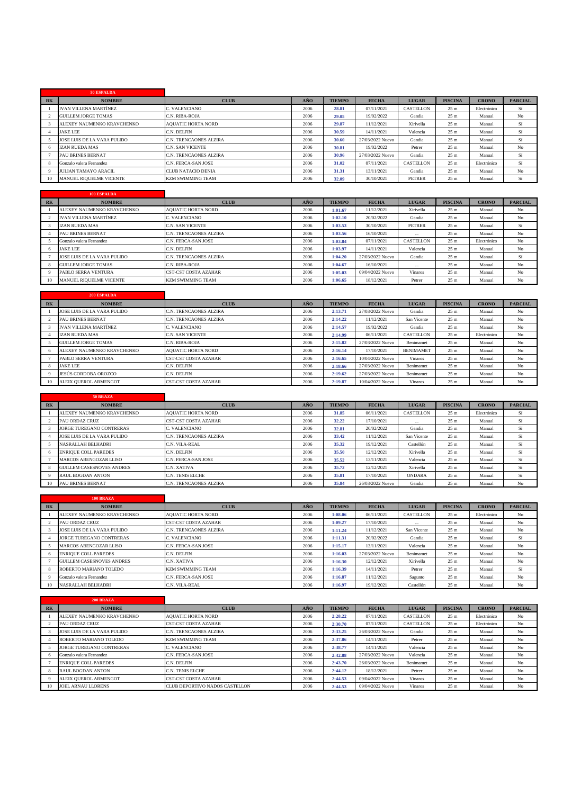|             | 50 ESPALDA                     |                           |      |               |                  |               |                 |              |                |
|-------------|--------------------------------|---------------------------|------|---------------|------------------|---------------|-----------------|--------------|----------------|
| <b>RK</b>   | <b>NOMBRE</b>                  | <b>CLUB</b>               | AÑO  | <b>TIEMPO</b> | <b>FECHA</b>     | <b>LUGAR</b>  | <b>PISCINA</b>  | <b>CRONO</b> | <b>PARCIAL</b> |
|             | <b>IVAN VILLENA MARTÍNEZ</b>   | C. VALENCIANO             | 2006 | 28.81         | 07/11/2021       | CASTELLON     | 25 <sub>m</sub> | Electrónico  | Sí             |
|             | <b>GUILLEM JORGE TOMAS</b>     | C.N. RIBA-ROJA            | 2006 | 29.05         | 19/02/2022       | Gandia        | 25 <sub>m</sub> | Manual       | No             |
|             | ALEXEY NAUMENKO KRAVCHENKO     | <b>AOUATIC HORTA NORD</b> | 2006 | 29.87         | 11/12/2021       | Xirivella     | 25 <sub>m</sub> | Manual       | Sí             |
|             | <b>JAKE LEE</b>                | C.N. DELFIN               | 2006 | 30.59         | 14/11/2021       | Valencia      | 25 <sub>m</sub> | Manual       | Sí             |
|             | JOSE LUIS DE LA VARA PULIDO    | C.N. TRENCAONES ALZIRA    | 2006 | 30.60         | 27/03/2022 Nuevo | Gandia        | 25 <sub>m</sub> | Manual       | Sí             |
|             | <b>IZAN RUEDA MAS</b>          | <b>C.N. SAN VICENTE</b>   | 2006 | 30.81         | 19/02/2022       | Petrer        | 25 <sub>m</sub> | Manual       | No             |
|             | <b>PAU BRINES BERNAT</b>       | C.N. TRENCAONES ALZIRA    | 2006 | 30.96         | 27/03/2022 Nuevo | Gandia        | 25 <sub>m</sub> | Manual       | Sí             |
|             | Gonzalo valera Fernandez       | C.N. FERCA-SAN JOSE       | 2006 | 31.02         | 07/11/2021       | CASTELLON     | 25 <sub>m</sub> | Electrónico  | Sí             |
| $\mathbf Q$ | <b>JULIAN TAMAYO ARACIL</b>    | <b>CLUB NATACIO DENIA</b> | 2006 | 31.31         | 13/11/2021       | Gandia        | 25 <sub>m</sub> | Manual       | No             |
| 10          | <b>MANUEL RIOUELME VICENTE</b> | <b>KZM SWIMMING TEAM</b>  | 2006 | 32.09         | 30/10/2021       | <b>PETRER</b> | 25 <sub>m</sub> | Manual       | Sí             |

|                 | <b>100 ESPALDA</b>           |                             |      |               |                  |               |                 |              |                |
|-----------------|------------------------------|-----------------------------|------|---------------|------------------|---------------|-----------------|--------------|----------------|
| R <sub>K</sub>  | <b>NOMBRE</b>                | <b>CLUB</b>                 | AÑO. | <b>TIEMPO</b> | <b>FECHA</b>     | <b>LUGAR</b>  | <b>PISCINA</b>  | <b>CRONO</b> | <b>PARCIAL</b> |
|                 | ALEXEY NAUMENKO KRAVCHENKO   | <b>AOUATIC HORTA NORD</b>   | 2006 | 1:01.67       | 11/12/2021       | Xirivella     | 25 <sub>m</sub> | Manual       | No             |
|                 | <b>IVAN VILLENA MARTÍNEZ</b> | C. VALENCIANO               | 2006 | 1:02.10       | 20/02/2022       | Gandia        | 25 <sub>m</sub> | Manual       | No             |
|                 | <b>IZAN RUEDA MAS</b>        | C.N. SAN VICENTE            | 2006 | 1:03.53       | 30/10/2021       | <b>PETRER</b> | 25 <sub>m</sub> | Manual       | Sí             |
|                 | <b>PAU BRINES BERNAT</b>     | C.N. TRENCAONES ALZIRA      | 2006 | 1:03.56       | 16/10/2021       | $\cdots$      | 25 <sub>m</sub> | Manual       | No             |
|                 | Gonzalo valera Fernandez     | C.N. FERCA-SAN JOSE         | 2006 | 1:03.84       | 07/11/2021       | CASTELLON     | 25 <sub>m</sub> | Electrónico  | No             |
| 6.              | <b>JAKE LEE</b>              | C.N. DELFIN                 | 2006 | 1:03.97       | 14/11/2021       | Valencia      | 25 <sub>m</sub> | Manual       | No             |
|                 | JOSE LUIS DE LA VARA PULIDO  | C.N. TRENCAONES ALZIRA      | 2006 | 1:04.20       | 27/03/2022 Nuevo | Gandia        | 25 <sub>m</sub> | Manual       | Sí             |
|                 | GUILLEM JORGE TOMAS          | C.N. RIBA-ROJA              | 2006 | 1:04.67       | 16/10/2021       | $\cdots$      | 25 <sub>m</sub> | Manual       | No             |
|                 | PABLO SERRA VENTURA          | <b>CST-CST COSTA AZAHAR</b> | 2006 | 1:05.03       | 09/04/2022 Nuevo | Vinaros       | 25 <sub>m</sub> | Manual       | No             |
| 10 <sup>1</sup> | MANUEL RIQUELME VICENTE      | <b>KZM SWIMMING TEAM</b>    | 2006 | 1:06.65       | 18/12/2021       | Petrer        | 25 <sub>m</sub> | Manual       | No             |

|           | <b>200 ESPALDA</b>           |                             |      |               |                  |                  |                 |              |                |
|-----------|------------------------------|-----------------------------|------|---------------|------------------|------------------|-----------------|--------------|----------------|
| <b>RK</b> | <b>NOMBRE</b>                | <b>CLUB</b>                 | AÑO  | <b>TIEMPO</b> | <b>FECHA</b>     | <b>LUGAR</b>     | <b>PISCINA</b>  | <b>CRONO</b> | <b>PARCIAL</b> |
|           | JOSE LUIS DE LA VARA PULIDO  | C.N. TRENCAONES ALZIRA      | 2006 | 2:13.71       | 27/03/2022 Nuevo | Gandia           | 25 <sub>m</sub> | Manual       | No             |
|           | <b>PAU BRINES BERNAT</b>     | C.N. TRENCAONES ALZIRA      | 2006 | 2:14.22       | 11/12/2021       | San Vicente      | 25 <sub>m</sub> | Manual       | No             |
|           | <b>IVAN VILLENA MARTÍNEZ</b> | C. VALENCIANO               | 2006 | 2:14.57       | 19/02/2022       | Gandia           | 25 <sub>m</sub> | Manual       | No             |
|           | <b>IZAN RUEDA MAS</b>        | <b>C.N. SAN VICENTE</b>     | 2006 | 2:14.99       | 06/11/2021       | <b>CASTELLON</b> | 25 <sub>m</sub> | Electrónico  | No             |
|           | <b>GUILLEM JORGE TOMAS</b>   | <b>C.N. RIBA-ROJA</b>       | 2006 | 2:15.82       | 27/03/2022 Nuevo | Benimamet        | 25 <sub>m</sub> | Manual       | No             |
| 6         | ALEXEY NAUMENKO KRAVCHENKO   | <b>AOUATIC HORTA NORD</b>   | 2006 | 2:16.14       | 17/10/2021       | <b>BENIMAMET</b> | 25 <sub>m</sub> | Manual       | No             |
|           | PABLO SERRA VENTURA          | <b>CST-CST COSTA AZAHAR</b> | 2006 | 2:16.65       | 10/04/2022 Nuevo | Vinaros          | 25 <sub>m</sub> | Manual       | No             |
|           | <b>JAKE LEE</b>              | C.N. DELFIN                 | 2006 | 2:18.66       | 27/03/2022 Nuevo | Benimamet        | 25 <sub>m</sub> | Manual       | No             |
|           | JESÚS CORDOBA OROZCO         | C.N. DELFIN                 | 2006 | 2:19.62       | 27/03/2022 Nuevo | Benimamet        | 25 <sub>m</sub> | Manual       | No             |
| 10        | ALEIX OUEROL ARMENGOT        | <b>CST-CST COSTA AZAHAR</b> | 2006 | 2:19.87       | 10/04/2022 Nuevo | <b>Vinaros</b>   | 25 <sub>m</sub> | Manual       | N <sub>o</sub> |

|           | 50 BRAZA                         |                             |      |               |                  |               |                 |              |                |
|-----------|----------------------------------|-----------------------------|------|---------------|------------------|---------------|-----------------|--------------|----------------|
| <b>RK</b> | <b>NOMBRE</b>                    | <b>CLUB</b>                 | AÑO  | <b>TIEMPO</b> | <b>FECHA</b>     | <b>LUGAR</b>  | <b>PISCINA</b>  | <b>CRONO</b> | <b>PARCIAL</b> |
|           | ALEXEY NAUMENKO KRAVCHENKO       | <b>AOUATIC HORTA NORD</b>   | 2006 | 31.85         | 06/11/2021       | CASTELLON     | 25 <sub>m</sub> | Electrónico  | Sí             |
|           | <b>PAU ORDAZ CRUZ</b>            | <b>CST-CST COSTA AZAHAR</b> | 2006 | 32.22         | 17/10/2021       | $\cdots$      | 25 <sub>m</sub> | Manual       | Sí             |
|           | <b>JORGE TUREGANO CONTRERAS</b>  | C. VALENCIANO               | 2006 | 32.81         | 20/02/2022       | Gandia        | 25 <sub>m</sub> | Manual       | Sí             |
|           | JOSE LUIS DE LA VARA PULIDO      | C.N. TRENCAONES ALZIRA      | 2006 | 33.42         | 11/12/2021       | San Vicente   | 25 <sub>m</sub> | Manual       | Sí             |
|           | <b>NASRALLAH BELHADRI</b>        | C.N. VILA-REAL              | 2006 | 35.32         | 19/12/2021       | Castellón     | 25 <sub>m</sub> | Manual       | Sí             |
|           | <b>ENRIOUE COLL PAREDES</b>      | C.N. DELFIN                 | 2006 | 35.50         | 12/12/2021       | Xirivella     | 25 <sub>m</sub> | Manual       | Sí             |
|           | <b>MARCOS ABENGOZAR LLISO</b>    | C.N. FERCA-SAN JOSE         | 2006 | 35.52         | 13/11/2021       | Valencia      | 25 <sub>m</sub> | Manual       | Sí             |
|           | <b>GUILLEM CASESNOVES ANDRES</b> | C.N. XATIVA                 | 2006 | 35.72         | 12/12/2021       | Xirivella     | 25 <sub>m</sub> | Manual       | Sí             |
|           | <b>RAUL BOGDAN ANTON</b>         | <b>C.N. TENIS ELCHE</b>     | 2006 | 35.81         | 17/10/2021       | <b>ONDARA</b> | 25 <sub>m</sub> | Manual       | Sí             |
| 10        | <b>PAU BRINES BERNAT</b>         | C.N. TRENCAONES ALZIRA      | 2006 | 35.84         | 26/03/2022 Nuevo | Gandia        | 25 <sub>m</sub> | Manual       | No             |

|           | <b>100 BRAZA</b>                 |                             |      |               |                  |                  |                 |              |                |
|-----------|----------------------------------|-----------------------------|------|---------------|------------------|------------------|-----------------|--------------|----------------|
| <b>RK</b> | <b>NOMBRE</b>                    | <b>CLUB</b>                 | AÑO  | <b>TIEMPO</b> | <b>FECHA</b>     | <b>LUGAR</b>     | <b>PISCINA</b>  | <b>CRONO</b> | <b>PARCIAL</b> |
|           | ALEXEY NAUMENKO KRAVCHENKO       | <b>AOUATIC HORTA NORD</b>   | 2006 | 1:08.06       | 06/11/2021       | <b>CASTELLON</b> | 25 <sub>m</sub> | Electrónico  | No             |
|           | <b>PAU ORDAZ CRUZ</b>            | <b>CST-CST COSTA AZAHAR</b> | 2006 | 1:09.27       | 17/10/2021       | $\cdots$         | 25 <sub>m</sub> | Manual       | No             |
|           | JOSE LUIS DE LA VARA PULIDO      | C.N. TRENCAONES ALZIRA      | 2006 | 1:11.24       | 11/12/2021       | San Vicente      | 25 <sub>m</sub> | Manual       | No             |
|           | <b>JORGE TUREGANO CONTRERAS</b>  | C. VALENCIANO               | 2006 | 1:11.31       | 20/02/2022       | Gandia           | 25 <sub>m</sub> | Manual       | Sí             |
|           | <b>MARCOS ABENGOZAR LLISO</b>    | C.N. FERCA-SAN JOSE         | 2006 | 1:15.17       | 13/11/2021       | Valencia         | 25 <sub>m</sub> | Manual       | No             |
|           | <b>ENRIOUE COLL PAREDES</b>      | C.N. DELFIN                 | 2006 | 1:16.03       | 27/03/2022 Nuevo | Benimamet        | 25 <sub>m</sub> | Manual       | No             |
|           | <b>GUILLEM CASESNOVES ANDRES</b> | C.N. XATIVA                 | 2006 | 1:16.30       | 12/12/2021       | Xirivella        | 25 <sub>m</sub> | Manual       | No             |
|           | ROBERTO MARIANO TOLEDO           | <b>KZM SWIMMING TEAM</b>    | 2006 | 1:16.39       | 14/11/2021       | Petrer           | 25 <sub>m</sub> | Manual       | Sí             |
|           | Gonzalo valera Fernandez         | C.N. FERCA-SAN JOSE         | 2006 | 1:16.87       | 11/12/2021       | Sagunto          | 25 <sub>m</sub> | Manual       | No             |
|           | <b>NASRALLAH BELHADRI</b>        | C.N. VILA-REAL              | 2006 | 1:16.97       | 19/12/2021       | Castellón        | 25 <sub>m</sub> | Manual       | No             |

|                | <b>200 BRAZA</b>             |                                |      |               |                  |                |                 |              |                |
|----------------|------------------------------|--------------------------------|------|---------------|------------------|----------------|-----------------|--------------|----------------|
| R <sub>K</sub> | <b>NOMBRE</b>                | <b>CLUB</b>                    | AÑO  | <b>TIEMPO</b> | <b>FECHA</b>     | <b>LUGAR</b>   | <b>PISCINA</b>  | <b>CRONO</b> | <b>PARCIAL</b> |
|                | ALEXEY NAUMENKO KRAVCHENKO   | <b>AOUATIC HORTA NORD</b>      | 2006 | 2:28.22       | 07/11/2021       | CASTELLON      | 25 <sub>m</sub> | Electrónico  | No             |
|                | <b>PAU ORDAZ CRUZ</b>        | <b>CST-CST COSTA AZAHAR</b>    | 2006 | 2:30.70       | 07/11/2021       | CASTELLON      | 25 <sub>m</sub> | Electrónico  | No             |
|                | JOSE LUIS DE LA VARA PULIDO  | <b>C.N. TRENCAONES ALZIRA</b>  | 2006 | 2:33.25       | 26/03/2022 Nuevo | Gandia         | 25 <sub>m</sub> | Manual       | No             |
|                | ROBERTO MARIANO TOLEDO       | <b>KZM SWIMMING TEAM</b>       | 2006 | 2:37.86       | 14/11/2021       | Petrer         | 25 <sub>m</sub> | Manual       | No             |
|                | JORGE TUREGANO CONTRERAS     | C. VALENCIANO                  | 2006 | 2:38.77       | 14/11/2021       | Valencia       | 25 <sub>m</sub> | Manual       | No             |
|                | Gonzalo valera Fernandez     | C.N. FERCA-SAN JOSE            | 2006 | 2:42.88       | 27/03/2022 Nuevo | Valencia       | 25 <sub>m</sub> | Manual       | No             |
|                | <b>ENRIOUE COLL PAREDES</b>  | C.N. DELFIN                    | 2006 | 2:43.70       | 26/03/2022 Nuevo | Benimamet      | 25 <sub>m</sub> | Manual       | No             |
|                | <b>RAUL BOGDAN ANTON</b>     | <b>C.N. TENIS ELCHE</b>        | 2006 | 2:44.12       | 18/12/2021       | Petrer         | 25 <sub>m</sub> | Manual       | No             |
|                | <b>ALEIX OUEROL ARMENGOT</b> | <b>CST-CST COSTA AZAHAR</b>    | 2006 | 2:44.53       | 09/04/2022 Nuevo | Vinaros        | 25 <sub>m</sub> | Manual       | No             |
| 10             | <b>JOEL ARNAU LLORENS</b>    | CLUB DEPORTIVO NADOS CASTELLON | 2006 | 2:44.53       | 09/04/2022 Nuevo | <b>Vinaros</b> | 25 <sub>m</sub> | Manual       | No             |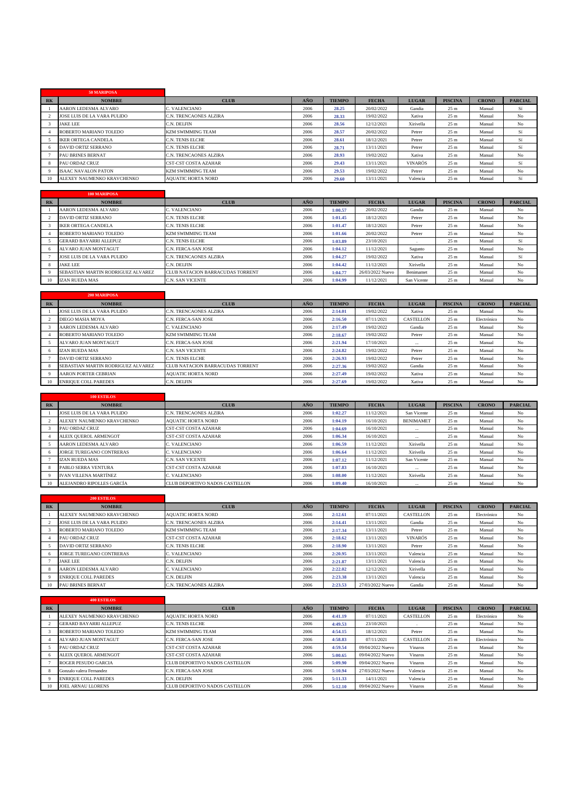|           | 50 MARIPOSA                 |                             |      |               |              |                |                 |              |                |
|-----------|-----------------------------|-----------------------------|------|---------------|--------------|----------------|-----------------|--------------|----------------|
| <b>RK</b> | <b>NOMBRE</b>               | <b>CLUB</b>                 | AÑO  | <b>TIEMPO</b> | <b>FECHA</b> | <b>LUGAR</b>   | <b>PISCINA</b>  | <b>CRONO</b> | <b>PARCIAL</b> |
|           | AARON LEDESMA ALVARO        | C. VALENCIANO               | 2006 | 28.25         | 20/02/2022   | Gandia         | 25 <sub>m</sub> | Manual       | Sí             |
|           | JOSE LUIS DE LA VARA PULIDO | C.N. TRENCAONES ALZIRA      | 2006 | 28.33         | 19/02/2022   | Xativa         | 25 <sub>m</sub> | Manual       | No             |
|           | <b>JAKE LEE</b>             | C.N. DELFIN                 | 2006 | 28.56         | 12/12/2021   | Xirivella      | 25 <sub>m</sub> | Manual       | No             |
|           | ROBERTO MARIANO TOLEDO      | <b>KZM SWIMMING TEAM</b>    | 2006 | 28.57         | 20/02/2022   | Petrer         | 25 <sub>m</sub> | Manual       | Sí             |
|           | <b>IKER ORTEGA CANDELA</b>  | <b>C.N. TENIS ELCHE</b>     | 2006 | 28.61         | 18/12/2021   | Petrer         | 25 <sub>m</sub> | Manual       | Sí             |
|           | DAVID ORTIZ SERRANO         | <b>C.N. TENIS ELCHE</b>     | 2006 | 28.71         | 13/11/2021   | Petrer         | 25 <sub>m</sub> | Manual       | Sí             |
|           | <b>PAU BRINES BERNAT</b>    | C.N. TRENCAONES ALZIRA      | 2006 | 28.93         | 19/02/2022   | Xativa         | 25 <sub>m</sub> | Manual       | No             |
|           | <b>PAU ORDAZ CRUZ</b>       | <b>CST-CST COSTA AZAHAR</b> | 2006 | 29.43         | 13/11/2021   | <b>VINARÓS</b> | 25 <sub>m</sub> | Manual       | Sí             |
|           | <b>ISAAC NAVALON PATON</b>  | <b>KZM SWIMMING TEAM</b>    | 2006 | 29.53         | 19/02/2022   | Petrer         | 25 <sub>m</sub> | Manual       | No             |
| 10        | ALEXEY NAUMENKO KRAVCHENKO  | <b>AOUATIC HORTA NORD</b>   | 2006 | 29.60         | 13/11/2021   | Valencia       | 25 <sub>m</sub> | Manual       | Sí             |

|           | <b>100 MARIPOSA</b>                |                                         |      |               |                  |              |                 |              |                |
|-----------|------------------------------------|-----------------------------------------|------|---------------|------------------|--------------|-----------------|--------------|----------------|
| <b>RK</b> | <b>NOMBRE</b>                      | <b>CLUB</b>                             | AÑO  | <b>TIEMPO</b> | <b>FECHA</b>     | <b>LUGAR</b> | <b>PISCINA</b>  | <b>CRONO</b> | <b>PARCIAL</b> |
|           | <b>AARON LEDESMA ALVARO</b>        | C. VALENCIANO                           | 2006 | 1:00.57       | 20/02/2022       | Gandia       | 25 <sub>m</sub> | Manual       | No             |
|           | <b>DAVID ORTIZ SERRANO</b>         | <b>C.N. TENIS ELCHE</b>                 | 2006 | 1:01.45       | 18/12/2021       | Petrer       | 25 <sub>m</sub> | Manual       | No             |
|           | <b>IKER ORTEGA CANDELA</b>         | <b>C.N. TENIS ELCHE</b>                 | 2006 | 1:01.47       | 18/12/2021       | Petrer       | 25 <sub>m</sub> | Manual       | No             |
|           | ROBERTO MARIANO TOLEDO             | <b>KZM SWIMMING TEAM</b>                | 2006 | 1:01.66       | 20/02/2022       | Petrer       | 25 <sub>m</sub> | Manual       | No             |
|           | <b>GERARD BAYARRI ALLEPUZ</b>      | <b>C.N. TENIS ELCHE</b>                 | 2006 | 1:03.89       | 23/10/2021       |              | 25 <sub>m</sub> | Manual       | Sí             |
| 6         | ALVARO JUAN MONTAGUT               | C.N. FERCA-SAN JOSE                     | 2006 | 1:04.12       | 11/12/2021       | Sagunto      | 25 <sub>m</sub> | Manual       | No             |
|           | JOSE LUIS DE LA VARA PULIDO        | C.N. TRENCAONES ALZIRA                  | 2006 | 1:04.27       | 19/02/2022       | Xativa       | 25 <sub>m</sub> | Manual       | Sí             |
|           | <b>JAKE LEE</b>                    | C.N. DELFIN                             | 2006 | 1:04.42       | 11/12/2021       | Xirivella    | 25 <sub>m</sub> | Manual       | No             |
|           | SEBASTIAN MARTIN RODRIGUEZ ALVAREZ | <b>CLUB NATACION BARRACUDAS TORRENT</b> | 2006 | 1:04.77       | 26/03/2022 Nuevo | Benimamet    | 25 <sub>m</sub> | Manual       | No             |
| 10        | IZAN RUEDA MAS                     | <b>C.N. SAN VICENTE</b>                 | 2006 | 1:04.99       | 11/12/2021       | San Vicente  | 25 <sub>m</sub> | Manual       | No             |

|                | <b>200 MARIPOSA</b>                |                                         |      |               |              |                  |                 |              |                |
|----------------|------------------------------------|-----------------------------------------|------|---------------|--------------|------------------|-----------------|--------------|----------------|
| R <sub>K</sub> | <b>NOMBRE</b>                      | <b>CLUB</b>                             | AÑO  | <b>TIEMPO</b> | <b>FECHA</b> | <b>LUGAR</b>     | <b>PISCINA</b>  | <b>CRONO</b> | <b>PARCIAL</b> |
|                | JOSE LUIS DE LA VARA PULIDO        | C.N. TRENCAONES ALZIRA                  | 2006 | 2:14.01       | 19/02/2022   | Xativa           | 25 <sub>m</sub> | Manual       | No             |
|                | DIEGO MASIA MOYA                   | C.N. FERCA-SAN JOSE                     | 2006 | 2:16.50       | 07/11/2021   | <b>CASTELLON</b> | 25 <sub>m</sub> | Electrónico  | No             |
|                | AARON LEDESMA ALVARO               | C. VALENCIANO                           | 2006 | 2:17.49       | 19/02/2022   | Gandia           | 25 <sub>m</sub> | Manual       | No             |
|                | ROBERTO MARIANO TOLEDO             | <b>KZM SWIMMING TEAM</b>                | 2006 | 2:18.67       | 19/02/2022   | Petrer           | 25 <sub>m</sub> | Manual       | No             |
|                | ALVARO JUAN MONTAGUT               | C.N. FERCA-SAN JOSE                     | 2006 | 2:21.94       | 17/10/2021   | $\cdots$         | 25 <sub>m</sub> | Manual       | No             |
|                | IZAN RUEDA MAS                     | C.N. SAN VICENTE                        | 2006 | 2:24.82       | 19/02/2022   | Petrer           | 25 <sub>m</sub> | Manual       | No             |
|                | DAVID ORTIZ SERRANO                | C.N. TENIS ELCHE                        | 2006 | 2:26.93       | 19/02/2022   | Petrer           | 25 <sub>m</sub> | Manual       | No             |
|                | SEBASTIAN MARTIN RODRIGUEZ ALVAREZ | <b>CLUB NATACION BARRACUDAS TORRENT</b> | 2006 | 2:27.36       | 19/02/2022   | Gandia           | 25 <sub>m</sub> | Manual       | No             |
|                | <b>AARON PORTER CEBRIAN</b>        | <b>AOUATIC HORTA NORD</b>               | 2006 | 2:27.49       | 19/02/2022   | Xativa           | 25 <sub>m</sub> | Manual       | No             |
| 10             | <b>ENRIOUE COLL PAREDES</b>        | C.N. DELFIN                             | 2006 | 2:27.69       | 19/02/2022   | Xativa           | 25 <sub>m</sub> | Manual       | No             |

|           | <b>100 ESTILOS</b>              |                                |      |               |              |                  |                 |              |                |
|-----------|---------------------------------|--------------------------------|------|---------------|--------------|------------------|-----------------|--------------|----------------|
| <b>RK</b> | <b>NOMBRE</b>                   | <b>CLUB</b>                    | AÑO  | <b>TIEMPO</b> | <b>FECHA</b> | <b>LUGAR</b>     | <b>PISCINA</b>  | <b>CRONO</b> | <b>PARCIAL</b> |
|           | JOSE LUIS DE LA VARA PULIDO     | C.N. TRENCAONES ALZIRA         | 2006 | 1:02.27       | 11/12/2021   | San Vicente      | 25 <sub>m</sub> | Manual       | No             |
|           | ALEXEY NAUMENKO KRAVCHENKO      | <b>AOUATIC HORTA NORD</b>      | 2006 | 1:04.19       | 16/10/2021   | <b>BENIMAMET</b> | 25 <sub>m</sub> | Manual       | No             |
|           | <b>PAU ORDAZ CRUZ</b>           | CST-CST COSTA AZAHAR           | 2006 | 1:04.69       | 16/10/2021   | $\cdots$         | 25 <sub>m</sub> | Manual       | No             |
|           | ALEIX OUEROL ARMENGOT           | <b>CST-CST COSTA AZAHAR</b>    | 2006 | 1:06.34       | 16/10/2021   | $\cdots$         | 25 <sub>m</sub> | Manual       | No             |
|           | AARON LEDESMA ALVARO            | C. VALENCIANO                  | 2006 | 1:06.59       | 11/12/2021   | Xirivella        | 25 <sub>m</sub> | Manual       | No             |
|           | <b>JORGE TUREGANO CONTRERAS</b> | C. VALENCIANO                  | 2006 | 1:06.64       | 11/12/2021   | Xirivella        | 25 <sub>m</sub> | Manual       | No             |
|           | IZAN RUEDA MAS                  | C.N. SAN VICENTE               | 2006 | 1:07.12       | 11/12/2021   | San Vicente      | 25 <sub>m</sub> | Manual       | No             |
|           | PABLO SERRA VENTURA             | <b>CST-CST COSTA AZAHAR</b>    | 2006 | 1:07.83       | 16/10/2021   | $\cdots$         | 25 <sub>m</sub> | Manual       | No             |
|           | <b>IVAN VILLENA MARTÍNEZ</b>    | C. VALENCIANO                  | 2006 | 1:08.00       | 11/12/2021   | Xirivella        | 25 <sub>m</sub> | Manual       | No             |
| 10        | ALEJANDRO RIPOLLES GARCÍA       | CLUB DEPORTIVO NADOS CASTELLON | 2006 | 1:09.40       | 16/10/2021   | $\cdots$         | 25 <sub>m</sub> | Manual       | No             |

|           | 200 ESTILOS                     |                             |      |               |                  |                  |                 |              |                |
|-----------|---------------------------------|-----------------------------|------|---------------|------------------|------------------|-----------------|--------------|----------------|
| <b>RK</b> | <b>NOMBRE</b>                   | <b>CLUB</b>                 | AÑO  | <b>TIEMPO</b> | <b>FECHA</b>     | <b>LUGAR</b>     | <b>PISCINA</b>  | <b>CRONO</b> | <b>PARCIAL</b> |
|           | ALEXEY NAUMENKO KRAVCHENKO      | <b>AOUATIC HORTA NORD</b>   | 2006 | 2:12.61       | 07/11/2021       | <b>CASTELLON</b> | 25 <sub>m</sub> | Electrónico  | No             |
|           | JOSE LUIS DE LA VARA PULIDO     | C.N. TRENCAONES ALZIRA      | 2006 | 2:14.41       | 13/11/2021       | Gandia           | 25 <sub>m</sub> | Manual       | No             |
|           | ROBERTO MARIANO TOLEDO          | <b>KZM SWIMMING TEAM</b>    | 2006 | 2:17.34       | 13/11/2021       | Petrer           | 25 <sub>m</sub> | Manual       | No             |
|           | <b>PAU ORDAZ CRUZ</b>           | <b>CST-CST COSTA AZAHAR</b> | 2006 | 2:18.62       | 13/11/2021       | <b>VINARÓS</b>   | 25 <sub>m</sub> | Manual       | No             |
|           | DAVID ORTIZ SERRANO             | C.N. TENIS ELCHE            | 2006 | 2:18.90       | 13/11/2021       | Petrer           | 25 <sub>m</sub> | Manual       | No             |
|           | <b>JORGE TUREGANO CONTRERAS</b> | C. VALENCIANO               | 2006 | 2:20.95       | 13/11/2021       | Valencia         | 25 <sub>m</sub> | Manual       | No             |
|           | <b>JAKE LEE</b>                 | C.N. DELFIN                 | 2006 | 2:21.87       | 13/11/2021       | Valencia         | 25 <sub>m</sub> | Manual       | No             |
|           | AARON LEDESMA ALVARO            | C. VALENCIANO               | 2006 | 2:22.02       | 12/12/2021       | Xirivella        | 25 <sub>m</sub> | Manual       | No             |
|           | <b>ENRIOUE COLL PAREDES</b>     | C.N. DELFIN                 | 2006 | 2:23.38       | 13/11/2021       | Valencia         | 25 <sub>m</sub> | Manual       | No             |
| 10        | <b>PAU BRINES BERNAT</b>        | C.N. TRENCAONES ALZIRA      | 2006 | 2:23.53       | 27/03/2022 Nuevo | Gandia           | 25 <sub>m</sub> | Manual       | N <sub>o</sub> |

|                | <b>400 ESTILOS</b>            |                                |      |               |                  |              |                 |              |                |
|----------------|-------------------------------|--------------------------------|------|---------------|------------------|--------------|-----------------|--------------|----------------|
| R <sub>K</sub> | <b>NOMBRE</b>                 | <b>CLUB</b>                    | AÑO  | <b>TIEMPO</b> | <b>FECHA</b>     | <b>LUGAR</b> | <b>PISCINA</b>  | <b>CRONO</b> | <b>PARCIAL</b> |
|                | ALEXEY NAUMENKO KRAVCHENKO    | <b>AOUATIC HORTA NORD</b>      | 2006 | 4:41.19       | 07/11/2021       | CASTELLON    | 25 <sub>m</sub> | Electrónico  | No             |
|                | <b>GERARD BAYARRI ALLEPUZ</b> | C.N. TENIS ELCHE               | 2006 | 4:49.53       | 23/10/2021       |              | 25 <sub>m</sub> | Manual       | No             |
|                | ROBERTO MARIANO TOLEDO        | <b>KZM SWIMMING TEAM</b>       | 2006 | 4:54.15       | 18/12/2021       | Petrer       | 25 <sub>m</sub> | Manual       | No             |
|                | <b>ALVARO JUAN MONTAGUT</b>   | C.N. FERCA-SAN JOSE            | 2006 | 4:58.83       | 07/11/2021       | CASTELLON    | 25 <sub>m</sub> | Electrónico  | No             |
|                | <b>PAU ORDAZ CRUZ</b>         | <b>CST-CST COSTA AZAHAR</b>    | 2006 | 4:59.54       | 09/04/2022 Nuevo | Vinaros      | 25 <sub>m</sub> | Manual       | No             |
| -6             | ALEIX OUEROL ARMENGOT         | <b>CST-CST COSTA AZAHAR</b>    | 2006 | 5:00.65       | 09/04/2022 Nuevo | Vinaros      | 25 <sub>m</sub> | Manual       | No             |
|                | <b>ROGER PESUDO GARCIA</b>    | CLUB DEPORTIVO NADOS CASTELLON | 2006 | 5:09.90       | 09/04/2022 Nuevo | Vinaros      | 25 <sub>m</sub> | Manual       | No             |
|                | Gonzalo valera Fernandez      | C.N. FERCA-SAN JOSE            | 2006 | 5:10.94       | 27/03/2022 Nuevo | Valencia     | 25 <sub>m</sub> | Manual       | No             |
|                | <b>ENRIOUE COLL PAREDES</b>   | C.N. DELFIN                    | 2006 | 5:11.33       | 14/11/2021       | Valencia     | 25 <sub>m</sub> | Manual       | No             |
| 10             | <b>JOEL ARNAU LLORENS</b>     | CLUB DEPORTIVO NADOS CASTELLON | 2006 | 5:12.10       | 09/04/2022 Nuevo | Vinaros      | 25 <sub>m</sub> | Manual       | N <sub>o</sub> |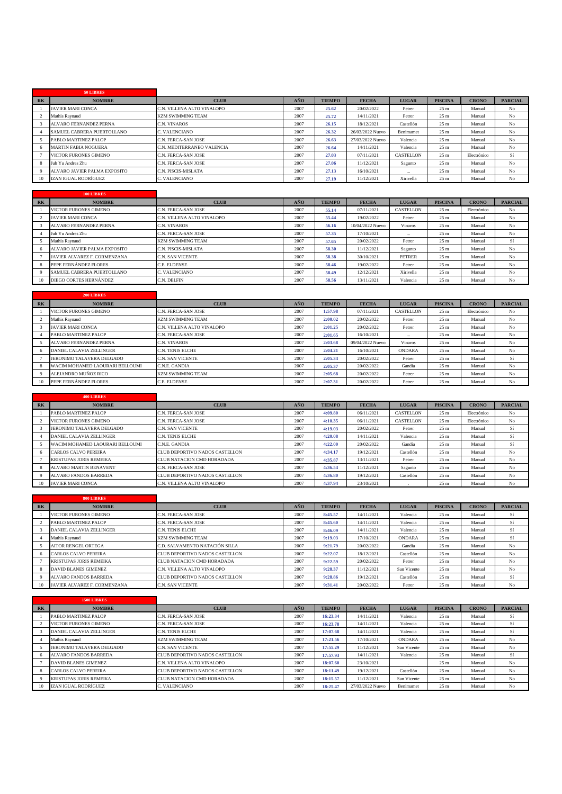|                | 50 LIBRES                     |                            |      |               |                  |              |                 |              |                |
|----------------|-------------------------------|----------------------------|------|---------------|------------------|--------------|-----------------|--------------|----------------|
| R <sub>K</sub> | <b>NOMBRE</b>                 | <b>CLUB</b>                | AÑO  | <b>TIEMPO</b> | <b>FECHA</b>     | <b>LUGAR</b> | <b>PISCINA</b>  | <b>CRONO</b> | <b>PARCIAL</b> |
|                | <b>JAVIER MARI CONCA</b>      | C.N. VILLENA ALTO VINALOPO | 2007 | 25.62         | 20/02/2022       | Petrer       | 25 <sub>m</sub> | Manual       | No             |
|                | Mathis Raynaud                | <b>KZM SWIMMING TEAM</b>   | 2007 | 25.72         | 14/11/2021       | Petrer       | 25 <sub>m</sub> | Manual       | No             |
|                | <b>ALVARO FERNANDEZ PERNA</b> | C.N. VINAROS               | 2007 | 26.15         | 18/12/2021       | Castellón    | 25 <sub>m</sub> | Manual       | No             |
|                | SAMUEL CABRERA PUERTOLLANO    | C. VALENCIANO              | 2007 | 26.32         | 26/03/2022 Nuevo | Benimamet    | 25 <sub>m</sub> | Manual       | No             |
|                | PABLO MARTINEZ PALOP          | C.N. FERCA-SAN JOSE        | 2007 | 26.63         | 27/03/2022 Nuevo | Valencia     | 25 <sub>m</sub> | Manual       | No             |
|                | <b>MARTIN FABIA NOGUERA</b>   | C.N. MEDITERRANEO VALENCIA | 2007 | 26.64         | 14/11/2021       | Valencia     | 25 <sub>m</sub> | Manual       | No             |
|                | <b>VICTOR FURONES GIMENO</b>  | C.N. FERCA-SAN JOSE        | 2007 | 27.03         | 07/11/2021       | CASTELLON    | 25 <sub>m</sub> | Electrónico  | Sí             |
|                | Juh Yu Andres Zhu             | C.N. FERCA-SAN JOSE        | 2007 | 27.06         | 11/12/2021       | Sagunto      | 25 <sub>m</sub> | Manual       | No             |
|                | ALVARO JAVIER PALMA EXPOSITO  | <b>C.N. PISCIS-MISLATA</b> | 2007 | 27.13         | 16/10/2021       | $\cdots$     | 25 <sub>m</sub> | Manual       | No             |
| 10             | IZAN IGUAL RODRÍGUEZ          | C. VALENCIANO              | 2007 | 27.19         | 11/12/2021       | Xirivella    | 25 <sub>m</sub> | Manual       | No             |

|           | 100 LIBRES                   |                            |      |               |                  |               |                 |              |                |
|-----------|------------------------------|----------------------------|------|---------------|------------------|---------------|-----------------|--------------|----------------|
| <b>RK</b> | <b>NOMBRE</b>                | <b>CLUB</b>                | AÑO  | <b>TIEMPO</b> | <b>FECHA</b>     | <b>LUGAR</b>  | <b>PISCINA</b>  | <b>CRONO</b> | <b>PARCIAL</b> |
|           | VICTOR FURONES GIMENO        | C.N. FERCA-SAN JOSE        | 2007 | 55.14         | 07/11/2021       | CASTELLON     | 25 <sub>m</sub> | Electrónico  | No             |
|           | <b>JAVIER MARI CONCA</b>     | C.N. VILLENA ALTO VINALOPO | 2007 | 55.44         | 19/02/2022       | Petrer        | 25 <sub>m</sub> | Manual       | No             |
|           | ALVARO FERNANDEZ PERNA       | C.N. VINAROS               | 2007 | 56.16         | 10/04/2022 Nuevo | Vinaros       | 25 <sub>m</sub> | Manual       | No             |
|           | Juh Yu Andres Zhu            | <b>C.N. FERCA-SAN JOSE</b> | 2007 | 57.35         | 17/10/2021       | $\cdots$      | 25 <sub>m</sub> | Manual       | No             |
|           | Mathis Raynaud               | <b>KZM SWIMMING TEAM</b>   | 2007 | 57.65         | 20/02/2022       | Petrer        | 25 <sub>m</sub> | Manual       | Sí             |
|           | ALVARO JAVIER PALMA EXPOSITO | <b>C.N. PISCIS-MISLATA</b> | 2007 | 58.30         | 11/12/2021       | Sagunto       | 25 <sub>m</sub> | Manual       | No             |
|           | JAVIER ALVAREZ F. CORMENZANA | <b>C.N. SAN VICENTE</b>    | 2007 | 58.38         | 30/10/2021       | <b>PETRER</b> | 25 <sub>m</sub> | Manual       | No             |
|           | PEPE FERNÁNDEZ FLORES        | <b>C.E. ELDENSE</b>        | 2007 | 58.46         | 19/02/2022       | Petrer        | 25 <sub>m</sub> | Manual       | No             |
|           | SAMUEL CABRERA PUERTOLLANO   | C. VALENCIANO              | 2007 | 58.49         | 12/12/2021       | Xirivella     | 25 <sub>m</sub> | Manual       | No             |
| 10        | DIEGO CORTES HERNÁNDEZ       | C.N. DELFIN                | 2007 | 58.56         | 13/11/2021       | Valencia      | 25 <sub>m</sub> | Manual       | No             |

|       | <b>200 LIBRES</b>               |                            |      |               |                  |                |                 |              |                |
|-------|---------------------------------|----------------------------|------|---------------|------------------|----------------|-----------------|--------------|----------------|
| $R$ K | <b>NOMBRE</b>                   | <b>CLUB</b>                | AÑO  | <b>TIEMPO</b> | <b>FECHA</b>     | <b>LUGAR</b>   | <b>PISCINA</b>  | <b>CRONO</b> | <b>PARCIAL</b> |
|       | <b>VICTOR FURONES GIMENO</b>    | C.N. FERCA-SAN JOSE        | 2007 | 1:57.98       | 07/11/2021       | CASTELLON      | 25 <sub>m</sub> | Electrónico  | No             |
|       | Mathis Ravnaud                  | <b>KZM SWIMMING TEAM</b>   | 2007 | 2:00.02       | 20/02/2022       | Petrer         | 25 <sub>m</sub> | Manual       | No             |
|       | <b>JAVIER MARI CONCA</b>        | C.N. VILLENA ALTO VINALOPO | 2007 | 2:01.25       | 20/02/2022       | Petrer         | 25 <sub>m</sub> | Manual       | No             |
|       | PABLO MARTINEZ PALOP            | C.N. FERCA-SAN JOSE        | 2007 | 2:01.65       | 16/10/2021       | $\cdots$       | 25 <sub>m</sub> | Manual       | No             |
|       | <b>ALVARO FERNANDEZ PERNA</b>   | C.N. VINAROS               | 2007 | 2:03.68       | 09/04/2022 Nuevo | <b>Vinaros</b> | 25 <sub>m</sub> | Manual       | No             |
|       | <b>DANIEL CALAVIA ZELLINGER</b> | C.N. TENIS ELCHE           | 2007 | 2:04.21       | 16/10/2021       | <b>ONDARA</b>  | 25 <sub>m</sub> | Manual       | No             |
|       | JERONIMO TALAVERA DELGADO       | C.N. SAN VICENTE           | 2007 | 2:05.34       | 20/02/2022       | Petrer         | 25 <sub>m</sub> | Manual       | Sí             |
|       | WACIM MOHAMED LAOURARI BELLOUMI | C.N.E. GANDIA              | 2007 | 2:05.37       | 20/02/2022       | Gandia         | 25 <sub>m</sub> | Manual       | No             |
|       | ALEJANDRO MUÑOZ RICO            | <b>KZM SWIMMING TEAM</b>   | 2007 | 2:05.68       | 20/02/2022       | Petrer         | 25 <sub>m</sub> | Manual       | No             |
|       | PEPE FERNÁNDEZ FLORES           | C.E. ELDENSE               | 2007 | 2:07.31       | 20/02/2022       | Petrer         | 25 <sub>m</sub> | Manual       | No             |

|           | <b>400 LIBRES</b>               |                                |      |               |              |                  |                 |              |                |
|-----------|---------------------------------|--------------------------------|------|---------------|--------------|------------------|-----------------|--------------|----------------|
| <b>RK</b> | <b>NOMBRE</b>                   | <b>CLUB</b>                    | AÑO  | <b>TIEMPO</b> | <b>FECHA</b> | <b>LUGAR</b>     | <b>PISCINA</b>  | <b>CRONO</b> | <b>PARCIAL</b> |
|           | PABLO MARTINEZ PALOP            | C.N. FERCA-SAN JOSE            | 2007 | 4:09.80       | 06/11/2021   | <b>CASTELLON</b> | 25 <sub>m</sub> | Electrónico  | No             |
|           | <b>VICTOR FURONES GIMENO</b>    | C.N. FERCA-SAN JOSE            | 2007 | 4:10.35       | 06/11/2021   | <b>CASTELLON</b> | 25 <sub>m</sub> | Electrónico  | No             |
|           | JERONIMO TALAVERA DELGADO       | <b>C.N. SAN VICENTE</b>        | 2007 | 4:19.03       | 20/02/2022   | Petrer           | 25 <sub>m</sub> | Manual       | Sí             |
|           | DANIEL CALAVIA ZELLINGER        | C.N. TENIS ELCHE               | 2007 | 4:20.08       | 14/11/2021   | Valencia         | 25 <sub>m</sub> | Manual       | Sí             |
|           | WACIM MOHAMED LAOURARI BELLOUMI | C.N.E. GANDIA                  | 2007 | 4:22.00       | 20/02/2022   | Gandia           | 25 <sub>m</sub> | Manual       | Sí             |
|           | CARLOS CALVO PEREIRA            | CLUB DEPORTIVO NADOS CASTELLON | 2007 | 4:34.17       | 19/12/2021   | Castellón        | 25 <sub>m</sub> | Manual       | No             |
|           | <b>KRISTUPAS JORIS REMEIKA</b>  | CLUB NATACION CMD HORADADA     | 2007 | 4:35.87       | 13/11/2021   | Petrer           | 25 <sub>m</sub> | Manual       | No             |
|           | <b>ALVARO MARTIN BENAVENT</b>   | C.N. FERCA-SAN JOSE            | 2007 | 4:36.54       | 11/12/2021   | Sagunto          | 25 <sub>m</sub> | Manual       | No             |
|           | <b>ALVARO FANDOS BARREDA</b>    | CLUB DEPORTIVO NADOS CASTELLON | 2007 | 4:36.80       | 19/12/2021   | Castellón        | 25 <sub>m</sub> | Manual       | No             |
| 10        | <b>JAVIER MARI CONCA</b>        | C.N. VILLENA ALTO VINALOPO     | 2007 | 4:37.94       | 23/10/2021   |                  | 25 <sub>m</sub> | Manual       | No             |

|                      | 800 LIBRES                      |                                       |            |               |              |               |                 |              |                |
|----------------------|---------------------------------|---------------------------------------|------------|---------------|--------------|---------------|-----------------|--------------|----------------|
| $R$ K                | <b>NOMBRE</b>                   | <b>CLUB</b>                           | <b>AÑO</b> | <b>TIEMPO</b> | <b>FECHA</b> | <b>LUGAR</b>  | <b>PISCINA</b>  | <b>CRONO</b> | <b>PARCIAL</b> |
|                      | VICTOR FURONES GIMENO           | C.N. FERCA-SAN JOSE                   | 2007       | 8:45.57       | 14/11/2021   | Valencia      | 25 <sub>m</sub> | Manual       | Sí             |
|                      | PABLO MARTINEZ PALOP            | C.N. FERCA-SAN JOSE                   | 2007       | 8:45.60       | 14/11/2021   | Valencia      | 25 <sub>m</sub> | Manual       | Sí             |
|                      | <b>DANIEL CALAVIA ZELLINGER</b> | <b>C.N. TENIS ELCHE</b>               | 2007       | 8:46.09       | 14/11/2021   | Valencia      | 25 <sub>m</sub> | Manual       | Sí             |
|                      | Mathis Ravnaud                  | <b>KZM SWIMMING TEAM</b>              | 2007       | 9:19.03       | 17/10/2021   | <b>ONDARA</b> | 25 <sub>m</sub> | Manual       | Sí             |
|                      | <b>AITOR RENGEL ORTEGA</b>      | C.D. SALVAMENTO NATACIÓN SILLA        | 2007       | 9:21.79       | 20/02/2022   | Gandia        | 25 <sub>m</sub> | Manual       | No             |
| $\ddot{\phantom{1}}$ | CARLOS CALVO PEREIRA            | CLUB DEPORTIVO NADOS CASTELLON        | 2007       | 9:22.07       | 18/12/2021   | Castellón     | 25 <sub>m</sub> | Manual       | No             |
|                      | <b>KRISTUPAS JORIS REMEIKA</b>  | CLUB NATACION CMD HORADADA            | 2007       | 9:22.59       | 20/02/2022   | Petrer        | 25 <sub>m</sub> | Manual       | No             |
|                      | DAVID BLANES GIMENEZ            | C.N. VILLENA ALTO VINALOPO            | 2007       | 9:28.37       | 11/12/2021   | San Vicente   | 25 <sub>m</sub> | Manual       | No             |
|                      | <b>ALVARO FANDOS BARREDA</b>    | <b>CLUB DEPORTIVO NADOS CASTELLON</b> | 2007       | 9:28.86       | 19/12/2021   | Castellón     | 25 <sub>m</sub> | Manual       | Sí             |
| 10                   | JAVIER ALVAREZ F. CORMENZANA    | <b>C.N. SAN VICENTE</b>               | 2007       | 9:31.41       | 20/02/2022   | Petrer        | 25 <sub>m</sub> | Manual       | No             |

|           | <b>1500 LIBRES</b>             |                                |      |               |                  |               |                 |              |                |
|-----------|--------------------------------|--------------------------------|------|---------------|------------------|---------------|-----------------|--------------|----------------|
| <b>RK</b> | <b>NOMBRE</b>                  | <b>CLUB</b>                    | AÑO  | <b>TIEMPO</b> | <b>FECHA</b>     | <b>LUGAR</b>  | <b>PISCINA</b>  | <b>CRONO</b> | <b>PARCIAL</b> |
|           | PABLO MARTINEZ PALOP           | C.N. FERCA-SAN JOSE            | 2007 | 16:23.34      | 14/11/2021       | Valencia      | 25 <sub>m</sub> | Manual       | Sí             |
|           | <b>VICTOR FURONES GIMENO</b>   | C.N. FERCA-SAN JOSE            | 2007 | 16:23.78      | 14/11/2021       | Valencia      | 25 <sub>m</sub> | Manual       | Sí             |
|           | DANIEL CALAVIA ZELLINGER       | <b>C.N. TENIS ELCHE</b>        | 2007 | 17:07.68      | 14/11/2021       | Valencia      | 25 <sub>m</sub> | Manual       | Sí             |
|           | Mathis Raynaud                 | <b>KZM SWIMMING TEAM</b>       | 2007 | 17:21.56      | 17/10/2021       | <b>ONDARA</b> | 25 <sub>m</sub> | Manual       | No             |
|           | JERONIMO TALAVERA DELGADO      | C.N. SAN VICENTE               | 2007 | 17:55.29      | 11/12/2021       | San Vicente   | 25 <sub>m</sub> | Manual       | No             |
|           | <b>ALVARO FANDOS BARREDA</b>   | CLUB DEPORTIVO NADOS CASTELLON | 2007 | 17:57.93      | 14/11/2021       | Valencia      | 25 <sub>m</sub> | Manual       | Sí             |
|           | <b>DAVID BLANES GIMENEZ</b>    | C.N. VILLENA ALTO VINALOPO     | 2007 | 18:07.60      | 23/10/2021       |               | 25 <sub>m</sub> | Manual       | No             |
|           | <b>CARLOS CALVO PEREIRA</b>    | CLUB DEPORTIVO NADOS CASTELLON | 2007 | 18:11.49      | 19/12/2021       | Castellón     | 25 <sub>m</sub> | Manual       | No             |
|           | <b>KRISTUPAS JORIS REMEIKA</b> | CLUB NATACION CMD HORADADA     | 2007 | 18:15.57      | 11/12/2021       | San Vicente   | 25 <sub>m</sub> | Manual       | No             |
| 10        | IZAN IGUAL RODRÍGUEZ           | C. VALENCIANO                  | 2007 | 18:25.47      | 27/03/2022 Nuevo | Benimamet     | 25 <sub>m</sub> | Manual       | N <sub>o</sub> |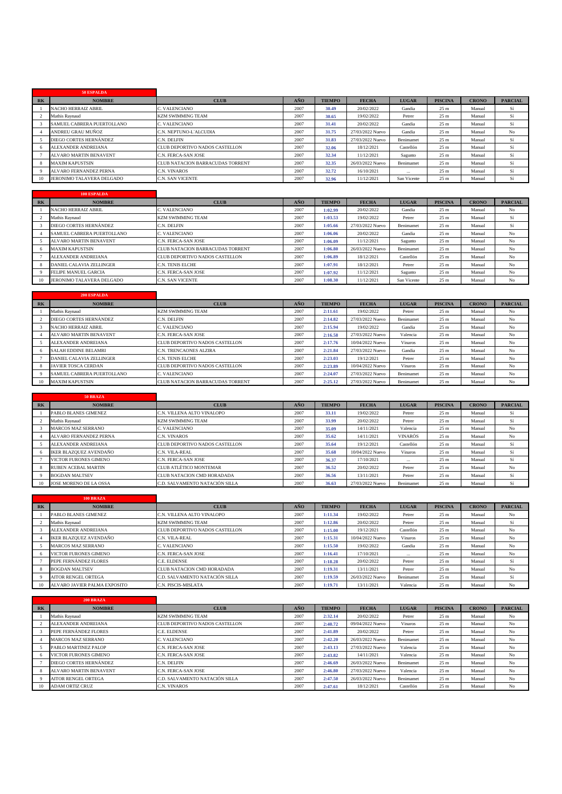|    | 50 ESPALDA                    |                                  |      |               |                  |              |                 |              |                |
|----|-------------------------------|----------------------------------|------|---------------|------------------|--------------|-----------------|--------------|----------------|
| RK | <b>NOMBRE</b>                 | <b>CLUB</b>                      | AÑO  | <b>TIEMPO</b> | <b>FECHA</b>     | <b>LUGAR</b> | <b>PISCINA</b>  | <b>CRONO</b> | <b>PARCIAL</b> |
|    | <b>NACHO HERRAIZ ABRIL</b>    | C. VALENCIANO                    | 2007 | 30.49         | 20/02/2022       | Gandia       | 25 <sub>m</sub> | Manual       | Sí             |
|    | Mathis Ravnaud                | <b>KZM SWIMMING TEAM</b>         | 2007 | 30.65         | 19/02/2022       | Petrer       | 25 <sub>m</sub> | Manual       | Sí             |
|    | SAMUEL CABRERA PUERTOLLANO    | C. VALENCIANO                    | 2007 | 31.41         | 20/02/2022       | Gandia       | 25 <sub>m</sub> | Manual       | Sí             |
|    | ANDREU GRAU MUÑOZ             | C.N. NEPTUNO-L'ALCUDIA           | 2007 | 31.75         | 27/03/2022 Nuevo | Gandia       | 25 <sub>m</sub> | Manual       | No             |
|    | <b>DIEGO CORTES HERNÁNDEZ</b> | C.N. DELFIN                      | 2007 | 31.83         | 27/03/2022 Nuevo | Benimamet    | 25 <sub>m</sub> | Manual       | Sí             |
|    | ALEXANDER ANDREIANA           | CLUB DEPORTIVO NADOS CASTELLON   | 2007 | 32.06         | 18/12/2021       | Castellón    | 25 <sub>m</sub> | Manual       | Sí             |
|    | <b>ALVARO MARTIN BENAVENT</b> | C.N. FERCA-SAN JOSE              | 2007 | 32.34         | 11/12/2021       | Sagunto      | 25 <sub>m</sub> | Manual       | Sí             |
|    | <b>MAXIM KAPUSTSIN</b>        | CLUB NATACION BARRACUDAS TORRENT | 2007 | 32.35         | 26/03/2022 Nuevo | Benimamet    | 25 <sub>m</sub> | Manual       | Sí             |
|    | <b>ALVARO FERNANDEZ PERNA</b> | <b>C.N. VINAROS</b>              | 2007 | 32.72         | 16/10/2021       | $\cdots$     | 25 <sub>m</sub> | Manual       | Sí             |
|    | JERONIMO TALAVERA DELGADO     | C.N. SAN VICENTE                 | 2007 | 32.96         | 11/12/2021       | San Vicente  | 25 <sub>m</sub> | Manual       | Sí             |

|                | 100 ESPALDA                     |                                  |      |               |                  |              |                 |              |                |
|----------------|---------------------------------|----------------------------------|------|---------------|------------------|--------------|-----------------|--------------|----------------|
| R <sub>K</sub> | <b>NOMBRE</b>                   | <b>CLUB</b>                      | AÑO  | <b>TIEMPO</b> | <b>FECHA</b>     | <b>LUGAR</b> | <b>PISCINA</b>  | <b>CRONO</b> | <b>PARCIAL</b> |
|                | <b>NACHO HERRAIZ ABRIL</b>      | C. VALENCIANO                    | 2007 | 1:02.99       | 20/02/2022       | Gandia       | 25 <sub>m</sub> | Manual       | No             |
|                | Mathis Ravnaud                  | <b>KZM SWIMMING TEAM</b>         | 2007 | 1:03.53       | 19/02/2022       | Petrer       | 25 <sub>m</sub> | Manual       | Sí             |
|                | DIEGO CORTES HERNÁNDEZ          | C.N. DELFIN                      | 2007 | 1:05.66       | 27/03/2022 Nuevo | Benimamet    | 25 <sub>m</sub> | Manual       | Sí             |
|                | SAMUEL CABRERA PUERTOLLANO      | C. VALENCIANO                    | 2007 | 1:06.06       | 20/02/2022       | Gandia       | 25 <sub>m</sub> | Manual       | No             |
|                | <b>ALVARO MARTIN BENAVENT</b>   | C.N. FERCA-SAN JOSE              | 2007 | 1:06.09       | 11/12/2021       | Sagunto      | 25 <sub>m</sub> | Manual       | No             |
|                | <b>MAXIM KAPUSTSIN</b>          | CLUB NATACION BARRACUDAS TORRENT | 2007 | 1:06.80       | 26/03/2022 Nuevo | Benimamet    | 25 <sub>m</sub> | Manual       | No             |
|                | <b>ALEXANDER ANDREIANA</b>      | CLUB DEPORTIVO NADOS CASTELLON   | 2007 | 1:06.89       | 18/12/2021       | Castellón    | 25 <sub>m</sub> | Manual       | No             |
|                | <b>DANIEL CALAVIA ZELLINGER</b> | <b>C.N. TENIS ELCHE</b>          | 2007 | 1:07.91       | 18/12/2021       | Petrer       | 25 <sub>m</sub> | Manual       | No             |
|                | FELIPE MANUEL GARCIA            | C.N. FERCA-SAN JOSE              | 2007 | 1:07.92       | 11/12/2021       | Sagunto      | 25 <sub>m</sub> | Manual       | No             |
| 10             | JERONIMO TALAVERA DELGADO       | <b>C.N. SAN VICENTE</b>          | 2007 | 1:08.30       | 11/12/2021       | San Vicente  | 25 <sub>m</sub> | Manual       | No             |

|           | 200 ESPALDA                     |                                         |      |               |                  |                |                 |              |                |
|-----------|---------------------------------|-----------------------------------------|------|---------------|------------------|----------------|-----------------|--------------|----------------|
| <b>RK</b> | <b>NOMBRE</b>                   | <b>CLUB</b>                             | AÑO  | <b>TIEMPO</b> | <b>FECHA</b>     | <b>LUGAR</b>   | <b>PISCINA</b>  | <b>CRONO</b> | <b>PARCIAL</b> |
|           | Mathis Ravnaud                  | <b>KZM SWIMMING TEAM</b>                | 2007 | 2:11.61       | 19/02/2022       | Petrer         | 25 <sub>m</sub> | Manual       | No             |
|           | DIEGO CORTES HERNÁNDEZ          | C.N. DELFIN                             | 2007 | 2:14.82       | 27/03/2022 Nuevo | Benimamet      | 25 <sub>m</sub> | Manual       | No             |
|           | <b>NACHO HERRAIZ ABRIL</b>      | C. VALENCIANO                           | 2007 | 2:15.94       | 19/02/2022       | Gandia         | 25 <sub>m</sub> | Manual       | No             |
|           | <b>ALVARO MARTIN BENAVENT</b>   | C.N. FERCA-SAN JOSE                     | 2007 | 2:16.58       | 27/03/2022 Nuevo | Valencia       | 25 <sub>m</sub> | Manual       | No             |
|           | ALEXANDER ANDREIANA             | CLUB DEPORTIVO NADOS CASTELLON          | 2007 | 2:17.76       | 10/04/2022 Nuevo | Vinaros        | 25 <sub>m</sub> | Manual       | No             |
|           | <b>SALAH EDDINE BELAMRI</b>     | <b>C.N. TRENCAONES ALZIRA</b>           | 2007 | 2:21.84       | 27/03/2022 Nuevo | Gandia         | 25 <sub>m</sub> | Manual       | No             |
|           | <b>DANIEL CALAVIA ZELLINGER</b> | <b>C.N. TENIS ELCHE</b>                 | 2007 | 2:23.03       | 19/12/2021       | Petrer         | 25 <sub>m</sub> | Manual       | No             |
|           | <b>JAVIER TOSCA CERDAN</b>      | CLUB DEPORTIVO NADOS CASTELLON          | 2007 | 2:23.89       | 10/04/2022 Nuevo | <b>Vinaros</b> | 25 <sub>m</sub> | Manual       | No             |
|           | SAMUEL CABRERA PUERTOLLANO      | C. VALENCIANO                           | 2007 | 2:24.07       | 27/03/2022 Nuevo | Benimamet      | 25 <sub>m</sub> | Manual       | No             |
| 10        | <b>MAXIM KAPUSTSIN</b>          | <b>CLUB NATACION BARRACUDAS TORRENT</b> | 2007 | 2:25.12       | 27/03/2022 Nuevo | Benimamet      | 25 <sub>m</sub> | Manual       | N <sub>o</sub> |

|                | <b>50 BRAZA</b>               |                                   |            |               |                  |                |                 |              |                |
|----------------|-------------------------------|-----------------------------------|------------|---------------|------------------|----------------|-----------------|--------------|----------------|
| R <sub>K</sub> | <b>NOMBRE</b>                 | <b>CLUB</b>                       | <b>AÑO</b> | <b>TIEMPO</b> | <b>FECHA</b>     | <b>LUGAR</b>   | <b>PISCINA</b>  | <b>CRONO</b> | <b>PARCIAL</b> |
|                | PABLO BLANES GIMENEZ          | C.N. VILLENA ALTO VINALOPO        | 2007       | 33.11         | 19/02/2022       | Petrer         | 25 <sub>m</sub> | Manual       | Sí             |
|                | Mathis Raynaud                | <b>KZM SWIMMING TEAM</b>          | 2007       | 33.99         | 20/02/2022       | Petrer         | 25 <sub>m</sub> | Manual       | Sí             |
|                | <b>MARCOS MAZ SERRANO</b>     | C. VALENCIANO                     | 2007       | 35.09         | 14/11/2021       | Valencia       | 25 <sub>m</sub> | Manual       | No             |
|                | <b>ALVARO FERNANDEZ PERNA</b> | C.N. VINAROS                      | 2007       | 35.62         | 14/11/2021       | <b>VINARÓS</b> | 25 <sub>m</sub> | Manual       | No             |
|                | <b>ALEXANDER ANDREIANA</b>    | CLUB DEPORTIVO NADOS CASTELLON    | 2007       | 35.64         | 19/12/2021       | Castellón      | 25 <sub>m</sub> | Manual       | Sí             |
|                | <b>IKER BLAZOUEZ AVENDAÑO</b> | <b>C.N. VILA-REAL</b>             | 2007       | 35.68         | 10/04/2022 Nuevo | Vinaros        | 25 <sub>m</sub> | Manual       | Sí             |
|                | <b>VICTOR FURONES GIMENO</b>  | <b>C.N. FERCA-SAN JOSE</b>        | 2007       | 36.37         | 17/10/2021       | $\cdots$       | 25 <sub>m</sub> | Manual       | Sí             |
|                | <b>RUBEN ACEBAL MARTIN</b>    | CLUB ATLÉTICO MONTEMAR            | 2007       | 36.52         | 20/02/2022       | Petrer         | 25 <sub>m</sub> | Manual       | No             |
|                | <b>BOGDAN MALTSEV</b>         | <b>CLUB NATACION CMD HORADADA</b> | 2007       | 36.56         | 13/11/2021       | Petrer         | 25 <sub>m</sub> | Manual       | Sí             |
| 10             | JOSE MORENO DE LA OSSA        | C.D. SALVAMENTO NATACIÓN SILLA    | 2007       | 36.63         | 27/03/2022 Nuevo | Benimamet      | 25 <sub>m</sub> | Manual       | Sí             |

|           | <b>100 BRAZA</b>             |                                |      |               |                  |              |                 |              |                |
|-----------|------------------------------|--------------------------------|------|---------------|------------------|--------------|-----------------|--------------|----------------|
| <b>RK</b> | <b>NOMBRE</b>                | <b>CLUB</b>                    | AÑO  | <b>TIEMPO</b> | <b>FECHA</b>     | <b>LUGAR</b> | <b>PISCINA</b>  | <b>CRONO</b> | <b>PARCIAL</b> |
|           | PABLO BLANES GIMENEZ         | C.N. VILLENA ALTO VINALOPO     | 2007 | 1:11.34       | 19/02/2022       | Petrer       | 25 <sub>m</sub> | Manual       | No             |
|           | Mathis Ravnaud               | <b>KZM SWIMMING TEAM</b>       | 2007 | 1:12.86       | 20/02/2022       | Petrer       | 25 <sub>m</sub> | Manual       | Sí             |
|           | ALEXANDER ANDREIANA          | CLUB DEPORTIVO NADOS CASTELLON | 2007 | 1:15.00       | 19/12/2021       | Castellón    | 25 <sub>m</sub> | Manual       | No             |
|           | IKER BLAZOUEZ AVENDAÑO       | C.N. VILA-REAL                 | 2007 | 1:15.31       | 10/04/2022 Nuevo | Vinaros      | 25 <sub>m</sub> | Manual       | No             |
|           | <b>MARCOS MAZ SERRANO</b>    | C. VALENCIANO                  | 2007 | 1:15.50       | 19/02/2022       | Gandia       | 25 <sub>m</sub> | Manual       | No             |
|           | VICTOR FURONES GIMENO        | C.N. FERCA-SAN JOSE            | 2007 | 1:16.41       | 17/10/2021       | $\cdots$     | 25 <sub>m</sub> | Manual       | No             |
|           | PEPE FERNÁNDEZ FLORES        | C.E. ELDENSE                   | 2007 | 1:18.28       | 20/02/2022       | Petrer       | 25 <sub>m</sub> | Manual       | Sí             |
|           | <b>BOGDAN MALTSEV</b>        | CLUB NATACION CMD HORADADA     | 2007 | 1:19.31       | 13/11/2021       | Petrer       | 25 <sub>m</sub> | Manual       | No             |
|           | <b>AITOR RENGEL ORTEGA</b>   | C.D. SALVAMENTO NATACIÓN SILLA | 2007 | 1:19.59       | 26/03/2022 Nuevo | Benimamet    | 25 <sub>m</sub> | Manual       | Sí             |
| 10        | ALVARO JAVIER PALMA EXPOSITO | C.N. PISCIS-MISLATA            | 2007 | 1:19.71       | 13/11/2021       | Valencia     | 25 <sub>m</sub> | Manual       | No             |

|           | <b>200 BRAZA</b>              |                                |      |               |                  |              |                 |              |                |
|-----------|-------------------------------|--------------------------------|------|---------------|------------------|--------------|-----------------|--------------|----------------|
| <b>RK</b> | <b>NOMBRE</b>                 | <b>CLUB</b>                    | AÑO  | <b>TIEMPO</b> | <b>FECHA</b>     | <b>LUGAR</b> | <b>PISCINA</b>  | <b>CRONO</b> | <b>PARCIAL</b> |
|           | Mathis Raynaud                | <b>KZM SWIMMING TEAM</b>       | 2007 | 2:32.14       | 20/02/2022       | Petrer       | 25 <sub>m</sub> | Manual       | No             |
|           | ALEXANDER ANDREIANA           | CLUB DEPORTIVO NADOS CASTELLON | 2007 | 2:40.72       | 09/04/2022 Nuevo | Vinaros      | 25 <sub>m</sub> | Manual       | No             |
|           | PEPE FERNÁNDEZ FLORES         | C.E. ELDENSE                   | 2007 | 2:41.89       | 20/02/2022       | Petrer       | 25 <sub>m</sub> | Manual       | No             |
|           | <b>MARCOS MAZ SERRANO</b>     | C. VALENCIANO                  | 2007 | 2:42.20       | 26/03/2022 Nuevo | Benimamet    | 25 <sub>m</sub> | Manual       | No             |
|           | PABLO MARTINEZ PALOP          | C.N. FERCA-SAN JOSE            | 2007 | 2:43.13       | 27/03/2022 Nuevo | Valencia     | 25 <sub>m</sub> | Manual       | No             |
|           | VICTOR FURONES GIMENO         | C.N. FERCA-SAN JOSE            | 2007 | 2:43.82       | 14/11/2021       | Valencia     | 25 <sub>m</sub> | Manual       | No             |
|           | DIEGO CORTES HERNÁNDEZ        | C.N. DELFIN                    | 2007 | 2:46.69       | 26/03/2022 Nuevo | Benimamet    | 25 <sub>m</sub> | Manual       | No             |
|           | <b>ALVARO MARTIN BENAVENT</b> | C.N. FERCA-SAN JOSE            | 2007 | 2:46.80       | 27/03/2022 Nuevo | Valencia     | 25 <sub>m</sub> | Manual       | No             |
|           | <b>AITOR RENGEL ORTEGA</b>    | C.D. SALVAMENTO NATACIÓN SILLA | 2007 | 2:47.50       | 26/03/2022 Nuevo | Benimamet    | 25 <sub>m</sub> | Manual       | No             |
| 10        | <b>ADAM ORTIZ CRUZ</b>        | C.N. VINAROS                   | 2007 | 2:47.61       | 18/12/2021       | Castellón    | 25 <sub>m</sub> | Manual       | N <sub>o</sub> |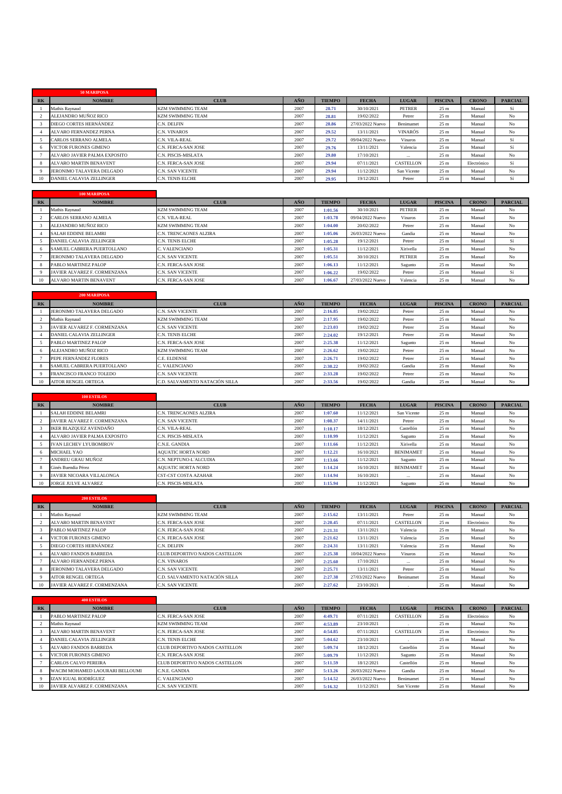|                | 50 MARIPOSA                     |                          |      |               |                  |                |                 |              |                |
|----------------|---------------------------------|--------------------------|------|---------------|------------------|----------------|-----------------|--------------|----------------|
| R <sub>K</sub> | <b>NOMBRE</b>                   | <b>CLUB</b>              | AÑO  | <b>TIEMPO</b> | <b>FECHA</b>     | <b>LUGAR</b>   | <b>PISCINA</b>  | <b>CRONO</b> | <b>PARCIAL</b> |
|                | Mathis Raynaud                  | <b>KZM SWIMMING TEAM</b> | 2007 | 28.71         | 30/10/2021       | <b>PETRER</b>  | 25 <sub>m</sub> | Manual       | Sí             |
|                | ALEJANDRO MUÑOZ RICO            | <b>KZM SWIMMING TEAM</b> | 2007 | 28.81         | 19/02/2022       | Petrer         | 25 <sub>m</sub> | Manual       | No             |
|                | DIEGO CORTES HERNÁNDEZ          | C.N. DELFIN              | 2007 | 28.86         | 27/03/2022 Nuevo | Benimamet      | 25 <sub>m</sub> | Manual       | No             |
|                | <b>ALVARO FERNANDEZ PERNA</b>   | C.N. VINAROS             | 2007 | 29.52         | 13/11/2021       | <b>VINARÓS</b> | 25 <sub>m</sub> | Manual       | No             |
|                | CARLOS SERRANO ALMELA           | C.N. VILA-REAL           | 2007 | 29.72         | 09/04/2022 Nuevo | <b>Vinaros</b> | 25 <sub>m</sub> | Manual       | Sí             |
| -6             | <b>VICTOR FURONES GIMENO</b>    | C.N. FERCA-SAN JOSE      | 2007 | 29.76         | 13/11/2021       | Valencia       | 25 <sub>m</sub> | Manual       | Sí             |
|                | ALVARO JAVIER PALMA EXPOSITO    | C.N. PISCIS-MISLATA      | 2007 | 29.80         | 17/10/2021       | $\cdots$       | 25 <sub>m</sub> | Manual       | No             |
| -8             | <b>ALVARO MARTIN BENAVENT</b>   | C.N. FERCA-SAN JOSE      | 2007 | 29.94         | 07/11/2021       | CASTELLON      | 25 <sub>m</sub> | Electrónico  | Sí             |
| $\Omega$       | JERONIMO TALAVERA DELGADO       | <b>C.N. SAN VICENTE</b>  | 2007 | 29.94         | 11/12/2021       | San Vicente    | 25 <sub>m</sub> | Manual       | No             |
| 10             | <b>DANIEL CALAVIA ZELLINGER</b> | <b>C.N. TENIS ELCHE</b>  | 2007 | 29.95         | 19/12/2021       | Petrer         | 25 <sub>m</sub> | Manual       | Sí             |

|       | 100 MARIPOSA                    |                          |      |               |                  |               |                 |              |                |
|-------|---------------------------------|--------------------------|------|---------------|------------------|---------------|-----------------|--------------|----------------|
| $R$ K | <b>NOMBRE</b>                   | <b>CLUB</b>              | AÑO  | <b>TIEMPO</b> | <b>FECHA</b>     | <b>LUGAR</b>  | <b>PISCINA</b>  | <b>CRONO</b> | <b>PARCIAL</b> |
|       | Mathis Raynaud                  | <b>KZM SWIMMING TEAM</b> | 2007 | 1:01.56       | 30/10/2021       | <b>PETRER</b> | 25 <sub>m</sub> | Manual       | No             |
|       | CARLOS SERRANO ALMELA           | C.N. VILA-REAL           | 2007 | 1:03.78       | 09/04/2022 Nuevo | Vinaros       | 25 <sub>m</sub> | Manual       | No             |
|       | ALEJANDRO MUÑOZ RICO            | <b>KZM SWIMMING TEAM</b> | 2007 | 1:04.00       | 20/02/2022       | Petrer        | 25 <sub>m</sub> | Manual       | No             |
|       | <b>SALAH EDDINE BELAMRI</b>     | C.N. TRENCAONES ALZIRA   | 2007 | 1:05.06       | 26/03/2022 Nuevo | Gandia        | 25 <sub>m</sub> | Manual       | No             |
|       | <b>DANIEL CALAVIA ZELLINGER</b> | C.N. TENIS ELCHE         | 2007 | 1:05.28       | 19/12/2021       | Petrer        | 25 <sub>m</sub> | Manual       | Sí             |
| -6    | SAMUEL CABRERA PUERTOLLANO      | C. VALENCIANO            | 2007 | 1:05.31       | 11/12/2021       | Xirivella     | 25 <sub>m</sub> | Manual       | No             |
|       | JERONIMO TALAVERA DELGADO       | C.N. SAN VICENTE         | 2007 | 1:05.51       | 30/10/2021       | <b>PETRER</b> | 25 <sub>m</sub> | Manual       | No             |
|       | PABLO MARTINEZ PALOP            | C.N. FERCA-SAN JOSE      | 2007 | 1:06.13       | 11/12/2021       | Sagunto       | 25 <sub>m</sub> | Manual       | No             |
|       | JAVIER ALVAREZ F. CORMENZANA    | C.N. SAN VICENTE         | 2007 | 1:06.22       | 19/02/2022       | Petrer        | 25 <sub>m</sub> | Manual       | Sí             |
| 10    | <b>ALVARO MARTIN BENAVENT</b>   | C.N. FERCA-SAN JOSE      | 2007 | 1:06.67       | 27/03/2022 Nuevo | Valencia      | 25 <sub>m</sub> | Manual       | No             |

|           | <b>200 MARIPOSA</b>             |                                |      |               |              |              |                 |              |                |
|-----------|---------------------------------|--------------------------------|------|---------------|--------------|--------------|-----------------|--------------|----------------|
| <b>RK</b> | <b>NOMBRE</b>                   | <b>CLUB</b>                    | AÑO  | <b>TIEMPO</b> | <b>FECHA</b> | <b>LUGAR</b> | <b>PISCINA</b>  | <b>CRONO</b> | <b>PARCIAL</b> |
|           | JERONIMO TALAVERA DELGADO       | C.N. SAN VICENTE               | 2007 | 2:16.85       | 19/02/2022   | Petrer       | 25 <sub>m</sub> | Manual       | No             |
|           | Mathis Ravnaud                  | <b>KZM SWIMMING TEAM</b>       | 2007 | 2:17.95       | 19/02/2022   | Petrer       | 25 <sub>m</sub> | Manual       | No             |
|           | JAVIER ALVAREZ F. CORMENZANA    | C.N. SAN VICENTE               | 2007 | 2:23.03       | 19/02/2022   | Petrer       | 25 <sub>m</sub> | Manual       | No             |
|           | <b>DANIEL CALAVIA ZELLINGER</b> | C.N. TENIS ELCHE               | 2007 | 2:24.02       | 19/12/2021   | Petrer       | 25 <sub>m</sub> | Manual       | No             |
|           | PABLO MARTINEZ PALOP            | C.N. FERCA-SAN JOSE            | 2007 | 2:25.38       | 11/12/2021   | Sagunto      | 25 <sub>m</sub> | Manual       | No             |
|           | ALEJANDRO MUÑOZ RICO            | <b>KZM SWIMMING TEAM</b>       | 2007 | 2:26.62       | 19/02/2022   | Petrer       | 25 <sub>m</sub> | Manual       | No             |
|           | PEPE FERNÁNDEZ FLORES           | C.E. ELDENSE                   | 2007 | 2:26.71       | 19/02/2022   | Petrer       | 25 <sub>m</sub> | Manual       | No             |
|           | SAMUEL CABRERA PUERTOLLANO      | C. VALENCIANO                  | 2007 | 2:30.22       | 19/02/2022   | Gandia       | 25 <sub>m</sub> | Manual       | No             |
|           | FRANCISCO FRANCO TOLEDO         | C.N. SAN VICENTE               | 2007 | 2:33.28       | 19/02/2022   | Petrer       | 25 <sub>m</sub> | Manual       | N <sub>o</sub> |
|           | <b>AITOR RENGEL ORTEGA</b>      | C.D. SALVAMENTO NATACIÓN SILLA | 2007 | 2:33.56       | 19/02/2022   | Gandia       | 25 <sub>m</sub> | Manual       | N <sub>o</sub> |

|       | <b>100 ESTILOS</b>               |                             |      |               |              |                  |                 |              |                |
|-------|----------------------------------|-----------------------------|------|---------------|--------------|------------------|-----------------|--------------|----------------|
| $R$ K | <b>NOMBRE</b>                    | <b>CLUB</b>                 | AÑO  | <b>TIEMPO</b> | <b>FECHA</b> | <b>LUGAR</b>     | <b>PISCINA</b>  | <b>CRONO</b> | <b>PARCIAL</b> |
|       | <b>SALAH EDDINE BELAMRI</b>      | C.N. TRENCAONES ALZIRA      | 2007 | 1:07.60       | 11/12/2021   | San Vicente      | 25 <sub>m</sub> | Manual       | No             |
|       | JAVIER ALVAREZ F. CORMENZANA     | <b>C.N. SAN VICENTE</b>     | 2007 | 1:08.37       | 14/11/2021   | Petrer           | 25 <sub>m</sub> | Manual       | No             |
|       | IKER BLAZQUEZ AVENDAÑO           | C.N. VILA-REAL              | 2007 | 1:10.17       | 18/12/2021   | Castellón        | 25 <sub>m</sub> | Manual       | No             |
|       | ALVARO JAVIER PALMA EXPOSITO     | C.N. PISCIS-MISLATA         | 2007 | 1:10.99       | 11/12/2021   | Sagunto          | 25 <sub>m</sub> | Manual       | No             |
|       | <b>IVAN LECHEV LYUBOMIROV</b>    | C.N.E. GANDIA               | 2007 | 1:11.66       | 11/12/2021   | Xirivella        | 25 <sub>m</sub> | Manual       | No             |
| -6    | <b>MICHAEL YAO</b>               | <b>AOUATIC HORTA NORD</b>   | 2007 | 1:12.21       | 16/10/2021   | <b>BENIMAMET</b> | 25 <sub>m</sub> | Manual       | No             |
|       | ANDREU GRAU MUÑOZ                | C.N. NEPTUNO-L'ALCUDIA      | 2007 | 1:13.66       | 11/12/2021   | Sagunto          | 25 <sub>m</sub> | Manual       | No             |
|       | Ginés Buendia Pérez              | <b>AOUATIC HORTA NORD</b>   | 2007 | 1:14.24       | 16/10/2021   | <b>BENIMAMET</b> | 25 <sub>m</sub> | Manual       | No             |
|       | <b>JAVIER NICOARA VILLALONGA</b> | <b>CST-CST COSTA AZAHAR</b> | 2007 | 1:14.94       | 16/10/2021   | $\cdots$         | 25 <sub>m</sub> | Manual       | No             |
| 10    | <b>JORGE JULVE ALVAREZ</b>       | C.N. PISCIS-MISLATA         | 2007 | 1:15.94       | 11/12/2021   | Sagunto          | 25 <sub>m</sub> | Manual       | No             |

|                      | <b>200 ESTILOS</b>            |                                |      |               |                  |              |                 |              |                |
|----------------------|-------------------------------|--------------------------------|------|---------------|------------------|--------------|-----------------|--------------|----------------|
| <b>RK</b>            | <b>NOMBRE</b>                 | <b>CLUB</b>                    | AÑO  | <b>TIEMPO</b> | <b>FECHA</b>     | <b>LUGAR</b> | <b>PISCINA</b>  | <b>CRONO</b> | <b>PARCIAL</b> |
|                      | Mathis Ravnaud                | <b>KZM SWIMMING TEAM</b>       | 2007 | 2:15.62       | 13/11/2021       | Petrer       | 25 <sub>m</sub> | Manual       | No             |
|                      | <b>ALVARO MARTIN BENAVENT</b> | C.N. FERCA-SAN JOSE            | 2007 | 2:20.45       | 07/11/2021       | CASTELLON    | 25 <sub>m</sub> | Electrónico  | No             |
|                      | PABLO MARTINEZ PALOP          | C.N. FERCA-SAN JOSE            | 2007 | 2:21.31       | 13/11/2021       | Valencia     | 25 <sub>m</sub> | Manual       | No             |
|                      | <b>VICTOR FURONES GIMENO</b>  | C.N. FERCA-SAN JOSE            | 2007 | 2:21.62       | 13/11/2021       | Valencia     | 25 <sub>m</sub> | Manual       | No             |
|                      | DIEGO CORTES HERNÁNDEZ        | C.N. DELFIN                    | 2007 | 2:24.31       | 13/11/2021       | Valencia     | 25 <sub>m</sub> | Manual       | No             |
| $\ddot{\phantom{1}}$ | <b>ALVARO FANDOS BARREDA</b>  | CLUB DEPORTIVO NADOS CASTELLON | 2007 | 2:25.38       | 10/04/2022 Nuevo | Vinaros      | 25 <sub>m</sub> | Manual       | No             |
|                      | <b>ALVARO FERNANDEZ PERNA</b> | C.N. VINAROS                   | 2007 | 2:25.60       | 17/10/2021       | $\cdots$     | 25 <sub>m</sub> | Manual       | No             |
|                      | JERONIMO TALAVERA DELGADO     | <b>C.N. SAN VICENTE</b>        | 2007 | 2:25.71       | 13/11/2021       | Petrer       | 25 <sub>m</sub> | Manual       | No             |
|                      | <b>AITOR RENGEL ORTEGA</b>    | C.D. SALVAMENTO NATACIÓN SILLA | 2007 | 2:27.38       | 27/03/2022 Nuevo | Benimamet    | 25 <sub>m</sub> | Manual       | No             |
| 10                   | JAVIER ALVAREZ F. CORMENZANA  | <b>C.N. SAN VICENTE</b>        | 2007 | 2:27.62       | 23/10/2021       |              | 25 <sub>m</sub> | Manual       | No             |

|           | <b>400 ESTILOS</b>              |                                |      |               |                  |              |                 |              |                |
|-----------|---------------------------------|--------------------------------|------|---------------|------------------|--------------|-----------------|--------------|----------------|
| <b>RK</b> | <b>NOMBRE</b>                   | <b>CLUB</b>                    | AÑO  | <b>TIEMPO</b> | <b>FECHA</b>     | <b>LUGAR</b> | <b>PISCINA</b>  | <b>CRONO</b> | <b>PARCIAL</b> |
|           | PABLO MARTINEZ PALOP            | C.N. FERCA-SAN JOSE            | 2007 | 4:49.71       | 07/11/2021       | CASTELLON    | 25 <sub>m</sub> | Electrónico  | No             |
|           | Mathis Raynaud                  | <b>KZM SWIMMING TEAM</b>       | 2007 | 4:53.89       | 23/10/2021       |              | 25 <sub>m</sub> | Manual       | N <sub>o</sub> |
|           | <b>ALVARO MARTIN BENAVENT</b>   | C.N. FERCA-SAN JOSE            | 2007 | 4:54.85       | 07/11/2021       | CASTELLON    | 25 <sub>m</sub> | Electrónico  | No             |
|           | DANIEL CALAVIA ZELLINGER        | <b>C.N. TENIS ELCHE</b>        | 2007 | 5:04.62       | 23/10/2021       |              | 25 <sub>m</sub> | Manual       | N <sub>o</sub> |
|           | <b>ALVARO FANDOS BARREDA</b>    | CLUB DEPORTIVO NADOS CASTELLON | 2007 | 5:09.74       | 18/12/2021       | Castellón    | 25 <sub>m</sub> | Manual       | N <sub>o</sub> |
|           | VICTOR FURONES GIMENO           | C.N. FERCA-SAN JOSE            | 2007 | 5:09.79       | 11/12/2021       | Sagunto      | 25 <sub>m</sub> | Manual       | N <sub>o</sub> |
|           | <b>CARLOS CALVO PEREIRA</b>     | CLUB DEPORTIVO NADOS CASTELLON | 2007 | 5:11.59       | 18/12/2021       | Castellón    | 25 <sub>m</sub> | Manual       | N <sub>o</sub> |
|           | WACIM MOHAMED LAOURARI BELLOUMI | C.N.E. GANDIA                  | 2007 | 5:13.26       | 26/03/2022 Nuevo | Gandia       | 25 <sub>m</sub> | Manual       | N <sub>o</sub> |
|           | IZAN IGUAL RODRÍGUEZ            | C. VALENCIANO                  | 2007 | 5:14.52       | 26/03/2022 Nuevo | Benimamet    | 25 <sub>m</sub> | Manual       | N <sub>o</sub> |
| 10        | JAVIER ALVAREZ F. CORMENZANA    | <b>C.N. SAN VICENTE</b>        | 2007 | 5:16.32       | 11/12/2021       | San Vicente  | 25 <sub>m</sub> | Manual       | N <sub>o</sub> |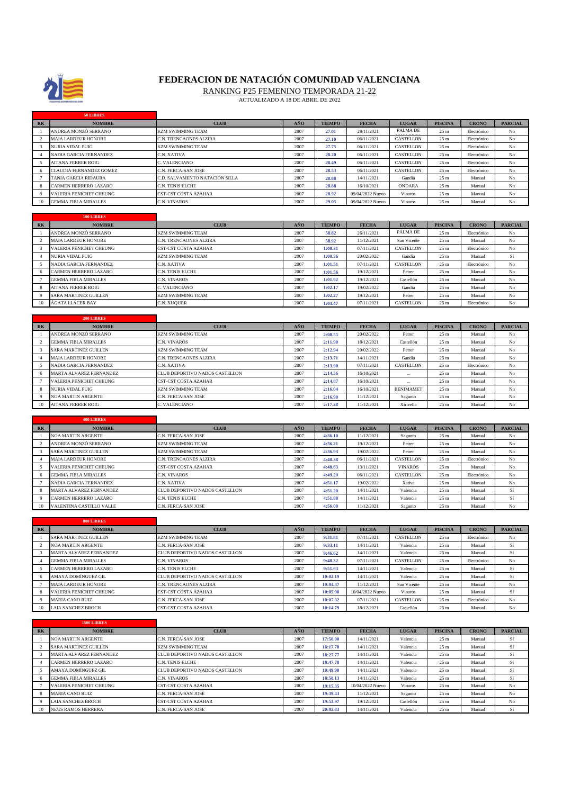

## **FEDERACION DE NATACIÓN COMUNIDAD VALENCIANA**

RANKING P25 FEMENINO TEMPORADA 21-22

| PALMA DE<br>ANDREA MONZÓ SERRANO<br>2007<br>28/11/2021<br><b>KZM SWIMMING TEAM</b><br>25 m<br>Electrónico<br>No<br>27.01<br>$\mathfrak{D}$<br><b>MAIA LARDEUR HONORE</b><br>C.N. TRENCAONES ALZIRA<br>2007<br>06/11/2021<br>CASTELLON<br>25 m<br>Electrónico<br>No<br>27.10<br>3<br>NURIA VIDAL PUIG<br><b>KZM SWIMMING TEAM</b><br>2007<br>06/11/2021<br><b>CASTELLON</b><br>25 m<br>$_{\rm No}$<br>27.75<br>Electrónico<br>NADIA GARCIA FERNANDEZ<br>C.N. XATIVA<br>2007<br>06/11/2021<br>CASTELLON<br>25 m<br>Electrónico<br>No<br>$\overline{4}$<br>28.20<br>5<br>CASTELLON<br>C. VALENCIANO<br>2007<br>28.49<br>06/11/2021<br>25 m<br>No<br>AITANA FERRER ROIG<br>Electrónico<br><b>CLAUDIA FERNANDEZ GOMEZ</b><br>28.53<br>06/11/2021<br>CASTELLON<br>6<br>C.N. FERCA-SAN JOSE<br>2007<br>25 <sub>m</sub><br>Electrónico<br>No<br>25 m<br>$\overline{7}$<br>TANIA GARCIA RIDAURA<br>C.D. SALVAMENTO NATACIÓN SILLA<br>2007<br>28.68<br>14/11/2021<br>Manual<br>No<br>Gandia<br>2007<br>28.88<br><b>ONDARA</b><br>25 <sub>m</sub><br>No<br>8<br>CARMEN HERRERO LAZARO<br>C.N. TENIS ELCHE<br>16/10/2021<br>Manual<br>9<br>VALERIA PENICHET CHEUNG<br>CST-CST COSTA AZAHAR<br>2007<br>28.92<br>09/04/2022 Nuevo<br>25 m<br>$_{\rm No}$<br>Vinaros<br>Manual<br><b>GEMMA FIBLA MIRALLES</b><br>C.N. VINAROS<br>2007<br>29.05<br>Vinaros<br>25 <sub>m</sub><br>$_{\rm No}$<br>10<br>09/04/2022 Nuevo<br>Manual<br>100 LIBRES<br>AÑO<br><b>TIEMPO</b><br><b>FECHA</b><br><b>PISCINA</b><br><b>CRONO</b><br><b>PARCIAL</b><br>R <sub>K</sub><br><b>NOMBRE</b><br><b>CLUB</b><br><b>LUGAR</b><br>PALMA DE<br>ANDREA MONZÓ SERRANO<br>26/11/2021<br><b>KZM SWIMMING TEAM</b><br>2007<br>58.82<br>25 m<br>Electrónico<br>No<br>2<br><b>MAIA LARDEUR HONORE</b><br>C.N. TRENCAONES ALZIRA<br>2007<br>58.92<br>11/12/2021<br>San Vicente<br>25 m<br>Manual<br>No<br>2007<br>1:00.31<br>07/11/2021<br>CASTELLON<br>25 m<br>$\mathcal{R}$<br>VALERIA PENICHET CHEUNG<br>CST-CST COSTA AZAHAR<br>Electrónico<br>No<br>Sí<br>$\overline{4}$<br>NURIA VIDAL PUIG<br>KZM SWIMMING TEAM<br>2007<br>1:00.56<br>20/02/2022<br>Gandia<br>25 m<br>Manual<br>2007<br>1:01.51<br>07/11/2021<br>CASTELLON<br>$\overline{5}$<br>NADIA GARCIA FERNANDEZ<br>C.N. XATIVA<br>25 m<br>Electrónico<br>No<br>6<br>CARMEN HERRERO LAZARO<br>C.N. TENIS ELCHE<br>2007<br>1:01.56<br>19/12/2021<br>25 m<br>Manual<br>No<br>Petrer<br>1:01.92<br>25 m<br>7<br><b>GEMMA FIBLA MIRALLES</b><br>C.N. VINAROS<br>2007<br>19/12/2021<br>Castellón<br>Manual<br>No<br><b>AITANA FERRER ROIG</b><br>C. VALENCIANO<br>2007<br>1:02.17<br>19/02/2022<br>Gandia<br>25 m<br>Manual<br>No<br>8<br>9<br><b>SARA MARTINEZ GUILLEN</b><br>2007<br>1:02.27<br>19/12/2021<br>KZM SWIMMING TEAM<br>Petrer<br>25 m<br>Manual<br>No<br>10<br>ÁGATA LLÁCER BAY<br>C.N. XUQUER<br>2007<br>07/11/2021<br>CASTELLON<br>25 m<br>1:03.47<br>Electrónico<br>No<br>200 LIBRES<br>AÑO<br><b>TIEMPO</b><br><b>LUGAR</b><br><b>PISCINA</b><br><b>CRONO</b><br><b>PARCIAL</b><br><b>NOMBRE</b><br><b>CLUB</b><br><b>FECHA</b><br>R <sub>K</sub><br>ANDREA MONZÓ SERRANO<br>2:08.55<br>20/02/2022<br>KZM SWIMMING TEAM<br>2007<br>Petrer<br>25 <sub>m</sub><br>Manual<br>No<br>$\mathcal{D}$<br>GEMMA FIBLA MIRALLES<br>C.N. VINAROS<br>2007<br>2:11.90<br>18/12/2021<br>Castellón<br>25 m<br>Manual<br>No<br>$\mathcal{R}$<br>SARA MARTINEZ GUILLEN<br>KZM SWIMMING TEAM<br>2007<br>2:12.94<br>20/02/2022<br>Petrer<br>25 <sub>m</sub><br>Manual<br>No<br>2:13.71<br>14/11/2021<br>25 m<br>$\overline{4}$<br><b>MAIA LARDEUR HONORE</b><br>C.N. TRENCAONES ALZIRA<br>2007<br>Gandia<br>Manual<br>No<br>2007<br>2:13.90<br>07/11/2021<br>CASTELLON<br>25 <sub>m</sub><br>No<br>5<br>NADIA GARCIA FERNANDEZ<br>C.N. XATIVA<br>Electrónico<br>CLUB DEPORTIVO NADOS CASTELLON<br>2007<br>2:14.56<br>$_{\rm No}$<br>6<br>MARTA ALVAREZ FERNANDEZ<br>16/10/2021<br>25 m<br>Manual<br>2:14.87<br>25 <sub>m</sub><br>No<br>7<br>VALERIA PENICHET CHEUNG<br>CST-CST COSTA AZAHAR<br>2007<br>16/10/2021<br>Manual<br><b>KZM SWIMMING TEAM</b><br>2007<br>16/10/2021<br><b>BENIMAMET</b><br>8<br><b>NURIA VIDAL PUIG</b><br>25 m<br>Manual<br>No<br>2:16.04<br><b>NOA MARTIN ARGENTE</b><br>C.N. FERCA-SAN JOSE<br>2007<br>11/12/2021<br>25 <sub>m</sub><br>Manual<br>$_{\rm No}$<br>9<br>2:16.90<br>Sagunto<br><b>AITANA FERRER ROIG</b><br>C. VALENCIANO<br>2007<br>11/12/2021<br>10<br>Xirivella<br>25 m<br>Manual<br>No<br>2:17.28<br><b>400 LIBRES</b><br>AÑO<br><b>TIEMPO</b><br><b>FECHA</b><br><b>LUGAR</b><br><b>PISCINA</b><br><b>CRONO</b><br><b>PARCIAL</b><br>$R$ K<br><b>NOMBRE</b><br><b>CLUB</b><br>NOA MARTIN ARGENTE<br>C.N. FERCA-SAN JOSE<br>2007<br>4:36.10<br>11/12/2021<br>Sagunto<br>25 <sub>m</sub><br>Manual<br>No<br>ANDREA MONZÓ SERRANO<br>2007<br>4:36.21<br>19/12/2021<br>25 m<br>$\mathcal{D}$<br>KZM SWIMMING TEAM<br>Petrer<br>Manual<br>No<br>3<br>SARA MARTINEZ GUILLEN<br>KZM SWIMMING TEAM<br>2007<br>4:36.93<br>19/02/2022<br>Petrer<br>25 m<br>Manual<br>No<br>2007<br>4:40.38<br>06/11/2021<br>CASTELLON<br>$\overline{4}$<br><b>MAIA LARDEUR HONORE</b><br>C.N. TRENCAONES ALZIRA<br>25 m<br>Electrónico<br>No<br>5<br>VALERIA PENICHET CHEUNG<br>CST-CST COSTA AZAHAR<br>2007<br>4:48.63<br>13/11/2021<br><b>VINARÓS</b><br>25 m<br>Manual<br>No<br>2007<br>06/11/2021<br>CASTELLON<br>25 m<br>6<br><b>GEMMA FIBLA MIRALLES</b><br>C.N. VINAROS<br>4:49.29<br>Electrónico<br>No<br>7<br>NADIA GARCIA FERNANDEZ<br>C.N. XATIVA<br>2007<br>4:51.17<br>19/02/2022<br>Xativa<br>25 m<br>Manual<br>No<br>MARTA ALVAREZ FERNANDEZ<br>CLUB DEPORTIVO NADOS CASTELLON<br>2007<br>14/11/2021<br>Sí<br>$\mathbf{8}$<br>Valencia<br>25 m<br>Manual<br>4:51.20<br>CARMEN HERRERO LAZARO<br>4:51.88<br>14/11/2021<br>Sí<br>9<br>C.N. TENIS ELCHE<br>2007<br>Valencia<br>25 <sub>m</sub><br>Manual<br>4:56.00<br>VALENTINA CASTILLO VALLE<br>C.N. FERCA-SAN JOSE<br>2007<br>11/12/2021<br>25 m<br>No<br>10<br>Sagunto<br>Manual<br>800 LIBRES<br>$R$ K<br>AÑO<br><b>TIEMPO</b><br><b>FECHA</b><br><b>LUGAR</b><br><b>PISCINA</b><br><b>CRONO</b><br><b>PARCIAL</b><br><b>NOMBRE</b><br><b>CLUB</b><br><b>SARA MARTINEZ GUILLEN</b><br>KZM SWIMMING TEAM<br>9:31.81<br>07/11/2021<br>CASTELLON<br>$\mathbf{1}$<br>2007<br>25 m<br>No<br>Electrónico<br>2<br>NOA MARTIN ARGENTE<br>C.N. FERCA-SAN JOSE<br>2007<br>9:33.11<br>14/11/2021<br>Valencia<br>25 m<br>Manual<br>Sí<br>Sí<br>MARTA ALVAREZ FERNANDEZ<br>CLUB DEPORTIVO NADOS CASTELLON<br>2007<br>14/11/2021<br>3<br>Valencia<br>25 m<br>Manual<br>9:46.62<br><b>GEMMA FIBLA MIRALLES</b><br>2007<br>9:48.32<br>07/11/2021<br>CASTELLON<br>25 <sub>m</sub><br>Electrónico<br>No<br>$\overline{4}$<br>C.N. VINAROS<br>5<br>CARMEN HERRERO LAZARO<br>C.N. TENIS ELCHE<br>2007<br>14/11/2021<br>Valencia<br>25 m<br>Sí<br>9:51.63<br>Manual<br>CLUB DEPORTIVO NADOS CASTELLON<br>2007<br>14/11/2021<br>Valencia<br>25 m<br>Sí<br>6<br>AMAYA DOMÍNGUEZ GIL<br>10:02.19<br>Manual<br>10:04.37<br>11/12/2021<br>San Vicente<br>$_{\rm No}$<br>$\tau$<br><b>MAIA LARDEUR HONORE</b><br>C.N. TRENCAONES ALZIRA<br>2007<br>25 m<br>Manual<br>VALERIA PENICHET CHEUNG<br>CST-CST COSTA AZAHAR<br>2007<br>10:05.98<br>10/04/2022 Nuevo<br>Vinaros<br>25 m<br>Manual<br>Sí<br>8<br>9<br>10:07.32<br>CASTELLON<br>25 <sub>m</sub><br><b>MARIA CANO RUIZ</b><br>C.N. FERCA-SAN JOSE<br>2007<br>07/11/2021<br>Electrónico<br>No<br>10<br>LAIA SANCHEZ BROCH<br>CST-CST COSTA AZAHAR<br>2007<br>10:14.79<br>18/12/2021<br>Castellón<br>25 m<br>$_{\rm No}$<br>Manual<br>1500 LIBRES<br><b>PARCIAL</b><br>R <sub>K</sub><br><b>NOMBRE</b><br>CLUB<br>AÑO<br><b>TIEMPO</b><br><b>FECHA</b><br><b>LUGAR</b><br><b>PISCINA</b><br><b>CRONO</b><br><b>NOA MARTIN ARGENTE</b><br>C.N. FERCA-SAN JOSE<br>2007<br>17:50.00<br>14/11/2021<br>25 m<br>Sí<br>Valencia<br>Manual<br>$\overline{1}$<br>Sí<br>$\overline{2}$<br>SARA MARTINEZ GUILLEN<br>KZM SWIMMING TEAM<br>2007<br>18:17.70<br>14/11/2021<br>Valencia<br>25 m<br>Manual<br>CLUB DEPORTIVO NADOS CASTELLON<br>2007<br>14/11/2021<br>Sí<br>3<br>MARTA ALVAREZ FERNANDEZ<br>18:27.77<br>Valencia<br>25 m<br>Manual<br>Sí<br>$\overline{4}$<br>CARMEN HERRERO LAZARO<br>C.N. TENIS ELCHE<br>2007<br>18:47.78<br>14/11/2021<br>Valencia<br>25 m<br>Manual<br>CLUB DEPORTIVO NADOS CASTELLON<br>18:49.90<br>Sí<br>5<br>AMAYA DOMÍNGUEZ GIL<br>2007<br>14/11/2021<br>Valencia<br>25 m<br>Manual<br>18:58.13<br>14/11/2021<br>6<br><b>GEMMA FIBLA MIRALLES</b><br>C.N. VINAROS<br>2007<br>Valencia<br>25 <sub>m</sub><br>Manual<br>Sí<br>VALERIA PENICHET CHEUNG<br>19:15.35<br>$\tau$<br>CST-CST COSTA AZAHAR<br>2007<br>10/04/2022 Nuevo<br>25 m<br>Manual<br>No<br>Vinaros<br><b>MARIA CANO RUIZ</b><br>C.N. FERCA-SAN JOSE<br>2007<br>19:39.43<br>11/12/2021<br>25 <sub>m</sub><br>Manual<br>$_{\rm No}$<br>8<br>Sagunto<br>$\overline{9}$<br>19:53.97<br>LAIA SANCHEZ BROCH<br>CST-CST COSTA AZAHAR<br>2007<br>19/12/2021<br>Castellón<br>25 m<br>Manual<br>No<br>10<br><b>NEUS RAMOS HERRERA</b><br>C.N. FERCA-SAN JOSE<br>2007<br>20:02.83<br>14/11/2021<br>Valencia<br>25 <sub>m</sub><br>Sí<br>Manual | R <sub>K</sub> | <b>NOMBRE</b> | <b>CLUB</b> | AÑO | <b>TIEMPO</b> | <b>FECHA</b> | <b>LUGAR</b> | <b>PISCINA</b> | <b>CRONO</b> | <b>PARCIAL</b> |
|------------------------------------------------------------------------------------------------------------------------------------------------------------------------------------------------------------------------------------------------------------------------------------------------------------------------------------------------------------------------------------------------------------------------------------------------------------------------------------------------------------------------------------------------------------------------------------------------------------------------------------------------------------------------------------------------------------------------------------------------------------------------------------------------------------------------------------------------------------------------------------------------------------------------------------------------------------------------------------------------------------------------------------------------------------------------------------------------------------------------------------------------------------------------------------------------------------------------------------------------------------------------------------------------------------------------------------------------------------------------------------------------------------------------------------------------------------------------------------------------------------------------------------------------------------------------------------------------------------------------------------------------------------------------------------------------------------------------------------------------------------------------------------------------------------------------------------------------------------------------------------------------------------------------------------------------------------------------------------------------------------------------------------------------------------------------------------------------------------------------------------------------------------------------------------------------------------------------------------------------------------------------------------------------------------------------------------------------------------------------------------------------------------------------------------------------------------------------------------------------------------------------------------------------------------------------------------------------------------------------------------------------------------------------------------------------------------------------------------------------------------------------------------------------------------------------------------------------------------------------------------------------------------------------------------------------------------------------------------------------------------------------------------------------------------------------------------------------------------------------------------------------------------------------------------------------------------------------------------------------------------------------------------------------------------------------------------------------------------------------------------------------------------------------------------------------------------------------------------------------------------------------------------------------------------------------------------------------------------------------------------------------------------------------------------------------------------------------------------------------------------------------------------------------------------------------------------------------------------------------------------------------------------------------------------------------------------------------------------------------------------------------------------------------------------------------------------------------------------------------------------------------------------------------------------------------------------------------------------------------------------------------------------------------------------------------------------------------------------------------------------------------------------------------------------------------------------------------------------------------------------------------------------------------------------------------------------------------------------------------------------------------------------------------------------------------------------------------------------------------------------------------------------------------------------------------------------------------------------------------------------------------------------------------------------------------------------------------------------------------------------------------------------------------------------------------------------------------------------------------------------------------------------------------------------------------------------------------------------------------------------------------------------------------------------------------------------------------------------------------------------------------------------------------------------------------------------------------------------------------------------------------------------------------------------------------------------------------------------------------------------------------------------------------------------------------------------------------------------------------------------------------------------------------------------------------------------------------------------------------------------------------------------------------------------------------------------------------------------------------------------------------------------------------------------------------------------------------------------------------------------------------------------------------------------------------------------------------------------------------------------------------------------------------------------------------------------------------------------------------------------------------------------------------------------------------------------------------------------------------------------------------------------------------------------------------------------------------------------------------------------------------------------------------------------------------------------------------------------------------------------------------------------------------------------------------------------------------------------------------------------------------------------------------------------------------------------------------------------------------------------------------------------------------------------------------------------------------------------------------------------------------------------------------------------------------------------------------------------------------------------------------------------------------------------------------------------------------------------------------------------------------------------------------------------------------------------------------------------------------------------------------------------------------------------------------------------------------------------------------------------------------------------------------------------------------------------------------------------------------------------------------------------------------------------------------------------------------------------------------------------------------------------------------------------------------------------------------------------------------------------------------------------------------------------------------------------------------------------------------------------------------------------------------------------------------------------------------------------------------------------------------------------------------------------------------------------------------------------------------------------------------------------------------------------------------------------------------------------------------------------------------------------------------------------------------------------------------------------------------------------------------------------------------------------------------------------------------------------------------------------------------------------------------------------------------------------------------------------------------------------------------------------------------------------------------------------------------------------------------------------------------------------------------------------------------------------------------------------------------------------------------------|----------------|---------------|-------------|-----|---------------|--------------|--------------|----------------|--------------|----------------|
|                                                                                                                                                                                                                                                                                                                                                                                                                                                                                                                                                                                                                                                                                                                                                                                                                                                                                                                                                                                                                                                                                                                                                                                                                                                                                                                                                                                                                                                                                                                                                                                                                                                                                                                                                                                                                                                                                                                                                                                                                                                                                                                                                                                                                                                                                                                                                                                                                                                                                                                                                                                                                                                                                                                                                                                                                                                                                                                                                                                                                                                                                                                                                                                                                                                                                                                                                                                                                                                                                                                                                                                                                                                                                                                                                                                                                                                                                                                                                                                                                                                                                                                                                                                                                                                                                                                                                                                                                                                                                                                                                                                                                                                                                                                                                                                                                                                                                                                                                                                                                                                                                                                                                                                                                                                                                                                                                                                                                                                                                                                                                                                                                                                                                                                                                                                                                                                                                                                                                                                                                                                                                                                                                                                                                                                                                                                                                                                                                                                                                                                                                                                                                                                                                                                                                                                                                                                                                                                                                                                                                                                                                                                                                                                                                                                                                                                                                                                                                                                                                                                                                                                                                                                                                                                                                                                                                                                                                                                                                                                                                                                                                                                                                                                                                                                                                                                                                                                                                                                                                                                                                                                                                                                                                                                                                                                                                                                                                                                                                                                                                                                                                                                                                      |                |               |             |     |               |              |              |                |              |                |
|                                                                                                                                                                                                                                                                                                                                                                                                                                                                                                                                                                                                                                                                                                                                                                                                                                                                                                                                                                                                                                                                                                                                                                                                                                                                                                                                                                                                                                                                                                                                                                                                                                                                                                                                                                                                                                                                                                                                                                                                                                                                                                                                                                                                                                                                                                                                                                                                                                                                                                                                                                                                                                                                                                                                                                                                                                                                                                                                                                                                                                                                                                                                                                                                                                                                                                                                                                                                                                                                                                                                                                                                                                                                                                                                                                                                                                                                                                                                                                                                                                                                                                                                                                                                                                                                                                                                                                                                                                                                                                                                                                                                                                                                                                                                                                                                                                                                                                                                                                                                                                                                                                                                                                                                                                                                                                                                                                                                                                                                                                                                                                                                                                                                                                                                                                                                                                                                                                                                                                                                                                                                                                                                                                                                                                                                                                                                                                                                                                                                                                                                                                                                                                                                                                                                                                                                                                                                                                                                                                                                                                                                                                                                                                                                                                                                                                                                                                                                                                                                                                                                                                                                                                                                                                                                                                                                                                                                                                                                                                                                                                                                                                                                                                                                                                                                                                                                                                                                                                                                                                                                                                                                                                                                                                                                                                                                                                                                                                                                                                                                                                                                                                                                                      |                |               |             |     |               |              |              |                |              |                |
|                                                                                                                                                                                                                                                                                                                                                                                                                                                                                                                                                                                                                                                                                                                                                                                                                                                                                                                                                                                                                                                                                                                                                                                                                                                                                                                                                                                                                                                                                                                                                                                                                                                                                                                                                                                                                                                                                                                                                                                                                                                                                                                                                                                                                                                                                                                                                                                                                                                                                                                                                                                                                                                                                                                                                                                                                                                                                                                                                                                                                                                                                                                                                                                                                                                                                                                                                                                                                                                                                                                                                                                                                                                                                                                                                                                                                                                                                                                                                                                                                                                                                                                                                                                                                                                                                                                                                                                                                                                                                                                                                                                                                                                                                                                                                                                                                                                                                                                                                                                                                                                                                                                                                                                                                                                                                                                                                                                                                                                                                                                                                                                                                                                                                                                                                                                                                                                                                                                                                                                                                                                                                                                                                                                                                                                                                                                                                                                                                                                                                                                                                                                                                                                                                                                                                                                                                                                                                                                                                                                                                                                                                                                                                                                                                                                                                                                                                                                                                                                                                                                                                                                                                                                                                                                                                                                                                                                                                                                                                                                                                                                                                                                                                                                                                                                                                                                                                                                                                                                                                                                                                                                                                                                                                                                                                                                                                                                                                                                                                                                                                                                                                                                                                      |                |               |             |     |               |              |              |                |              |                |
|                                                                                                                                                                                                                                                                                                                                                                                                                                                                                                                                                                                                                                                                                                                                                                                                                                                                                                                                                                                                                                                                                                                                                                                                                                                                                                                                                                                                                                                                                                                                                                                                                                                                                                                                                                                                                                                                                                                                                                                                                                                                                                                                                                                                                                                                                                                                                                                                                                                                                                                                                                                                                                                                                                                                                                                                                                                                                                                                                                                                                                                                                                                                                                                                                                                                                                                                                                                                                                                                                                                                                                                                                                                                                                                                                                                                                                                                                                                                                                                                                                                                                                                                                                                                                                                                                                                                                                                                                                                                                                                                                                                                                                                                                                                                                                                                                                                                                                                                                                                                                                                                                                                                                                                                                                                                                                                                                                                                                                                                                                                                                                                                                                                                                                                                                                                                                                                                                                                                                                                                                                                                                                                                                                                                                                                                                                                                                                                                                                                                                                                                                                                                                                                                                                                                                                                                                                                                                                                                                                                                                                                                                                                                                                                                                                                                                                                                                                                                                                                                                                                                                                                                                                                                                                                                                                                                                                                                                                                                                                                                                                                                                                                                                                                                                                                                                                                                                                                                                                                                                                                                                                                                                                                                                                                                                                                                                                                                                                                                                                                                                                                                                                                                                      |                |               |             |     |               |              |              |                |              |                |
|                                                                                                                                                                                                                                                                                                                                                                                                                                                                                                                                                                                                                                                                                                                                                                                                                                                                                                                                                                                                                                                                                                                                                                                                                                                                                                                                                                                                                                                                                                                                                                                                                                                                                                                                                                                                                                                                                                                                                                                                                                                                                                                                                                                                                                                                                                                                                                                                                                                                                                                                                                                                                                                                                                                                                                                                                                                                                                                                                                                                                                                                                                                                                                                                                                                                                                                                                                                                                                                                                                                                                                                                                                                                                                                                                                                                                                                                                                                                                                                                                                                                                                                                                                                                                                                                                                                                                                                                                                                                                                                                                                                                                                                                                                                                                                                                                                                                                                                                                                                                                                                                                                                                                                                                                                                                                                                                                                                                                                                                                                                                                                                                                                                                                                                                                                                                                                                                                                                                                                                                                                                                                                                                                                                                                                                                                                                                                                                                                                                                                                                                                                                                                                                                                                                                                                                                                                                                                                                                                                                                                                                                                                                                                                                                                                                                                                                                                                                                                                                                                                                                                                                                                                                                                                                                                                                                                                                                                                                                                                                                                                                                                                                                                                                                                                                                                                                                                                                                                                                                                                                                                                                                                                                                                                                                                                                                                                                                                                                                                                                                                                                                                                                                                      |                |               |             |     |               |              |              |                |              |                |
|                                                                                                                                                                                                                                                                                                                                                                                                                                                                                                                                                                                                                                                                                                                                                                                                                                                                                                                                                                                                                                                                                                                                                                                                                                                                                                                                                                                                                                                                                                                                                                                                                                                                                                                                                                                                                                                                                                                                                                                                                                                                                                                                                                                                                                                                                                                                                                                                                                                                                                                                                                                                                                                                                                                                                                                                                                                                                                                                                                                                                                                                                                                                                                                                                                                                                                                                                                                                                                                                                                                                                                                                                                                                                                                                                                                                                                                                                                                                                                                                                                                                                                                                                                                                                                                                                                                                                                                                                                                                                                                                                                                                                                                                                                                                                                                                                                                                                                                                                                                                                                                                                                                                                                                                                                                                                                                                                                                                                                                                                                                                                                                                                                                                                                                                                                                                                                                                                                                                                                                                                                                                                                                                                                                                                                                                                                                                                                                                                                                                                                                                                                                                                                                                                                                                                                                                                                                                                                                                                                                                                                                                                                                                                                                                                                                                                                                                                                                                                                                                                                                                                                                                                                                                                                                                                                                                                                                                                                                                                                                                                                                                                                                                                                                                                                                                                                                                                                                                                                                                                                                                                                                                                                                                                                                                                                                                                                                                                                                                                                                                                                                                                                                                                      |                |               |             |     |               |              |              |                |              |                |
|                                                                                                                                                                                                                                                                                                                                                                                                                                                                                                                                                                                                                                                                                                                                                                                                                                                                                                                                                                                                                                                                                                                                                                                                                                                                                                                                                                                                                                                                                                                                                                                                                                                                                                                                                                                                                                                                                                                                                                                                                                                                                                                                                                                                                                                                                                                                                                                                                                                                                                                                                                                                                                                                                                                                                                                                                                                                                                                                                                                                                                                                                                                                                                                                                                                                                                                                                                                                                                                                                                                                                                                                                                                                                                                                                                                                                                                                                                                                                                                                                                                                                                                                                                                                                                                                                                                                                                                                                                                                                                                                                                                                                                                                                                                                                                                                                                                                                                                                                                                                                                                                                                                                                                                                                                                                                                                                                                                                                                                                                                                                                                                                                                                                                                                                                                                                                                                                                                                                                                                                                                                                                                                                                                                                                                                                                                                                                                                                                                                                                                                                                                                                                                                                                                                                                                                                                                                                                                                                                                                                                                                                                                                                                                                                                                                                                                                                                                                                                                                                                                                                                                                                                                                                                                                                                                                                                                                                                                                                                                                                                                                                                                                                                                                                                                                                                                                                                                                                                                                                                                                                                                                                                                                                                                                                                                                                                                                                                                                                                                                                                                                                                                                                                      |                |               |             |     |               |              |              |                |              |                |
|                                                                                                                                                                                                                                                                                                                                                                                                                                                                                                                                                                                                                                                                                                                                                                                                                                                                                                                                                                                                                                                                                                                                                                                                                                                                                                                                                                                                                                                                                                                                                                                                                                                                                                                                                                                                                                                                                                                                                                                                                                                                                                                                                                                                                                                                                                                                                                                                                                                                                                                                                                                                                                                                                                                                                                                                                                                                                                                                                                                                                                                                                                                                                                                                                                                                                                                                                                                                                                                                                                                                                                                                                                                                                                                                                                                                                                                                                                                                                                                                                                                                                                                                                                                                                                                                                                                                                                                                                                                                                                                                                                                                                                                                                                                                                                                                                                                                                                                                                                                                                                                                                                                                                                                                                                                                                                                                                                                                                                                                                                                                                                                                                                                                                                                                                                                                                                                                                                                                                                                                                                                                                                                                                                                                                                                                                                                                                                                                                                                                                                                                                                                                                                                                                                                                                                                                                                                                                                                                                                                                                                                                                                                                                                                                                                                                                                                                                                                                                                                                                                                                                                                                                                                                                                                                                                                                                                                                                                                                                                                                                                                                                                                                                                                                                                                                                                                                                                                                                                                                                                                                                                                                                                                                                                                                                                                                                                                                                                                                                                                                                                                                                                                                                      |                |               |             |     |               |              |              |                |              |                |
|                                                                                                                                                                                                                                                                                                                                                                                                                                                                                                                                                                                                                                                                                                                                                                                                                                                                                                                                                                                                                                                                                                                                                                                                                                                                                                                                                                                                                                                                                                                                                                                                                                                                                                                                                                                                                                                                                                                                                                                                                                                                                                                                                                                                                                                                                                                                                                                                                                                                                                                                                                                                                                                                                                                                                                                                                                                                                                                                                                                                                                                                                                                                                                                                                                                                                                                                                                                                                                                                                                                                                                                                                                                                                                                                                                                                                                                                                                                                                                                                                                                                                                                                                                                                                                                                                                                                                                                                                                                                                                                                                                                                                                                                                                                                                                                                                                                                                                                                                                                                                                                                                                                                                                                                                                                                                                                                                                                                                                                                                                                                                                                                                                                                                                                                                                                                                                                                                                                                                                                                                                                                                                                                                                                                                                                                                                                                                                                                                                                                                                                                                                                                                                                                                                                                                                                                                                                                                                                                                                                                                                                                                                                                                                                                                                                                                                                                                                                                                                                                                                                                                                                                                                                                                                                                                                                                                                                                                                                                                                                                                                                                                                                                                                                                                                                                                                                                                                                                                                                                                                                                                                                                                                                                                                                                                                                                                                                                                                                                                                                                                                                                                                                                                      |                |               |             |     |               |              |              |                |              |                |
|                                                                                                                                                                                                                                                                                                                                                                                                                                                                                                                                                                                                                                                                                                                                                                                                                                                                                                                                                                                                                                                                                                                                                                                                                                                                                                                                                                                                                                                                                                                                                                                                                                                                                                                                                                                                                                                                                                                                                                                                                                                                                                                                                                                                                                                                                                                                                                                                                                                                                                                                                                                                                                                                                                                                                                                                                                                                                                                                                                                                                                                                                                                                                                                                                                                                                                                                                                                                                                                                                                                                                                                                                                                                                                                                                                                                                                                                                                                                                                                                                                                                                                                                                                                                                                                                                                                                                                                                                                                                                                                                                                                                                                                                                                                                                                                                                                                                                                                                                                                                                                                                                                                                                                                                                                                                                                                                                                                                                                                                                                                                                                                                                                                                                                                                                                                                                                                                                                                                                                                                                                                                                                                                                                                                                                                                                                                                                                                                                                                                                                                                                                                                                                                                                                                                                                                                                                                                                                                                                                                                                                                                                                                                                                                                                                                                                                                                                                                                                                                                                                                                                                                                                                                                                                                                                                                                                                                                                                                                                                                                                                                                                                                                                                                                                                                                                                                                                                                                                                                                                                                                                                                                                                                                                                                                                                                                                                                                                                                                                                                                                                                                                                                                                      |                |               |             |     |               |              |              |                |              |                |
|                                                                                                                                                                                                                                                                                                                                                                                                                                                                                                                                                                                                                                                                                                                                                                                                                                                                                                                                                                                                                                                                                                                                                                                                                                                                                                                                                                                                                                                                                                                                                                                                                                                                                                                                                                                                                                                                                                                                                                                                                                                                                                                                                                                                                                                                                                                                                                                                                                                                                                                                                                                                                                                                                                                                                                                                                                                                                                                                                                                                                                                                                                                                                                                                                                                                                                                                                                                                                                                                                                                                                                                                                                                                                                                                                                                                                                                                                                                                                                                                                                                                                                                                                                                                                                                                                                                                                                                                                                                                                                                                                                                                                                                                                                                                                                                                                                                                                                                                                                                                                                                                                                                                                                                                                                                                                                                                                                                                                                                                                                                                                                                                                                                                                                                                                                                                                                                                                                                                                                                                                                                                                                                                                                                                                                                                                                                                                                                                                                                                                                                                                                                                                                                                                                                                                                                                                                                                                                                                                                                                                                                                                                                                                                                                                                                                                                                                                                                                                                                                                                                                                                                                                                                                                                                                                                                                                                                                                                                                                                                                                                                                                                                                                                                                                                                                                                                                                                                                                                                                                                                                                                                                                                                                                                                                                                                                                                                                                                                                                                                                                                                                                                                                                      |                |               |             |     |               |              |              |                |              |                |
|                                                                                                                                                                                                                                                                                                                                                                                                                                                                                                                                                                                                                                                                                                                                                                                                                                                                                                                                                                                                                                                                                                                                                                                                                                                                                                                                                                                                                                                                                                                                                                                                                                                                                                                                                                                                                                                                                                                                                                                                                                                                                                                                                                                                                                                                                                                                                                                                                                                                                                                                                                                                                                                                                                                                                                                                                                                                                                                                                                                                                                                                                                                                                                                                                                                                                                                                                                                                                                                                                                                                                                                                                                                                                                                                                                                                                                                                                                                                                                                                                                                                                                                                                                                                                                                                                                                                                                                                                                                                                                                                                                                                                                                                                                                                                                                                                                                                                                                                                                                                                                                                                                                                                                                                                                                                                                                                                                                                                                                                                                                                                                                                                                                                                                                                                                                                                                                                                                                                                                                                                                                                                                                                                                                                                                                                                                                                                                                                                                                                                                                                                                                                                                                                                                                                                                                                                                                                                                                                                                                                                                                                                                                                                                                                                                                                                                                                                                                                                                                                                                                                                                                                                                                                                                                                                                                                                                                                                                                                                                                                                                                                                                                                                                                                                                                                                                                                                                                                                                                                                                                                                                                                                                                                                                                                                                                                                                                                                                                                                                                                                                                                                                                                                      |                |               |             |     |               |              |              |                |              |                |
|                                                                                                                                                                                                                                                                                                                                                                                                                                                                                                                                                                                                                                                                                                                                                                                                                                                                                                                                                                                                                                                                                                                                                                                                                                                                                                                                                                                                                                                                                                                                                                                                                                                                                                                                                                                                                                                                                                                                                                                                                                                                                                                                                                                                                                                                                                                                                                                                                                                                                                                                                                                                                                                                                                                                                                                                                                                                                                                                                                                                                                                                                                                                                                                                                                                                                                                                                                                                                                                                                                                                                                                                                                                                                                                                                                                                                                                                                                                                                                                                                                                                                                                                                                                                                                                                                                                                                                                                                                                                                                                                                                                                                                                                                                                                                                                                                                                                                                                                                                                                                                                                                                                                                                                                                                                                                                                                                                                                                                                                                                                                                                                                                                                                                                                                                                                                                                                                                                                                                                                                                                                                                                                                                                                                                                                                                                                                                                                                                                                                                                                                                                                                                                                                                                                                                                                                                                                                                                                                                                                                                                                                                                                                                                                                                                                                                                                                                                                                                                                                                                                                                                                                                                                                                                                                                                                                                                                                                                                                                                                                                                                                                                                                                                                                                                                                                                                                                                                                                                                                                                                                                                                                                                                                                                                                                                                                                                                                                                                                                                                                                                                                                                                                                      |                |               |             |     |               |              |              |                |              |                |
|                                                                                                                                                                                                                                                                                                                                                                                                                                                                                                                                                                                                                                                                                                                                                                                                                                                                                                                                                                                                                                                                                                                                                                                                                                                                                                                                                                                                                                                                                                                                                                                                                                                                                                                                                                                                                                                                                                                                                                                                                                                                                                                                                                                                                                                                                                                                                                                                                                                                                                                                                                                                                                                                                                                                                                                                                                                                                                                                                                                                                                                                                                                                                                                                                                                                                                                                                                                                                                                                                                                                                                                                                                                                                                                                                                                                                                                                                                                                                                                                                                                                                                                                                                                                                                                                                                                                                                                                                                                                                                                                                                                                                                                                                                                                                                                                                                                                                                                                                                                                                                                                                                                                                                                                                                                                                                                                                                                                                                                                                                                                                                                                                                                                                                                                                                                                                                                                                                                                                                                                                                                                                                                                                                                                                                                                                                                                                                                                                                                                                                                                                                                                                                                                                                                                                                                                                                                                                                                                                                                                                                                                                                                                                                                                                                                                                                                                                                                                                                                                                                                                                                                                                                                                                                                                                                                                                                                                                                                                                                                                                                                                                                                                                                                                                                                                                                                                                                                                                                                                                                                                                                                                                                                                                                                                                                                                                                                                                                                                                                                                                                                                                                                                                      |                |               |             |     |               |              |              |                |              |                |
|                                                                                                                                                                                                                                                                                                                                                                                                                                                                                                                                                                                                                                                                                                                                                                                                                                                                                                                                                                                                                                                                                                                                                                                                                                                                                                                                                                                                                                                                                                                                                                                                                                                                                                                                                                                                                                                                                                                                                                                                                                                                                                                                                                                                                                                                                                                                                                                                                                                                                                                                                                                                                                                                                                                                                                                                                                                                                                                                                                                                                                                                                                                                                                                                                                                                                                                                                                                                                                                                                                                                                                                                                                                                                                                                                                                                                                                                                                                                                                                                                                                                                                                                                                                                                                                                                                                                                                                                                                                                                                                                                                                                                                                                                                                                                                                                                                                                                                                                                                                                                                                                                                                                                                                                                                                                                                                                                                                                                                                                                                                                                                                                                                                                                                                                                                                                                                                                                                                                                                                                                                                                                                                                                                                                                                                                                                                                                                                                                                                                                                                                                                                                                                                                                                                                                                                                                                                                                                                                                                                                                                                                                                                                                                                                                                                                                                                                                                                                                                                                                                                                                                                                                                                                                                                                                                                                                                                                                                                                                                                                                                                                                                                                                                                                                                                                                                                                                                                                                                                                                                                                                                                                                                                                                                                                                                                                                                                                                                                                                                                                                                                                                                                                                      |                |               |             |     |               |              |              |                |              |                |
|                                                                                                                                                                                                                                                                                                                                                                                                                                                                                                                                                                                                                                                                                                                                                                                                                                                                                                                                                                                                                                                                                                                                                                                                                                                                                                                                                                                                                                                                                                                                                                                                                                                                                                                                                                                                                                                                                                                                                                                                                                                                                                                                                                                                                                                                                                                                                                                                                                                                                                                                                                                                                                                                                                                                                                                                                                                                                                                                                                                                                                                                                                                                                                                                                                                                                                                                                                                                                                                                                                                                                                                                                                                                                                                                                                                                                                                                                                                                                                                                                                                                                                                                                                                                                                                                                                                                                                                                                                                                                                                                                                                                                                                                                                                                                                                                                                                                                                                                                                                                                                                                                                                                                                                                                                                                                                                                                                                                                                                                                                                                                                                                                                                                                                                                                                                                                                                                                                                                                                                                                                                                                                                                                                                                                                                                                                                                                                                                                                                                                                                                                                                                                                                                                                                                                                                                                                                                                                                                                                                                                                                                                                                                                                                                                                                                                                                                                                                                                                                                                                                                                                                                                                                                                                                                                                                                                                                                                                                                                                                                                                                                                                                                                                                                                                                                                                                                                                                                                                                                                                                                                                                                                                                                                                                                                                                                                                                                                                                                                                                                                                                                                                                                                      |                |               |             |     |               |              |              |                |              |                |
|                                                                                                                                                                                                                                                                                                                                                                                                                                                                                                                                                                                                                                                                                                                                                                                                                                                                                                                                                                                                                                                                                                                                                                                                                                                                                                                                                                                                                                                                                                                                                                                                                                                                                                                                                                                                                                                                                                                                                                                                                                                                                                                                                                                                                                                                                                                                                                                                                                                                                                                                                                                                                                                                                                                                                                                                                                                                                                                                                                                                                                                                                                                                                                                                                                                                                                                                                                                                                                                                                                                                                                                                                                                                                                                                                                                                                                                                                                                                                                                                                                                                                                                                                                                                                                                                                                                                                                                                                                                                                                                                                                                                                                                                                                                                                                                                                                                                                                                                                                                                                                                                                                                                                                                                                                                                                                                                                                                                                                                                                                                                                                                                                                                                                                                                                                                                                                                                                                                                                                                                                                                                                                                                                                                                                                                                                                                                                                                                                                                                                                                                                                                                                                                                                                                                                                                                                                                                                                                                                                                                                                                                                                                                                                                                                                                                                                                                                                                                                                                                                                                                                                                                                                                                                                                                                                                                                                                                                                                                                                                                                                                                                                                                                                                                                                                                                                                                                                                                                                                                                                                                                                                                                                                                                                                                                                                                                                                                                                                                                                                                                                                                                                                                                      |                |               |             |     |               |              |              |                |              |                |
|                                                                                                                                                                                                                                                                                                                                                                                                                                                                                                                                                                                                                                                                                                                                                                                                                                                                                                                                                                                                                                                                                                                                                                                                                                                                                                                                                                                                                                                                                                                                                                                                                                                                                                                                                                                                                                                                                                                                                                                                                                                                                                                                                                                                                                                                                                                                                                                                                                                                                                                                                                                                                                                                                                                                                                                                                                                                                                                                                                                                                                                                                                                                                                                                                                                                                                                                                                                                                                                                                                                                                                                                                                                                                                                                                                                                                                                                                                                                                                                                                                                                                                                                                                                                                                                                                                                                                                                                                                                                                                                                                                                                                                                                                                                                                                                                                                                                                                                                                                                                                                                                                                                                                                                                                                                                                                                                                                                                                                                                                                                                                                                                                                                                                                                                                                                                                                                                                                                                                                                                                                                                                                                                                                                                                                                                                                                                                                                                                                                                                                                                                                                                                                                                                                                                                                                                                                                                                                                                                                                                                                                                                                                                                                                                                                                                                                                                                                                                                                                                                                                                                                                                                                                                                                                                                                                                                                                                                                                                                                                                                                                                                                                                                                                                                                                                                                                                                                                                                                                                                                                                                                                                                                                                                                                                                                                                                                                                                                                                                                                                                                                                                                                                                      |                |               |             |     |               |              |              |                |              |                |
|                                                                                                                                                                                                                                                                                                                                                                                                                                                                                                                                                                                                                                                                                                                                                                                                                                                                                                                                                                                                                                                                                                                                                                                                                                                                                                                                                                                                                                                                                                                                                                                                                                                                                                                                                                                                                                                                                                                                                                                                                                                                                                                                                                                                                                                                                                                                                                                                                                                                                                                                                                                                                                                                                                                                                                                                                                                                                                                                                                                                                                                                                                                                                                                                                                                                                                                                                                                                                                                                                                                                                                                                                                                                                                                                                                                                                                                                                                                                                                                                                                                                                                                                                                                                                                                                                                                                                                                                                                                                                                                                                                                                                                                                                                                                                                                                                                                                                                                                                                                                                                                                                                                                                                                                                                                                                                                                                                                                                                                                                                                                                                                                                                                                                                                                                                                                                                                                                                                                                                                                                                                                                                                                                                                                                                                                                                                                                                                                                                                                                                                                                                                                                                                                                                                                                                                                                                                                                                                                                                                                                                                                                                                                                                                                                                                                                                                                                                                                                                                                                                                                                                                                                                                                                                                                                                                                                                                                                                                                                                                                                                                                                                                                                                                                                                                                                                                                                                                                                                                                                                                                                                                                                                                                                                                                                                                                                                                                                                                                                                                                                                                                                                                                                      |                |               |             |     |               |              |              |                |              |                |
|                                                                                                                                                                                                                                                                                                                                                                                                                                                                                                                                                                                                                                                                                                                                                                                                                                                                                                                                                                                                                                                                                                                                                                                                                                                                                                                                                                                                                                                                                                                                                                                                                                                                                                                                                                                                                                                                                                                                                                                                                                                                                                                                                                                                                                                                                                                                                                                                                                                                                                                                                                                                                                                                                                                                                                                                                                                                                                                                                                                                                                                                                                                                                                                                                                                                                                                                                                                                                                                                                                                                                                                                                                                                                                                                                                                                                                                                                                                                                                                                                                                                                                                                                                                                                                                                                                                                                                                                                                                                                                                                                                                                                                                                                                                                                                                                                                                                                                                                                                                                                                                                                                                                                                                                                                                                                                                                                                                                                                                                                                                                                                                                                                                                                                                                                                                                                                                                                                                                                                                                                                                                                                                                                                                                                                                                                                                                                                                                                                                                                                                                                                                                                                                                                                                                                                                                                                                                                                                                                                                                                                                                                                                                                                                                                                                                                                                                                                                                                                                                                                                                                                                                                                                                                                                                                                                                                                                                                                                                                                                                                                                                                                                                                                                                                                                                                                                                                                                                                                                                                                                                                                                                                                                                                                                                                                                                                                                                                                                                                                                                                                                                                                                                                      |                |               |             |     |               |              |              |                |              |                |
|                                                                                                                                                                                                                                                                                                                                                                                                                                                                                                                                                                                                                                                                                                                                                                                                                                                                                                                                                                                                                                                                                                                                                                                                                                                                                                                                                                                                                                                                                                                                                                                                                                                                                                                                                                                                                                                                                                                                                                                                                                                                                                                                                                                                                                                                                                                                                                                                                                                                                                                                                                                                                                                                                                                                                                                                                                                                                                                                                                                                                                                                                                                                                                                                                                                                                                                                                                                                                                                                                                                                                                                                                                                                                                                                                                                                                                                                                                                                                                                                                                                                                                                                                                                                                                                                                                                                                                                                                                                                                                                                                                                                                                                                                                                                                                                                                                                                                                                                                                                                                                                                                                                                                                                                                                                                                                                                                                                                                                                                                                                                                                                                                                                                                                                                                                                                                                                                                                                                                                                                                                                                                                                                                                                                                                                                                                                                                                                                                                                                                                                                                                                                                                                                                                                                                                                                                                                                                                                                                                                                                                                                                                                                                                                                                                                                                                                                                                                                                                                                                                                                                                                                                                                                                                                                                                                                                                                                                                                                                                                                                                                                                                                                                                                                                                                                                                                                                                                                                                                                                                                                                                                                                                                                                                                                                                                                                                                                                                                                                                                                                                                                                                                                                      |                |               |             |     |               |              |              |                |              |                |
|                                                                                                                                                                                                                                                                                                                                                                                                                                                                                                                                                                                                                                                                                                                                                                                                                                                                                                                                                                                                                                                                                                                                                                                                                                                                                                                                                                                                                                                                                                                                                                                                                                                                                                                                                                                                                                                                                                                                                                                                                                                                                                                                                                                                                                                                                                                                                                                                                                                                                                                                                                                                                                                                                                                                                                                                                                                                                                                                                                                                                                                                                                                                                                                                                                                                                                                                                                                                                                                                                                                                                                                                                                                                                                                                                                                                                                                                                                                                                                                                                                                                                                                                                                                                                                                                                                                                                                                                                                                                                                                                                                                                                                                                                                                                                                                                                                                                                                                                                                                                                                                                                                                                                                                                                                                                                                                                                                                                                                                                                                                                                                                                                                                                                                                                                                                                                                                                                                                                                                                                                                                                                                                                                                                                                                                                                                                                                                                                                                                                                                                                                                                                                                                                                                                                                                                                                                                                                                                                                                                                                                                                                                                                                                                                                                                                                                                                                                                                                                                                                                                                                                                                                                                                                                                                                                                                                                                                                                                                                                                                                                                                                                                                                                                                                                                                                                                                                                                                                                                                                                                                                                                                                                                                                                                                                                                                                                                                                                                                                                                                                                                                                                                                                      |                |               |             |     |               |              |              |                |              |                |
|                                                                                                                                                                                                                                                                                                                                                                                                                                                                                                                                                                                                                                                                                                                                                                                                                                                                                                                                                                                                                                                                                                                                                                                                                                                                                                                                                                                                                                                                                                                                                                                                                                                                                                                                                                                                                                                                                                                                                                                                                                                                                                                                                                                                                                                                                                                                                                                                                                                                                                                                                                                                                                                                                                                                                                                                                                                                                                                                                                                                                                                                                                                                                                                                                                                                                                                                                                                                                                                                                                                                                                                                                                                                                                                                                                                                                                                                                                                                                                                                                                                                                                                                                                                                                                                                                                                                                                                                                                                                                                                                                                                                                                                                                                                                                                                                                                                                                                                                                                                                                                                                                                                                                                                                                                                                                                                                                                                                                                                                                                                                                                                                                                                                                                                                                                                                                                                                                                                                                                                                                                                                                                                                                                                                                                                                                                                                                                                                                                                                                                                                                                                                                                                                                                                                                                                                                                                                                                                                                                                                                                                                                                                                                                                                                                                                                                                                                                                                                                                                                                                                                                                                                                                                                                                                                                                                                                                                                                                                                                                                                                                                                                                                                                                                                                                                                                                                                                                                                                                                                                                                                                                                                                                                                                                                                                                                                                                                                                                                                                                                                                                                                                                                                      |                |               |             |     |               |              |              |                |              |                |
|                                                                                                                                                                                                                                                                                                                                                                                                                                                                                                                                                                                                                                                                                                                                                                                                                                                                                                                                                                                                                                                                                                                                                                                                                                                                                                                                                                                                                                                                                                                                                                                                                                                                                                                                                                                                                                                                                                                                                                                                                                                                                                                                                                                                                                                                                                                                                                                                                                                                                                                                                                                                                                                                                                                                                                                                                                                                                                                                                                                                                                                                                                                                                                                                                                                                                                                                                                                                                                                                                                                                                                                                                                                                                                                                                                                                                                                                                                                                                                                                                                                                                                                                                                                                                                                                                                                                                                                                                                                                                                                                                                                                                                                                                                                                                                                                                                                                                                                                                                                                                                                                                                                                                                                                                                                                                                                                                                                                                                                                                                                                                                                                                                                                                                                                                                                                                                                                                                                                                                                                                                                                                                                                                                                                                                                                                                                                                                                                                                                                                                                                                                                                                                                                                                                                                                                                                                                                                                                                                                                                                                                                                                                                                                                                                                                                                                                                                                                                                                                                                                                                                                                                                                                                                                                                                                                                                                                                                                                                                                                                                                                                                                                                                                                                                                                                                                                                                                                                                                                                                                                                                                                                                                                                                                                                                                                                                                                                                                                                                                                                                                                                                                                                                      |                |               |             |     |               |              |              |                |              |                |
|                                                                                                                                                                                                                                                                                                                                                                                                                                                                                                                                                                                                                                                                                                                                                                                                                                                                                                                                                                                                                                                                                                                                                                                                                                                                                                                                                                                                                                                                                                                                                                                                                                                                                                                                                                                                                                                                                                                                                                                                                                                                                                                                                                                                                                                                                                                                                                                                                                                                                                                                                                                                                                                                                                                                                                                                                                                                                                                                                                                                                                                                                                                                                                                                                                                                                                                                                                                                                                                                                                                                                                                                                                                                                                                                                                                                                                                                                                                                                                                                                                                                                                                                                                                                                                                                                                                                                                                                                                                                                                                                                                                                                                                                                                                                                                                                                                                                                                                                                                                                                                                                                                                                                                                                                                                                                                                                                                                                                                                                                                                                                                                                                                                                                                                                                                                                                                                                                                                                                                                                                                                                                                                                                                                                                                                                                                                                                                                                                                                                                                                                                                                                                                                                                                                                                                                                                                                                                                                                                                                                                                                                                                                                                                                                                                                                                                                                                                                                                                                                                                                                                                                                                                                                                                                                                                                                                                                                                                                                                                                                                                                                                                                                                                                                                                                                                                                                                                                                                                                                                                                                                                                                                                                                                                                                                                                                                                                                                                                                                                                                                                                                                                                                                      |                |               |             |     |               |              |              |                |              |                |
|                                                                                                                                                                                                                                                                                                                                                                                                                                                                                                                                                                                                                                                                                                                                                                                                                                                                                                                                                                                                                                                                                                                                                                                                                                                                                                                                                                                                                                                                                                                                                                                                                                                                                                                                                                                                                                                                                                                                                                                                                                                                                                                                                                                                                                                                                                                                                                                                                                                                                                                                                                                                                                                                                                                                                                                                                                                                                                                                                                                                                                                                                                                                                                                                                                                                                                                                                                                                                                                                                                                                                                                                                                                                                                                                                                                                                                                                                                                                                                                                                                                                                                                                                                                                                                                                                                                                                                                                                                                                                                                                                                                                                                                                                                                                                                                                                                                                                                                                                                                                                                                                                                                                                                                                                                                                                                                                                                                                                                                                                                                                                                                                                                                                                                                                                                                                                                                                                                                                                                                                                                                                                                                                                                                                                                                                                                                                                                                                                                                                                                                                                                                                                                                                                                                                                                                                                                                                                                                                                                                                                                                                                                                                                                                                                                                                                                                                                                                                                                                                                                                                                                                                                                                                                                                                                                                                                                                                                                                                                                                                                                                                                                                                                                                                                                                                                                                                                                                                                                                                                                                                                                                                                                                                                                                                                                                                                                                                                                                                                                                                                                                                                                                                                      |                |               |             |     |               |              |              |                |              |                |
|                                                                                                                                                                                                                                                                                                                                                                                                                                                                                                                                                                                                                                                                                                                                                                                                                                                                                                                                                                                                                                                                                                                                                                                                                                                                                                                                                                                                                                                                                                                                                                                                                                                                                                                                                                                                                                                                                                                                                                                                                                                                                                                                                                                                                                                                                                                                                                                                                                                                                                                                                                                                                                                                                                                                                                                                                                                                                                                                                                                                                                                                                                                                                                                                                                                                                                                                                                                                                                                                                                                                                                                                                                                                                                                                                                                                                                                                                                                                                                                                                                                                                                                                                                                                                                                                                                                                                                                                                                                                                                                                                                                                                                                                                                                                                                                                                                                                                                                                                                                                                                                                                                                                                                                                                                                                                                                                                                                                                                                                                                                                                                                                                                                                                                                                                                                                                                                                                                                                                                                                                                                                                                                                                                                                                                                                                                                                                                                                                                                                                                                                                                                                                                                                                                                                                                                                                                                                                                                                                                                                                                                                                                                                                                                                                                                                                                                                                                                                                                                                                                                                                                                                                                                                                                                                                                                                                                                                                                                                                                                                                                                                                                                                                                                                                                                                                                                                                                                                                                                                                                                                                                                                                                                                                                                                                                                                                                                                                                                                                                                                                                                                                                                                                      |                |               |             |     |               |              |              |                |              |                |
|                                                                                                                                                                                                                                                                                                                                                                                                                                                                                                                                                                                                                                                                                                                                                                                                                                                                                                                                                                                                                                                                                                                                                                                                                                                                                                                                                                                                                                                                                                                                                                                                                                                                                                                                                                                                                                                                                                                                                                                                                                                                                                                                                                                                                                                                                                                                                                                                                                                                                                                                                                                                                                                                                                                                                                                                                                                                                                                                                                                                                                                                                                                                                                                                                                                                                                                                                                                                                                                                                                                                                                                                                                                                                                                                                                                                                                                                                                                                                                                                                                                                                                                                                                                                                                                                                                                                                                                                                                                                                                                                                                                                                                                                                                                                                                                                                                                                                                                                                                                                                                                                                                                                                                                                                                                                                                                                                                                                                                                                                                                                                                                                                                                                                                                                                                                                                                                                                                                                                                                                                                                                                                                                                                                                                                                                                                                                                                                                                                                                                                                                                                                                                                                                                                                                                                                                                                                                                                                                                                                                                                                                                                                                                                                                                                                                                                                                                                                                                                                                                                                                                                                                                                                                                                                                                                                                                                                                                                                                                                                                                                                                                                                                                                                                                                                                                                                                                                                                                                                                                                                                                                                                                                                                                                                                                                                                                                                                                                                                                                                                                                                                                                                                                      |                |               |             |     |               |              |              |                |              |                |
|                                                                                                                                                                                                                                                                                                                                                                                                                                                                                                                                                                                                                                                                                                                                                                                                                                                                                                                                                                                                                                                                                                                                                                                                                                                                                                                                                                                                                                                                                                                                                                                                                                                                                                                                                                                                                                                                                                                                                                                                                                                                                                                                                                                                                                                                                                                                                                                                                                                                                                                                                                                                                                                                                                                                                                                                                                                                                                                                                                                                                                                                                                                                                                                                                                                                                                                                                                                                                                                                                                                                                                                                                                                                                                                                                                                                                                                                                                                                                                                                                                                                                                                                                                                                                                                                                                                                                                                                                                                                                                                                                                                                                                                                                                                                                                                                                                                                                                                                                                                                                                                                                                                                                                                                                                                                                                                                                                                                                                                                                                                                                                                                                                                                                                                                                                                                                                                                                                                                                                                                                                                                                                                                                                                                                                                                                                                                                                                                                                                                                                                                                                                                                                                                                                                                                                                                                                                                                                                                                                                                                                                                                                                                                                                                                                                                                                                                                                                                                                                                                                                                                                                                                                                                                                                                                                                                                                                                                                                                                                                                                                                                                                                                                                                                                                                                                                                                                                                                                                                                                                                                                                                                                                                                                                                                                                                                                                                                                                                                                                                                                                                                                                                                                      |                |               |             |     |               |              |              |                |              |                |
|                                                                                                                                                                                                                                                                                                                                                                                                                                                                                                                                                                                                                                                                                                                                                                                                                                                                                                                                                                                                                                                                                                                                                                                                                                                                                                                                                                                                                                                                                                                                                                                                                                                                                                                                                                                                                                                                                                                                                                                                                                                                                                                                                                                                                                                                                                                                                                                                                                                                                                                                                                                                                                                                                                                                                                                                                                                                                                                                                                                                                                                                                                                                                                                                                                                                                                                                                                                                                                                                                                                                                                                                                                                                                                                                                                                                                                                                                                                                                                                                                                                                                                                                                                                                                                                                                                                                                                                                                                                                                                                                                                                                                                                                                                                                                                                                                                                                                                                                                                                                                                                                                                                                                                                                                                                                                                                                                                                                                                                                                                                                                                                                                                                                                                                                                                                                                                                                                                                                                                                                                                                                                                                                                                                                                                                                                                                                                                                                                                                                                                                                                                                                                                                                                                                                                                                                                                                                                                                                                                                                                                                                                                                                                                                                                                                                                                                                                                                                                                                                                                                                                                                                                                                                                                                                                                                                                                                                                                                                                                                                                                                                                                                                                                                                                                                                                                                                                                                                                                                                                                                                                                                                                                                                                                                                                                                                                                                                                                                                                                                                                                                                                                                                                      |                |               |             |     |               |              |              |                |              |                |
|                                                                                                                                                                                                                                                                                                                                                                                                                                                                                                                                                                                                                                                                                                                                                                                                                                                                                                                                                                                                                                                                                                                                                                                                                                                                                                                                                                                                                                                                                                                                                                                                                                                                                                                                                                                                                                                                                                                                                                                                                                                                                                                                                                                                                                                                                                                                                                                                                                                                                                                                                                                                                                                                                                                                                                                                                                                                                                                                                                                                                                                                                                                                                                                                                                                                                                                                                                                                                                                                                                                                                                                                                                                                                                                                                                                                                                                                                                                                                                                                                                                                                                                                                                                                                                                                                                                                                                                                                                                                                                                                                                                                                                                                                                                                                                                                                                                                                                                                                                                                                                                                                                                                                                                                                                                                                                                                                                                                                                                                                                                                                                                                                                                                                                                                                                                                                                                                                                                                                                                                                                                                                                                                                                                                                                                                                                                                                                                                                                                                                                                                                                                                                                                                                                                                                                                                                                                                                                                                                                                                                                                                                                                                                                                                                                                                                                                                                                                                                                                                                                                                                                                                                                                                                                                                                                                                                                                                                                                                                                                                                                                                                                                                                                                                                                                                                                                                                                                                                                                                                                                                                                                                                                                                                                                                                                                                                                                                                                                                                                                                                                                                                                                                                      |                |               |             |     |               |              |              |                |              |                |
|                                                                                                                                                                                                                                                                                                                                                                                                                                                                                                                                                                                                                                                                                                                                                                                                                                                                                                                                                                                                                                                                                                                                                                                                                                                                                                                                                                                                                                                                                                                                                                                                                                                                                                                                                                                                                                                                                                                                                                                                                                                                                                                                                                                                                                                                                                                                                                                                                                                                                                                                                                                                                                                                                                                                                                                                                                                                                                                                                                                                                                                                                                                                                                                                                                                                                                                                                                                                                                                                                                                                                                                                                                                                                                                                                                                                                                                                                                                                                                                                                                                                                                                                                                                                                                                                                                                                                                                                                                                                                                                                                                                                                                                                                                                                                                                                                                                                                                                                                                                                                                                                                                                                                                                                                                                                                                                                                                                                                                                                                                                                                                                                                                                                                                                                                                                                                                                                                                                                                                                                                                                                                                                                                                                                                                                                                                                                                                                                                                                                                                                                                                                                                                                                                                                                                                                                                                                                                                                                                                                                                                                                                                                                                                                                                                                                                                                                                                                                                                                                                                                                                                                                                                                                                                                                                                                                                                                                                                                                                                                                                                                                                                                                                                                                                                                                                                                                                                                                                                                                                                                                                                                                                                                                                                                                                                                                                                                                                                                                                                                                                                                                                                                                                      |                |               |             |     |               |              |              |                |              |                |
|                                                                                                                                                                                                                                                                                                                                                                                                                                                                                                                                                                                                                                                                                                                                                                                                                                                                                                                                                                                                                                                                                                                                                                                                                                                                                                                                                                                                                                                                                                                                                                                                                                                                                                                                                                                                                                                                                                                                                                                                                                                                                                                                                                                                                                                                                                                                                                                                                                                                                                                                                                                                                                                                                                                                                                                                                                                                                                                                                                                                                                                                                                                                                                                                                                                                                                                                                                                                                                                                                                                                                                                                                                                                                                                                                                                                                                                                                                                                                                                                                                                                                                                                                                                                                                                                                                                                                                                                                                                                                                                                                                                                                                                                                                                                                                                                                                                                                                                                                                                                                                                                                                                                                                                                                                                                                                                                                                                                                                                                                                                                                                                                                                                                                                                                                                                                                                                                                                                                                                                                                                                                                                                                                                                                                                                                                                                                                                                                                                                                                                                                                                                                                                                                                                                                                                                                                                                                                                                                                                                                                                                                                                                                                                                                                                                                                                                                                                                                                                                                                                                                                                                                                                                                                                                                                                                                                                                                                                                                                                                                                                                                                                                                                                                                                                                                                                                                                                                                                                                                                                                                                                                                                                                                                                                                                                                                                                                                                                                                                                                                                                                                                                                                                      |                |               |             |     |               |              |              |                |              |                |
|                                                                                                                                                                                                                                                                                                                                                                                                                                                                                                                                                                                                                                                                                                                                                                                                                                                                                                                                                                                                                                                                                                                                                                                                                                                                                                                                                                                                                                                                                                                                                                                                                                                                                                                                                                                                                                                                                                                                                                                                                                                                                                                                                                                                                                                                                                                                                                                                                                                                                                                                                                                                                                                                                                                                                                                                                                                                                                                                                                                                                                                                                                                                                                                                                                                                                                                                                                                                                                                                                                                                                                                                                                                                                                                                                                                                                                                                                                                                                                                                                                                                                                                                                                                                                                                                                                                                                                                                                                                                                                                                                                                                                                                                                                                                                                                                                                                                                                                                                                                                                                                                                                                                                                                                                                                                                                                                                                                                                                                                                                                                                                                                                                                                                                                                                                                                                                                                                                                                                                                                                                                                                                                                                                                                                                                                                                                                                                                                                                                                                                                                                                                                                                                                                                                                                                                                                                                                                                                                                                                                                                                                                                                                                                                                                                                                                                                                                                                                                                                                                                                                                                                                                                                                                                                                                                                                                                                                                                                                                                                                                                                                                                                                                                                                                                                                                                                                                                                                                                                                                                                                                                                                                                                                                                                                                                                                                                                                                                                                                                                                                                                                                                                                                      |                |               |             |     |               |              |              |                |              |                |
|                                                                                                                                                                                                                                                                                                                                                                                                                                                                                                                                                                                                                                                                                                                                                                                                                                                                                                                                                                                                                                                                                                                                                                                                                                                                                                                                                                                                                                                                                                                                                                                                                                                                                                                                                                                                                                                                                                                                                                                                                                                                                                                                                                                                                                                                                                                                                                                                                                                                                                                                                                                                                                                                                                                                                                                                                                                                                                                                                                                                                                                                                                                                                                                                                                                                                                                                                                                                                                                                                                                                                                                                                                                                                                                                                                                                                                                                                                                                                                                                                                                                                                                                                                                                                                                                                                                                                                                                                                                                                                                                                                                                                                                                                                                                                                                                                                                                                                                                                                                                                                                                                                                                                                                                                                                                                                                                                                                                                                                                                                                                                                                                                                                                                                                                                                                                                                                                                                                                                                                                                                                                                                                                                                                                                                                                                                                                                                                                                                                                                                                                                                                                                                                                                                                                                                                                                                                                                                                                                                                                                                                                                                                                                                                                                                                                                                                                                                                                                                                                                                                                                                                                                                                                                                                                                                                                                                                                                                                                                                                                                                                                                                                                                                                                                                                                                                                                                                                                                                                                                                                                                                                                                                                                                                                                                                                                                                                                                                                                                                                                                                                                                                                                                      |                |               |             |     |               |              |              |                |              |                |
|                                                                                                                                                                                                                                                                                                                                                                                                                                                                                                                                                                                                                                                                                                                                                                                                                                                                                                                                                                                                                                                                                                                                                                                                                                                                                                                                                                                                                                                                                                                                                                                                                                                                                                                                                                                                                                                                                                                                                                                                                                                                                                                                                                                                                                                                                                                                                                                                                                                                                                                                                                                                                                                                                                                                                                                                                                                                                                                                                                                                                                                                                                                                                                                                                                                                                                                                                                                                                                                                                                                                                                                                                                                                                                                                                                                                                                                                                                                                                                                                                                                                                                                                                                                                                                                                                                                                                                                                                                                                                                                                                                                                                                                                                                                                                                                                                                                                                                                                                                                                                                                                                                                                                                                                                                                                                                                                                                                                                                                                                                                                                                                                                                                                                                                                                                                                                                                                                                                                                                                                                                                                                                                                                                                                                                                                                                                                                                                                                                                                                                                                                                                                                                                                                                                                                                                                                                                                                                                                                                                                                                                                                                                                                                                                                                                                                                                                                                                                                                                                                                                                                                                                                                                                                                                                                                                                                                                                                                                                                                                                                                                                                                                                                                                                                                                                                                                                                                                                                                                                                                                                                                                                                                                                                                                                                                                                                                                                                                                                                                                                                                                                                                                                                      |                |               |             |     |               |              |              |                |              |                |
|                                                                                                                                                                                                                                                                                                                                                                                                                                                                                                                                                                                                                                                                                                                                                                                                                                                                                                                                                                                                                                                                                                                                                                                                                                                                                                                                                                                                                                                                                                                                                                                                                                                                                                                                                                                                                                                                                                                                                                                                                                                                                                                                                                                                                                                                                                                                                                                                                                                                                                                                                                                                                                                                                                                                                                                                                                                                                                                                                                                                                                                                                                                                                                                                                                                                                                                                                                                                                                                                                                                                                                                                                                                                                                                                                                                                                                                                                                                                                                                                                                                                                                                                                                                                                                                                                                                                                                                                                                                                                                                                                                                                                                                                                                                                                                                                                                                                                                                                                                                                                                                                                                                                                                                                                                                                                                                                                                                                                                                                                                                                                                                                                                                                                                                                                                                                                                                                                                                                                                                                                                                                                                                                                                                                                                                                                                                                                                                                                                                                                                                                                                                                                                                                                                                                                                                                                                                                                                                                                                                                                                                                                                                                                                                                                                                                                                                                                                                                                                                                                                                                                                                                                                                                                                                                                                                                                                                                                                                                                                                                                                                                                                                                                                                                                                                                                                                                                                                                                                                                                                                                                                                                                                                                                                                                                                                                                                                                                                                                                                                                                                                                                                                                                      |                |               |             |     |               |              |              |                |              |                |
|                                                                                                                                                                                                                                                                                                                                                                                                                                                                                                                                                                                                                                                                                                                                                                                                                                                                                                                                                                                                                                                                                                                                                                                                                                                                                                                                                                                                                                                                                                                                                                                                                                                                                                                                                                                                                                                                                                                                                                                                                                                                                                                                                                                                                                                                                                                                                                                                                                                                                                                                                                                                                                                                                                                                                                                                                                                                                                                                                                                                                                                                                                                                                                                                                                                                                                                                                                                                                                                                                                                                                                                                                                                                                                                                                                                                                                                                                                                                                                                                                                                                                                                                                                                                                                                                                                                                                                                                                                                                                                                                                                                                                                                                                                                                                                                                                                                                                                                                                                                                                                                                                                                                                                                                                                                                                                                                                                                                                                                                                                                                                                                                                                                                                                                                                                                                                                                                                                                                                                                                                                                                                                                                                                                                                                                                                                                                                                                                                                                                                                                                                                                                                                                                                                                                                                                                                                                                                                                                                                                                                                                                                                                                                                                                                                                                                                                                                                                                                                                                                                                                                                                                                                                                                                                                                                                                                                                                                                                                                                                                                                                                                                                                                                                                                                                                                                                                                                                                                                                                                                                                                                                                                                                                                                                                                                                                                                                                                                                                                                                                                                                                                                                                                      |                |               |             |     |               |              |              |                |              |                |
|                                                                                                                                                                                                                                                                                                                                                                                                                                                                                                                                                                                                                                                                                                                                                                                                                                                                                                                                                                                                                                                                                                                                                                                                                                                                                                                                                                                                                                                                                                                                                                                                                                                                                                                                                                                                                                                                                                                                                                                                                                                                                                                                                                                                                                                                                                                                                                                                                                                                                                                                                                                                                                                                                                                                                                                                                                                                                                                                                                                                                                                                                                                                                                                                                                                                                                                                                                                                                                                                                                                                                                                                                                                                                                                                                                                                                                                                                                                                                                                                                                                                                                                                                                                                                                                                                                                                                                                                                                                                                                                                                                                                                                                                                                                                                                                                                                                                                                                                                                                                                                                                                                                                                                                                                                                                                                                                                                                                                                                                                                                                                                                                                                                                                                                                                                                                                                                                                                                                                                                                                                                                                                                                                                                                                                                                                                                                                                                                                                                                                                                                                                                                                                                                                                                                                                                                                                                                                                                                                                                                                                                                                                                                                                                                                                                                                                                                                                                                                                                                                                                                                                                                                                                                                                                                                                                                                                                                                                                                                                                                                                                                                                                                                                                                                                                                                                                                                                                                                                                                                                                                                                                                                                                                                                                                                                                                                                                                                                                                                                                                                                                                                                                                                      |                |               |             |     |               |              |              |                |              |                |
|                                                                                                                                                                                                                                                                                                                                                                                                                                                                                                                                                                                                                                                                                                                                                                                                                                                                                                                                                                                                                                                                                                                                                                                                                                                                                                                                                                                                                                                                                                                                                                                                                                                                                                                                                                                                                                                                                                                                                                                                                                                                                                                                                                                                                                                                                                                                                                                                                                                                                                                                                                                                                                                                                                                                                                                                                                                                                                                                                                                                                                                                                                                                                                                                                                                                                                                                                                                                                                                                                                                                                                                                                                                                                                                                                                                                                                                                                                                                                                                                                                                                                                                                                                                                                                                                                                                                                                                                                                                                                                                                                                                                                                                                                                                                                                                                                                                                                                                                                                                                                                                                                                                                                                                                                                                                                                                                                                                                                                                                                                                                                                                                                                                                                                                                                                                                                                                                                                                                                                                                                                                                                                                                                                                                                                                                                                                                                                                                                                                                                                                                                                                                                                                                                                                                                                                                                                                                                                                                                                                                                                                                                                                                                                                                                                                                                                                                                                                                                                                                                                                                                                                                                                                                                                                                                                                                                                                                                                                                                                                                                                                                                                                                                                                                                                                                                                                                                                                                                                                                                                                                                                                                                                                                                                                                                                                                                                                                                                                                                                                                                                                                                                                                                      |                |               |             |     |               |              |              |                |              |                |
|                                                                                                                                                                                                                                                                                                                                                                                                                                                                                                                                                                                                                                                                                                                                                                                                                                                                                                                                                                                                                                                                                                                                                                                                                                                                                                                                                                                                                                                                                                                                                                                                                                                                                                                                                                                                                                                                                                                                                                                                                                                                                                                                                                                                                                                                                                                                                                                                                                                                                                                                                                                                                                                                                                                                                                                                                                                                                                                                                                                                                                                                                                                                                                                                                                                                                                                                                                                                                                                                                                                                                                                                                                                                                                                                                                                                                                                                                                                                                                                                                                                                                                                                                                                                                                                                                                                                                                                                                                                                                                                                                                                                                                                                                                                                                                                                                                                                                                                                                                                                                                                                                                                                                                                                                                                                                                                                                                                                                                                                                                                                                                                                                                                                                                                                                                                                                                                                                                                                                                                                                                                                                                                                                                                                                                                                                                                                                                                                                                                                                                                                                                                                                                                                                                                                                                                                                                                                                                                                                                                                                                                                                                                                                                                                                                                                                                                                                                                                                                                                                                                                                                                                                                                                                                                                                                                                                                                                                                                                                                                                                                                                                                                                                                                                                                                                                                                                                                                                                                                                                                                                                                                                                                                                                                                                                                                                                                                                                                                                                                                                                                                                                                                                                      |                |               |             |     |               |              |              |                |              |                |
|                                                                                                                                                                                                                                                                                                                                                                                                                                                                                                                                                                                                                                                                                                                                                                                                                                                                                                                                                                                                                                                                                                                                                                                                                                                                                                                                                                                                                                                                                                                                                                                                                                                                                                                                                                                                                                                                                                                                                                                                                                                                                                                                                                                                                                                                                                                                                                                                                                                                                                                                                                                                                                                                                                                                                                                                                                                                                                                                                                                                                                                                                                                                                                                                                                                                                                                                                                                                                                                                                                                                                                                                                                                                                                                                                                                                                                                                                                                                                                                                                                                                                                                                                                                                                                                                                                                                                                                                                                                                                                                                                                                                                                                                                                                                                                                                                                                                                                                                                                                                                                                                                                                                                                                                                                                                                                                                                                                                                                                                                                                                                                                                                                                                                                                                                                                                                                                                                                                                                                                                                                                                                                                                                                                                                                                                                                                                                                                                                                                                                                                                                                                                                                                                                                                                                                                                                                                                                                                                                                                                                                                                                                                                                                                                                                                                                                                                                                                                                                                                                                                                                                                                                                                                                                                                                                                                                                                                                                                                                                                                                                                                                                                                                                                                                                                                                                                                                                                                                                                                                                                                                                                                                                                                                                                                                                                                                                                                                                                                                                                                                                                                                                                                                      |                |               |             |     |               |              |              |                |              |                |
|                                                                                                                                                                                                                                                                                                                                                                                                                                                                                                                                                                                                                                                                                                                                                                                                                                                                                                                                                                                                                                                                                                                                                                                                                                                                                                                                                                                                                                                                                                                                                                                                                                                                                                                                                                                                                                                                                                                                                                                                                                                                                                                                                                                                                                                                                                                                                                                                                                                                                                                                                                                                                                                                                                                                                                                                                                                                                                                                                                                                                                                                                                                                                                                                                                                                                                                                                                                                                                                                                                                                                                                                                                                                                                                                                                                                                                                                                                                                                                                                                                                                                                                                                                                                                                                                                                                                                                                                                                                                                                                                                                                                                                                                                                                                                                                                                                                                                                                                                                                                                                                                                                                                                                                                                                                                                                                                                                                                                                                                                                                                                                                                                                                                                                                                                                                                                                                                                                                                                                                                                                                                                                                                                                                                                                                                                                                                                                                                                                                                                                                                                                                                                                                                                                                                                                                                                                                                                                                                                                                                                                                                                                                                                                                                                                                                                                                                                                                                                                                                                                                                                                                                                                                                                                                                                                                                                                                                                                                                                                                                                                                                                                                                                                                                                                                                                                                                                                                                                                                                                                                                                                                                                                                                                                                                                                                                                                                                                                                                                                                                                                                                                                                                                      |                |               |             |     |               |              |              |                |              |                |
|                                                                                                                                                                                                                                                                                                                                                                                                                                                                                                                                                                                                                                                                                                                                                                                                                                                                                                                                                                                                                                                                                                                                                                                                                                                                                                                                                                                                                                                                                                                                                                                                                                                                                                                                                                                                                                                                                                                                                                                                                                                                                                                                                                                                                                                                                                                                                                                                                                                                                                                                                                                                                                                                                                                                                                                                                                                                                                                                                                                                                                                                                                                                                                                                                                                                                                                                                                                                                                                                                                                                                                                                                                                                                                                                                                                                                                                                                                                                                                                                                                                                                                                                                                                                                                                                                                                                                                                                                                                                                                                                                                                                                                                                                                                                                                                                                                                                                                                                                                                                                                                                                                                                                                                                                                                                                                                                                                                                                                                                                                                                                                                                                                                                                                                                                                                                                                                                                                                                                                                                                                                                                                                                                                                                                                                                                                                                                                                                                                                                                                                                                                                                                                                                                                                                                                                                                                                                                                                                                                                                                                                                                                                                                                                                                                                                                                                                                                                                                                                                                                                                                                                                                                                                                                                                                                                                                                                                                                                                                                                                                                                                                                                                                                                                                                                                                                                                                                                                                                                                                                                                                                                                                                                                                                                                                                                                                                                                                                                                                                                                                                                                                                                                                      |                |               |             |     |               |              |              |                |              |                |
|                                                                                                                                                                                                                                                                                                                                                                                                                                                                                                                                                                                                                                                                                                                                                                                                                                                                                                                                                                                                                                                                                                                                                                                                                                                                                                                                                                                                                                                                                                                                                                                                                                                                                                                                                                                                                                                                                                                                                                                                                                                                                                                                                                                                                                                                                                                                                                                                                                                                                                                                                                                                                                                                                                                                                                                                                                                                                                                                                                                                                                                                                                                                                                                                                                                                                                                                                                                                                                                                                                                                                                                                                                                                                                                                                                                                                                                                                                                                                                                                                                                                                                                                                                                                                                                                                                                                                                                                                                                                                                                                                                                                                                                                                                                                                                                                                                                                                                                                                                                                                                                                                                                                                                                                                                                                                                                                                                                                                                                                                                                                                                                                                                                                                                                                                                                                                                                                                                                                                                                                                                                                                                                                                                                                                                                                                                                                                                                                                                                                                                                                                                                                                                                                                                                                                                                                                                                                                                                                                                                                                                                                                                                                                                                                                                                                                                                                                                                                                                                                                                                                                                                                                                                                                                                                                                                                                                                                                                                                                                                                                                                                                                                                                                                                                                                                                                                                                                                                                                                                                                                                                                                                                                                                                                                                                                                                                                                                                                                                                                                                                                                                                                                                                      |                |               |             |     |               |              |              |                |              |                |
|                                                                                                                                                                                                                                                                                                                                                                                                                                                                                                                                                                                                                                                                                                                                                                                                                                                                                                                                                                                                                                                                                                                                                                                                                                                                                                                                                                                                                                                                                                                                                                                                                                                                                                                                                                                                                                                                                                                                                                                                                                                                                                                                                                                                                                                                                                                                                                                                                                                                                                                                                                                                                                                                                                                                                                                                                                                                                                                                                                                                                                                                                                                                                                                                                                                                                                                                                                                                                                                                                                                                                                                                                                                                                                                                                                                                                                                                                                                                                                                                                                                                                                                                                                                                                                                                                                                                                                                                                                                                                                                                                                                                                                                                                                                                                                                                                                                                                                                                                                                                                                                                                                                                                                                                                                                                                                                                                                                                                                                                                                                                                                                                                                                                                                                                                                                                                                                                                                                                                                                                                                                                                                                                                                                                                                                                                                                                                                                                                                                                                                                                                                                                                                                                                                                                                                                                                                                                                                                                                                                                                                                                                                                                                                                                                                                                                                                                                                                                                                                                                                                                                                                                                                                                                                                                                                                                                                                                                                                                                                                                                                                                                                                                                                                                                                                                                                                                                                                                                                                                                                                                                                                                                                                                                                                                                                                                                                                                                                                                                                                                                                                                                                                                                      |                |               |             |     |               |              |              |                |              |                |
|                                                                                                                                                                                                                                                                                                                                                                                                                                                                                                                                                                                                                                                                                                                                                                                                                                                                                                                                                                                                                                                                                                                                                                                                                                                                                                                                                                                                                                                                                                                                                                                                                                                                                                                                                                                                                                                                                                                                                                                                                                                                                                                                                                                                                                                                                                                                                                                                                                                                                                                                                                                                                                                                                                                                                                                                                                                                                                                                                                                                                                                                                                                                                                                                                                                                                                                                                                                                                                                                                                                                                                                                                                                                                                                                                                                                                                                                                                                                                                                                                                                                                                                                                                                                                                                                                                                                                                                                                                                                                                                                                                                                                                                                                                                                                                                                                                                                                                                                                                                                                                                                                                                                                                                                                                                                                                                                                                                                                                                                                                                                                                                                                                                                                                                                                                                                                                                                                                                                                                                                                                                                                                                                                                                                                                                                                                                                                                                                                                                                                                                                                                                                                                                                                                                                                                                                                                                                                                                                                                                                                                                                                                                                                                                                                                                                                                                                                                                                                                                                                                                                                                                                                                                                                                                                                                                                                                                                                                                                                                                                                                                                                                                                                                                                                                                                                                                                                                                                                                                                                                                                                                                                                                                                                                                                                                                                                                                                                                                                                                                                                                                                                                                                                      |                |               |             |     |               |              |              |                |              |                |
|                                                                                                                                                                                                                                                                                                                                                                                                                                                                                                                                                                                                                                                                                                                                                                                                                                                                                                                                                                                                                                                                                                                                                                                                                                                                                                                                                                                                                                                                                                                                                                                                                                                                                                                                                                                                                                                                                                                                                                                                                                                                                                                                                                                                                                                                                                                                                                                                                                                                                                                                                                                                                                                                                                                                                                                                                                                                                                                                                                                                                                                                                                                                                                                                                                                                                                                                                                                                                                                                                                                                                                                                                                                                                                                                                                                                                                                                                                                                                                                                                                                                                                                                                                                                                                                                                                                                                                                                                                                                                                                                                                                                                                                                                                                                                                                                                                                                                                                                                                                                                                                                                                                                                                                                                                                                                                                                                                                                                                                                                                                                                                                                                                                                                                                                                                                                                                                                                                                                                                                                                                                                                                                                                                                                                                                                                                                                                                                                                                                                                                                                                                                                                                                                                                                                                                                                                                                                                                                                                                                                                                                                                                                                                                                                                                                                                                                                                                                                                                                                                                                                                                                                                                                                                                                                                                                                                                                                                                                                                                                                                                                                                                                                                                                                                                                                                                                                                                                                                                                                                                                                                                                                                                                                                                                                                                                                                                                                                                                                                                                                                                                                                                                                                      |                |               |             |     |               |              |              |                |              |                |
|                                                                                                                                                                                                                                                                                                                                                                                                                                                                                                                                                                                                                                                                                                                                                                                                                                                                                                                                                                                                                                                                                                                                                                                                                                                                                                                                                                                                                                                                                                                                                                                                                                                                                                                                                                                                                                                                                                                                                                                                                                                                                                                                                                                                                                                                                                                                                                                                                                                                                                                                                                                                                                                                                                                                                                                                                                                                                                                                                                                                                                                                                                                                                                                                                                                                                                                                                                                                                                                                                                                                                                                                                                                                                                                                                                                                                                                                                                                                                                                                                                                                                                                                                                                                                                                                                                                                                                                                                                                                                                                                                                                                                                                                                                                                                                                                                                                                                                                                                                                                                                                                                                                                                                                                                                                                                                                                                                                                                                                                                                                                                                                                                                                                                                                                                                                                                                                                                                                                                                                                                                                                                                                                                                                                                                                                                                                                                                                                                                                                                                                                                                                                                                                                                                                                                                                                                                                                                                                                                                                                                                                                                                                                                                                                                                                                                                                                                                                                                                                                                                                                                                                                                                                                                                                                                                                                                                                                                                                                                                                                                                                                                                                                                                                                                                                                                                                                                                                                                                                                                                                                                                                                                                                                                                                                                                                                                                                                                                                                                                                                                                                                                                                                                      |                |               |             |     |               |              |              |                |              |                |
|                                                                                                                                                                                                                                                                                                                                                                                                                                                                                                                                                                                                                                                                                                                                                                                                                                                                                                                                                                                                                                                                                                                                                                                                                                                                                                                                                                                                                                                                                                                                                                                                                                                                                                                                                                                                                                                                                                                                                                                                                                                                                                                                                                                                                                                                                                                                                                                                                                                                                                                                                                                                                                                                                                                                                                                                                                                                                                                                                                                                                                                                                                                                                                                                                                                                                                                                                                                                                                                                                                                                                                                                                                                                                                                                                                                                                                                                                                                                                                                                                                                                                                                                                                                                                                                                                                                                                                                                                                                                                                                                                                                                                                                                                                                                                                                                                                                                                                                                                                                                                                                                                                                                                                                                                                                                                                                                                                                                                                                                                                                                                                                                                                                                                                                                                                                                                                                                                                                                                                                                                                                                                                                                                                                                                                                                                                                                                                                                                                                                                                                                                                                                                                                                                                                                                                                                                                                                                                                                                                                                                                                                                                                                                                                                                                                                                                                                                                                                                                                                                                                                                                                                                                                                                                                                                                                                                                                                                                                                                                                                                                                                                                                                                                                                                                                                                                                                                                                                                                                                                                                                                                                                                                                                                                                                                                                                                                                                                                                                                                                                                                                                                                                                                      |                |               |             |     |               |              |              |                |              |                |
|                                                                                                                                                                                                                                                                                                                                                                                                                                                                                                                                                                                                                                                                                                                                                                                                                                                                                                                                                                                                                                                                                                                                                                                                                                                                                                                                                                                                                                                                                                                                                                                                                                                                                                                                                                                                                                                                                                                                                                                                                                                                                                                                                                                                                                                                                                                                                                                                                                                                                                                                                                                                                                                                                                                                                                                                                                                                                                                                                                                                                                                                                                                                                                                                                                                                                                                                                                                                                                                                                                                                                                                                                                                                                                                                                                                                                                                                                                                                                                                                                                                                                                                                                                                                                                                                                                                                                                                                                                                                                                                                                                                                                                                                                                                                                                                                                                                                                                                                                                                                                                                                                                                                                                                                                                                                                                                                                                                                                                                                                                                                                                                                                                                                                                                                                                                                                                                                                                                                                                                                                                                                                                                                                                                                                                                                                                                                                                                                                                                                                                                                                                                                                                                                                                                                                                                                                                                                                                                                                                                                                                                                                                                                                                                                                                                                                                                                                                                                                                                                                                                                                                                                                                                                                                                                                                                                                                                                                                                                                                                                                                                                                                                                                                                                                                                                                                                                                                                                                                                                                                                                                                                                                                                                                                                                                                                                                                                                                                                                                                                                                                                                                                                                                      |                |               |             |     |               |              |              |                |              |                |
|                                                                                                                                                                                                                                                                                                                                                                                                                                                                                                                                                                                                                                                                                                                                                                                                                                                                                                                                                                                                                                                                                                                                                                                                                                                                                                                                                                                                                                                                                                                                                                                                                                                                                                                                                                                                                                                                                                                                                                                                                                                                                                                                                                                                                                                                                                                                                                                                                                                                                                                                                                                                                                                                                                                                                                                                                                                                                                                                                                                                                                                                                                                                                                                                                                                                                                                                                                                                                                                                                                                                                                                                                                                                                                                                                                                                                                                                                                                                                                                                                                                                                                                                                                                                                                                                                                                                                                                                                                                                                                                                                                                                                                                                                                                                                                                                                                                                                                                                                                                                                                                                                                                                                                                                                                                                                                                                                                                                                                                                                                                                                                                                                                                                                                                                                                                                                                                                                                                                                                                                                                                                                                                                                                                                                                                                                                                                                                                                                                                                                                                                                                                                                                                                                                                                                                                                                                                                                                                                                                                                                                                                                                                                                                                                                                                                                                                                                                                                                                                                                                                                                                                                                                                                                                                                                                                                                                                                                                                                                                                                                                                                                                                                                                                                                                                                                                                                                                                                                                                                                                                                                                                                                                                                                                                                                                                                                                                                                                                                                                                                                                                                                                                                                      |                |               |             |     |               |              |              |                |              |                |
|                                                                                                                                                                                                                                                                                                                                                                                                                                                                                                                                                                                                                                                                                                                                                                                                                                                                                                                                                                                                                                                                                                                                                                                                                                                                                                                                                                                                                                                                                                                                                                                                                                                                                                                                                                                                                                                                                                                                                                                                                                                                                                                                                                                                                                                                                                                                                                                                                                                                                                                                                                                                                                                                                                                                                                                                                                                                                                                                                                                                                                                                                                                                                                                                                                                                                                                                                                                                                                                                                                                                                                                                                                                                                                                                                                                                                                                                                                                                                                                                                                                                                                                                                                                                                                                                                                                                                                                                                                                                                                                                                                                                                                                                                                                                                                                                                                                                                                                                                                                                                                                                                                                                                                                                                                                                                                                                                                                                                                                                                                                                                                                                                                                                                                                                                                                                                                                                                                                                                                                                                                                                                                                                                                                                                                                                                                                                                                                                                                                                                                                                                                                                                                                                                                                                                                                                                                                                                                                                                                                                                                                                                                                                                                                                                                                                                                                                                                                                                                                                                                                                                                                                                                                                                                                                                                                                                                                                                                                                                                                                                                                                                                                                                                                                                                                                                                                                                                                                                                                                                                                                                                                                                                                                                                                                                                                                                                                                                                                                                                                                                                                                                                                                                      |                |               |             |     |               |              |              |                |              |                |
|                                                                                                                                                                                                                                                                                                                                                                                                                                                                                                                                                                                                                                                                                                                                                                                                                                                                                                                                                                                                                                                                                                                                                                                                                                                                                                                                                                                                                                                                                                                                                                                                                                                                                                                                                                                                                                                                                                                                                                                                                                                                                                                                                                                                                                                                                                                                                                                                                                                                                                                                                                                                                                                                                                                                                                                                                                                                                                                                                                                                                                                                                                                                                                                                                                                                                                                                                                                                                                                                                                                                                                                                                                                                                                                                                                                                                                                                                                                                                                                                                                                                                                                                                                                                                                                                                                                                                                                                                                                                                                                                                                                                                                                                                                                                                                                                                                                                                                                                                                                                                                                                                                                                                                                                                                                                                                                                                                                                                                                                                                                                                                                                                                                                                                                                                                                                                                                                                                                                                                                                                                                                                                                                                                                                                                                                                                                                                                                                                                                                                                                                                                                                                                                                                                                                                                                                                                                                                                                                                                                                                                                                                                                                                                                                                                                                                                                                                                                                                                                                                                                                                                                                                                                                                                                                                                                                                                                                                                                                                                                                                                                                                                                                                                                                                                                                                                                                                                                                                                                                                                                                                                                                                                                                                                                                                                                                                                                                                                                                                                                                                                                                                                                                                      |                |               |             |     |               |              |              |                |              |                |
|                                                                                                                                                                                                                                                                                                                                                                                                                                                                                                                                                                                                                                                                                                                                                                                                                                                                                                                                                                                                                                                                                                                                                                                                                                                                                                                                                                                                                                                                                                                                                                                                                                                                                                                                                                                                                                                                                                                                                                                                                                                                                                                                                                                                                                                                                                                                                                                                                                                                                                                                                                                                                                                                                                                                                                                                                                                                                                                                                                                                                                                                                                                                                                                                                                                                                                                                                                                                                                                                                                                                                                                                                                                                                                                                                                                                                                                                                                                                                                                                                                                                                                                                                                                                                                                                                                                                                                                                                                                                                                                                                                                                                                                                                                                                                                                                                                                                                                                                                                                                                                                                                                                                                                                                                                                                                                                                                                                                                                                                                                                                                                                                                                                                                                                                                                                                                                                                                                                                                                                                                                                                                                                                                                                                                                                                                                                                                                                                                                                                                                                                                                                                                                                                                                                                                                                                                                                                                                                                                                                                                                                                                                                                                                                                                                                                                                                                                                                                                                                                                                                                                                                                                                                                                                                                                                                                                                                                                                                                                                                                                                                                                                                                                                                                                                                                                                                                                                                                                                                                                                                                                                                                                                                                                                                                                                                                                                                                                                                                                                                                                                                                                                                                                      |                |               |             |     |               |              |              |                |              |                |
|                                                                                                                                                                                                                                                                                                                                                                                                                                                                                                                                                                                                                                                                                                                                                                                                                                                                                                                                                                                                                                                                                                                                                                                                                                                                                                                                                                                                                                                                                                                                                                                                                                                                                                                                                                                                                                                                                                                                                                                                                                                                                                                                                                                                                                                                                                                                                                                                                                                                                                                                                                                                                                                                                                                                                                                                                                                                                                                                                                                                                                                                                                                                                                                                                                                                                                                                                                                                                                                                                                                                                                                                                                                                                                                                                                                                                                                                                                                                                                                                                                                                                                                                                                                                                                                                                                                                                                                                                                                                                                                                                                                                                                                                                                                                                                                                                                                                                                                                                                                                                                                                                                                                                                                                                                                                                                                                                                                                                                                                                                                                                                                                                                                                                                                                                                                                                                                                                                                                                                                                                                                                                                                                                                                                                                                                                                                                                                                                                                                                                                                                                                                                                                                                                                                                                                                                                                                                                                                                                                                                                                                                                                                                                                                                                                                                                                                                                                                                                                                                                                                                                                                                                                                                                                                                                                                                                                                                                                                                                                                                                                                                                                                                                                                                                                                                                                                                                                                                                                                                                                                                                                                                                                                                                                                                                                                                                                                                                                                                                                                                                                                                                                                                                      |                |               |             |     |               |              |              |                |              |                |
|                                                                                                                                                                                                                                                                                                                                                                                                                                                                                                                                                                                                                                                                                                                                                                                                                                                                                                                                                                                                                                                                                                                                                                                                                                                                                                                                                                                                                                                                                                                                                                                                                                                                                                                                                                                                                                                                                                                                                                                                                                                                                                                                                                                                                                                                                                                                                                                                                                                                                                                                                                                                                                                                                                                                                                                                                                                                                                                                                                                                                                                                                                                                                                                                                                                                                                                                                                                                                                                                                                                                                                                                                                                                                                                                                                                                                                                                                                                                                                                                                                                                                                                                                                                                                                                                                                                                                                                                                                                                                                                                                                                                                                                                                                                                                                                                                                                                                                                                                                                                                                                                                                                                                                                                                                                                                                                                                                                                                                                                                                                                                                                                                                                                                                                                                                                                                                                                                                                                                                                                                                                                                                                                                                                                                                                                                                                                                                                                                                                                                                                                                                                                                                                                                                                                                                                                                                                                                                                                                                                                                                                                                                                                                                                                                                                                                                                                                                                                                                                                                                                                                                                                                                                                                                                                                                                                                                                                                                                                                                                                                                                                                                                                                                                                                                                                                                                                                                                                                                                                                                                                                                                                                                                                                                                                                                                                                                                                                                                                                                                                                                                                                                                                                      |                |               |             |     |               |              |              |                |              |                |
|                                                                                                                                                                                                                                                                                                                                                                                                                                                                                                                                                                                                                                                                                                                                                                                                                                                                                                                                                                                                                                                                                                                                                                                                                                                                                                                                                                                                                                                                                                                                                                                                                                                                                                                                                                                                                                                                                                                                                                                                                                                                                                                                                                                                                                                                                                                                                                                                                                                                                                                                                                                                                                                                                                                                                                                                                                                                                                                                                                                                                                                                                                                                                                                                                                                                                                                                                                                                                                                                                                                                                                                                                                                                                                                                                                                                                                                                                                                                                                                                                                                                                                                                                                                                                                                                                                                                                                                                                                                                                                                                                                                                                                                                                                                                                                                                                                                                                                                                                                                                                                                                                                                                                                                                                                                                                                                                                                                                                                                                                                                                                                                                                                                                                                                                                                                                                                                                                                                                                                                                                                                                                                                                                                                                                                                                                                                                                                                                                                                                                                                                                                                                                                                                                                                                                                                                                                                                                                                                                                                                                                                                                                                                                                                                                                                                                                                                                                                                                                                                                                                                                                                                                                                                                                                                                                                                                                                                                                                                                                                                                                                                                                                                                                                                                                                                                                                                                                                                                                                                                                                                                                                                                                                                                                                                                                                                                                                                                                                                                                                                                                                                                                                                                      |                |               |             |     |               |              |              |                |              |                |
|                                                                                                                                                                                                                                                                                                                                                                                                                                                                                                                                                                                                                                                                                                                                                                                                                                                                                                                                                                                                                                                                                                                                                                                                                                                                                                                                                                                                                                                                                                                                                                                                                                                                                                                                                                                                                                                                                                                                                                                                                                                                                                                                                                                                                                                                                                                                                                                                                                                                                                                                                                                                                                                                                                                                                                                                                                                                                                                                                                                                                                                                                                                                                                                                                                                                                                                                                                                                                                                                                                                                                                                                                                                                                                                                                                                                                                                                                                                                                                                                                                                                                                                                                                                                                                                                                                                                                                                                                                                                                                                                                                                                                                                                                                                                                                                                                                                                                                                                                                                                                                                                                                                                                                                                                                                                                                                                                                                                                                                                                                                                                                                                                                                                                                                                                                                                                                                                                                                                                                                                                                                                                                                                                                                                                                                                                                                                                                                                                                                                                                                                                                                                                                                                                                                                                                                                                                                                                                                                                                                                                                                                                                                                                                                                                                                                                                                                                                                                                                                                                                                                                                                                                                                                                                                                                                                                                                                                                                                                                                                                                                                                                                                                                                                                                                                                                                                                                                                                                                                                                                                                                                                                                                                                                                                                                                                                                                                                                                                                                                                                                                                                                                                                                      |                |               |             |     |               |              |              |                |              |                |
|                                                                                                                                                                                                                                                                                                                                                                                                                                                                                                                                                                                                                                                                                                                                                                                                                                                                                                                                                                                                                                                                                                                                                                                                                                                                                                                                                                                                                                                                                                                                                                                                                                                                                                                                                                                                                                                                                                                                                                                                                                                                                                                                                                                                                                                                                                                                                                                                                                                                                                                                                                                                                                                                                                                                                                                                                                                                                                                                                                                                                                                                                                                                                                                                                                                                                                                                                                                                                                                                                                                                                                                                                                                                                                                                                                                                                                                                                                                                                                                                                                                                                                                                                                                                                                                                                                                                                                                                                                                                                                                                                                                                                                                                                                                                                                                                                                                                                                                                                                                                                                                                                                                                                                                                                                                                                                                                                                                                                                                                                                                                                                                                                                                                                                                                                                                                                                                                                                                                                                                                                                                                                                                                                                                                                                                                                                                                                                                                                                                                                                                                                                                                                                                                                                                                                                                                                                                                                                                                                                                                                                                                                                                                                                                                                                                                                                                                                                                                                                                                                                                                                                                                                                                                                                                                                                                                                                                                                                                                                                                                                                                                                                                                                                                                                                                                                                                                                                                                                                                                                                                                                                                                                                                                                                                                                                                                                                                                                                                                                                                                                                                                                                                                                      |                |               |             |     |               |              |              |                |              |                |
|                                                                                                                                                                                                                                                                                                                                                                                                                                                                                                                                                                                                                                                                                                                                                                                                                                                                                                                                                                                                                                                                                                                                                                                                                                                                                                                                                                                                                                                                                                                                                                                                                                                                                                                                                                                                                                                                                                                                                                                                                                                                                                                                                                                                                                                                                                                                                                                                                                                                                                                                                                                                                                                                                                                                                                                                                                                                                                                                                                                                                                                                                                                                                                                                                                                                                                                                                                                                                                                                                                                                                                                                                                                                                                                                                                                                                                                                                                                                                                                                                                                                                                                                                                                                                                                                                                                                                                                                                                                                                                                                                                                                                                                                                                                                                                                                                                                                                                                                                                                                                                                                                                                                                                                                                                                                                                                                                                                                                                                                                                                                                                                                                                                                                                                                                                                                                                                                                                                                                                                                                                                                                                                                                                                                                                                                                                                                                                                                                                                                                                                                                                                                                                                                                                                                                                                                                                                                                                                                                                                                                                                                                                                                                                                                                                                                                                                                                                                                                                                                                                                                                                                                                                                                                                                                                                                                                                                                                                                                                                                                                                                                                                                                                                                                                                                                                                                                                                                                                                                                                                                                                                                                                                                                                                                                                                                                                                                                                                                                                                                                                                                                                                                                                      |                |               |             |     |               |              |              |                |              |                |
|                                                                                                                                                                                                                                                                                                                                                                                                                                                                                                                                                                                                                                                                                                                                                                                                                                                                                                                                                                                                                                                                                                                                                                                                                                                                                                                                                                                                                                                                                                                                                                                                                                                                                                                                                                                                                                                                                                                                                                                                                                                                                                                                                                                                                                                                                                                                                                                                                                                                                                                                                                                                                                                                                                                                                                                                                                                                                                                                                                                                                                                                                                                                                                                                                                                                                                                                                                                                                                                                                                                                                                                                                                                                                                                                                                                                                                                                                                                                                                                                                                                                                                                                                                                                                                                                                                                                                                                                                                                                                                                                                                                                                                                                                                                                                                                                                                                                                                                                                                                                                                                                                                                                                                                                                                                                                                                                                                                                                                                                                                                                                                                                                                                                                                                                                                                                                                                                                                                                                                                                                                                                                                                                                                                                                                                                                                                                                                                                                                                                                                                                                                                                                                                                                                                                                                                                                                                                                                                                                                                                                                                                                                                                                                                                                                                                                                                                                                                                                                                                                                                                                                                                                                                                                                                                                                                                                                                                                                                                                                                                                                                                                                                                                                                                                                                                                                                                                                                                                                                                                                                                                                                                                                                                                                                                                                                                                                                                                                                                                                                                                                                                                                                                                      |                |               |             |     |               |              |              |                |              |                |
|                                                                                                                                                                                                                                                                                                                                                                                                                                                                                                                                                                                                                                                                                                                                                                                                                                                                                                                                                                                                                                                                                                                                                                                                                                                                                                                                                                                                                                                                                                                                                                                                                                                                                                                                                                                                                                                                                                                                                                                                                                                                                                                                                                                                                                                                                                                                                                                                                                                                                                                                                                                                                                                                                                                                                                                                                                                                                                                                                                                                                                                                                                                                                                                                                                                                                                                                                                                                                                                                                                                                                                                                                                                                                                                                                                                                                                                                                                                                                                                                                                                                                                                                                                                                                                                                                                                                                                                                                                                                                                                                                                                                                                                                                                                                                                                                                                                                                                                                                                                                                                                                                                                                                                                                                                                                                                                                                                                                                                                                                                                                                                                                                                                                                                                                                                                                                                                                                                                                                                                                                                                                                                                                                                                                                                                                                                                                                                                                                                                                                                                                                                                                                                                                                                                                                                                                                                                                                                                                                                                                                                                                                                                                                                                                                                                                                                                                                                                                                                                                                                                                                                                                                                                                                                                                                                                                                                                                                                                                                                                                                                                                                                                                                                                                                                                                                                                                                                                                                                                                                                                                                                                                                                                                                                                                                                                                                                                                                                                                                                                                                                                                                                                                                      |                |               |             |     |               |              |              |                |              |                |
|                                                                                                                                                                                                                                                                                                                                                                                                                                                                                                                                                                                                                                                                                                                                                                                                                                                                                                                                                                                                                                                                                                                                                                                                                                                                                                                                                                                                                                                                                                                                                                                                                                                                                                                                                                                                                                                                                                                                                                                                                                                                                                                                                                                                                                                                                                                                                                                                                                                                                                                                                                                                                                                                                                                                                                                                                                                                                                                                                                                                                                                                                                                                                                                                                                                                                                                                                                                                                                                                                                                                                                                                                                                                                                                                                                                                                                                                                                                                                                                                                                                                                                                                                                                                                                                                                                                                                                                                                                                                                                                                                                                                                                                                                                                                                                                                                                                                                                                                                                                                                                                                                                                                                                                                                                                                                                                                                                                                                                                                                                                                                                                                                                                                                                                                                                                                                                                                                                                                                                                                                                                                                                                                                                                                                                                                                                                                                                                                                                                                                                                                                                                                                                                                                                                                                                                                                                                                                                                                                                                                                                                                                                                                                                                                                                                                                                                                                                                                                                                                                                                                                                                                                                                                                                                                                                                                                                                                                                                                                                                                                                                                                                                                                                                                                                                                                                                                                                                                                                                                                                                                                                                                                                                                                                                                                                                                                                                                                                                                                                                                                                                                                                                                                      |                |               |             |     |               |              |              |                |              |                |
|                                                                                                                                                                                                                                                                                                                                                                                                                                                                                                                                                                                                                                                                                                                                                                                                                                                                                                                                                                                                                                                                                                                                                                                                                                                                                                                                                                                                                                                                                                                                                                                                                                                                                                                                                                                                                                                                                                                                                                                                                                                                                                                                                                                                                                                                                                                                                                                                                                                                                                                                                                                                                                                                                                                                                                                                                                                                                                                                                                                                                                                                                                                                                                                                                                                                                                                                                                                                                                                                                                                                                                                                                                                                                                                                                                                                                                                                                                                                                                                                                                                                                                                                                                                                                                                                                                                                                                                                                                                                                                                                                                                                                                                                                                                                                                                                                                                                                                                                                                                                                                                                                                                                                                                                                                                                                                                                                                                                                                                                                                                                                                                                                                                                                                                                                                                                                                                                                                                                                                                                                                                                                                                                                                                                                                                                                                                                                                                                                                                                                                                                                                                                                                                                                                                                                                                                                                                                                                                                                                                                                                                                                                                                                                                                                                                                                                                                                                                                                                                                                                                                                                                                                                                                                                                                                                                                                                                                                                                                                                                                                                                                                                                                                                                                                                                                                                                                                                                                                                                                                                                                                                                                                                                                                                                                                                                                                                                                                                                                                                                                                                                                                                                                                      |                |               |             |     |               |              |              |                |              |                |
|                                                                                                                                                                                                                                                                                                                                                                                                                                                                                                                                                                                                                                                                                                                                                                                                                                                                                                                                                                                                                                                                                                                                                                                                                                                                                                                                                                                                                                                                                                                                                                                                                                                                                                                                                                                                                                                                                                                                                                                                                                                                                                                                                                                                                                                                                                                                                                                                                                                                                                                                                                                                                                                                                                                                                                                                                                                                                                                                                                                                                                                                                                                                                                                                                                                                                                                                                                                                                                                                                                                                                                                                                                                                                                                                                                                                                                                                                                                                                                                                                                                                                                                                                                                                                                                                                                                                                                                                                                                                                                                                                                                                                                                                                                                                                                                                                                                                                                                                                                                                                                                                                                                                                                                                                                                                                                                                                                                                                                                                                                                                                                                                                                                                                                                                                                                                                                                                                                                                                                                                                                                                                                                                                                                                                                                                                                                                                                                                                                                                                                                                                                                                                                                                                                                                                                                                                                                                                                                                                                                                                                                                                                                                                                                                                                                                                                                                                                                                                                                                                                                                                                                                                                                                                                                                                                                                                                                                                                                                                                                                                                                                                                                                                                                                                                                                                                                                                                                                                                                                                                                                                                                                                                                                                                                                                                                                                                                                                                                                                                                                                                                                                                                                                      |                |               |             |     |               |              |              |                |              |                |
|                                                                                                                                                                                                                                                                                                                                                                                                                                                                                                                                                                                                                                                                                                                                                                                                                                                                                                                                                                                                                                                                                                                                                                                                                                                                                                                                                                                                                                                                                                                                                                                                                                                                                                                                                                                                                                                                                                                                                                                                                                                                                                                                                                                                                                                                                                                                                                                                                                                                                                                                                                                                                                                                                                                                                                                                                                                                                                                                                                                                                                                                                                                                                                                                                                                                                                                                                                                                                                                                                                                                                                                                                                                                                                                                                                                                                                                                                                                                                                                                                                                                                                                                                                                                                                                                                                                                                                                                                                                                                                                                                                                                                                                                                                                                                                                                                                                                                                                                                                                                                                                                                                                                                                                                                                                                                                                                                                                                                                                                                                                                                                                                                                                                                                                                                                                                                                                                                                                                                                                                                                                                                                                                                                                                                                                                                                                                                                                                                                                                                                                                                                                                                                                                                                                                                                                                                                                                                                                                                                                                                                                                                                                                                                                                                                                                                                                                                                                                                                                                                                                                                                                                                                                                                                                                                                                                                                                                                                                                                                                                                                                                                                                                                                                                                                                                                                                                                                                                                                                                                                                                                                                                                                                                                                                                                                                                                                                                                                                                                                                                                                                                                                                                                      |                |               |             |     |               |              |              |                |              |                |
|                                                                                                                                                                                                                                                                                                                                                                                                                                                                                                                                                                                                                                                                                                                                                                                                                                                                                                                                                                                                                                                                                                                                                                                                                                                                                                                                                                                                                                                                                                                                                                                                                                                                                                                                                                                                                                                                                                                                                                                                                                                                                                                                                                                                                                                                                                                                                                                                                                                                                                                                                                                                                                                                                                                                                                                                                                                                                                                                                                                                                                                                                                                                                                                                                                                                                                                                                                                                                                                                                                                                                                                                                                                                                                                                                                                                                                                                                                                                                                                                                                                                                                                                                                                                                                                                                                                                                                                                                                                                                                                                                                                                                                                                                                                                                                                                                                                                                                                                                                                                                                                                                                                                                                                                                                                                                                                                                                                                                                                                                                                                                                                                                                                                                                                                                                                                                                                                                                                                                                                                                                                                                                                                                                                                                                                                                                                                                                                                                                                                                                                                                                                                                                                                                                                                                                                                                                                                                                                                                                                                                                                                                                                                                                                                                                                                                                                                                                                                                                                                                                                                                                                                                                                                                                                                                                                                                                                                                                                                                                                                                                                                                                                                                                                                                                                                                                                                                                                                                                                                                                                                                                                                                                                                                                                                                                                                                                                                                                                                                                                                                                                                                                                                                      |                |               |             |     |               |              |              |                |              |                |
|                                                                                                                                                                                                                                                                                                                                                                                                                                                                                                                                                                                                                                                                                                                                                                                                                                                                                                                                                                                                                                                                                                                                                                                                                                                                                                                                                                                                                                                                                                                                                                                                                                                                                                                                                                                                                                                                                                                                                                                                                                                                                                                                                                                                                                                                                                                                                                                                                                                                                                                                                                                                                                                                                                                                                                                                                                                                                                                                                                                                                                                                                                                                                                                                                                                                                                                                                                                                                                                                                                                                                                                                                                                                                                                                                                                                                                                                                                                                                                                                                                                                                                                                                                                                                                                                                                                                                                                                                                                                                                                                                                                                                                                                                                                                                                                                                                                                                                                                                                                                                                                                                                                                                                                                                                                                                                                                                                                                                                                                                                                                                                                                                                                                                                                                                                                                                                                                                                                                                                                                                                                                                                                                                                                                                                                                                                                                                                                                                                                                                                                                                                                                                                                                                                                                                                                                                                                                                                                                                                                                                                                                                                                                                                                                                                                                                                                                                                                                                                                                                                                                                                                                                                                                                                                                                                                                                                                                                                                                                                                                                                                                                                                                                                                                                                                                                                                                                                                                                                                                                                                                                                                                                                                                                                                                                                                                                                                                                                                                                                                                                                                                                                                                                      |                |               |             |     |               |              |              |                |              |                |
|                                                                                                                                                                                                                                                                                                                                                                                                                                                                                                                                                                                                                                                                                                                                                                                                                                                                                                                                                                                                                                                                                                                                                                                                                                                                                                                                                                                                                                                                                                                                                                                                                                                                                                                                                                                                                                                                                                                                                                                                                                                                                                                                                                                                                                                                                                                                                                                                                                                                                                                                                                                                                                                                                                                                                                                                                                                                                                                                                                                                                                                                                                                                                                                                                                                                                                                                                                                                                                                                                                                                                                                                                                                                                                                                                                                                                                                                                                                                                                                                                                                                                                                                                                                                                                                                                                                                                                                                                                                                                                                                                                                                                                                                                                                                                                                                                                                                                                                                                                                                                                                                                                                                                                                                                                                                                                                                                                                                                                                                                                                                                                                                                                                                                                                                                                                                                                                                                                                                                                                                                                                                                                                                                                                                                                                                                                                                                                                                                                                                                                                                                                                                                                                                                                                                                                                                                                                                                                                                                                                                                                                                                                                                                                                                                                                                                                                                                                                                                                                                                                                                                                                                                                                                                                                                                                                                                                                                                                                                                                                                                                                                                                                                                                                                                                                                                                                                                                                                                                                                                                                                                                                                                                                                                                                                                                                                                                                                                                                                                                                                                                                                                                                                                      |                |               |             |     |               |              |              |                |              |                |
|                                                                                                                                                                                                                                                                                                                                                                                                                                                                                                                                                                                                                                                                                                                                                                                                                                                                                                                                                                                                                                                                                                                                                                                                                                                                                                                                                                                                                                                                                                                                                                                                                                                                                                                                                                                                                                                                                                                                                                                                                                                                                                                                                                                                                                                                                                                                                                                                                                                                                                                                                                                                                                                                                                                                                                                                                                                                                                                                                                                                                                                                                                                                                                                                                                                                                                                                                                                                                                                                                                                                                                                                                                                                                                                                                                                                                                                                                                                                                                                                                                                                                                                                                                                                                                                                                                                                                                                                                                                                                                                                                                                                                                                                                                                                                                                                                                                                                                                                                                                                                                                                                                                                                                                                                                                                                                                                                                                                                                                                                                                                                                                                                                                                                                                                                                                                                                                                                                                                                                                                                                                                                                                                                                                                                                                                                                                                                                                                                                                                                                                                                                                                                                                                                                                                                                                                                                                                                                                                                                                                                                                                                                                                                                                                                                                                                                                                                                                                                                                                                                                                                                                                                                                                                                                                                                                                                                                                                                                                                                                                                                                                                                                                                                                                                                                                                                                                                                                                                                                                                                                                                                                                                                                                                                                                                                                                                                                                                                                                                                                                                                                                                                                                                      |                |               |             |     |               |              |              |                |              |                |
|                                                                                                                                                                                                                                                                                                                                                                                                                                                                                                                                                                                                                                                                                                                                                                                                                                                                                                                                                                                                                                                                                                                                                                                                                                                                                                                                                                                                                                                                                                                                                                                                                                                                                                                                                                                                                                                                                                                                                                                                                                                                                                                                                                                                                                                                                                                                                                                                                                                                                                                                                                                                                                                                                                                                                                                                                                                                                                                                                                                                                                                                                                                                                                                                                                                                                                                                                                                                                                                                                                                                                                                                                                                                                                                                                                                                                                                                                                                                                                                                                                                                                                                                                                                                                                                                                                                                                                                                                                                                                                                                                                                                                                                                                                                                                                                                                                                                                                                                                                                                                                                                                                                                                                                                                                                                                                                                                                                                                                                                                                                                                                                                                                                                                                                                                                                                                                                                                                                                                                                                                                                                                                                                                                                                                                                                                                                                                                                                                                                                                                                                                                                                                                                                                                                                                                                                                                                                                                                                                                                                                                                                                                                                                                                                                                                                                                                                                                                                                                                                                                                                                                                                                                                                                                                                                                                                                                                                                                                                                                                                                                                                                                                                                                                                                                                                                                                                                                                                                                                                                                                                                                                                                                                                                                                                                                                                                                                                                                                                                                                                                                                                                                                                                      |                |               |             |     |               |              |              |                |              |                |
|                                                                                                                                                                                                                                                                                                                                                                                                                                                                                                                                                                                                                                                                                                                                                                                                                                                                                                                                                                                                                                                                                                                                                                                                                                                                                                                                                                                                                                                                                                                                                                                                                                                                                                                                                                                                                                                                                                                                                                                                                                                                                                                                                                                                                                                                                                                                                                                                                                                                                                                                                                                                                                                                                                                                                                                                                                                                                                                                                                                                                                                                                                                                                                                                                                                                                                                                                                                                                                                                                                                                                                                                                                                                                                                                                                                                                                                                                                                                                                                                                                                                                                                                                                                                                                                                                                                                                                                                                                                                                                                                                                                                                                                                                                                                                                                                                                                                                                                                                                                                                                                                                                                                                                                                                                                                                                                                                                                                                                                                                                                                                                                                                                                                                                                                                                                                                                                                                                                                                                                                                                                                                                                                                                                                                                                                                                                                                                                                                                                                                                                                                                                                                                                                                                                                                                                                                                                                                                                                                                                                                                                                                                                                                                                                                                                                                                                                                                                                                                                                                                                                                                                                                                                                                                                                                                                                                                                                                                                                                                                                                                                                                                                                                                                                                                                                                                                                                                                                                                                                                                                                                                                                                                                                                                                                                                                                                                                                                                                                                                                                                                                                                                                                                      |                |               |             |     |               |              |              |                |              |                |
|                                                                                                                                                                                                                                                                                                                                                                                                                                                                                                                                                                                                                                                                                                                                                                                                                                                                                                                                                                                                                                                                                                                                                                                                                                                                                                                                                                                                                                                                                                                                                                                                                                                                                                                                                                                                                                                                                                                                                                                                                                                                                                                                                                                                                                                                                                                                                                                                                                                                                                                                                                                                                                                                                                                                                                                                                                                                                                                                                                                                                                                                                                                                                                                                                                                                                                                                                                                                                                                                                                                                                                                                                                                                                                                                                                                                                                                                                                                                                                                                                                                                                                                                                                                                                                                                                                                                                                                                                                                                                                                                                                                                                                                                                                                                                                                                                                                                                                                                                                                                                                                                                                                                                                                                                                                                                                                                                                                                                                                                                                                                                                                                                                                                                                                                                                                                                                                                                                                                                                                                                                                                                                                                                                                                                                                                                                                                                                                                                                                                                                                                                                                                                                                                                                                                                                                                                                                                                                                                                                                                                                                                                                                                                                                                                                                                                                                                                                                                                                                                                                                                                                                                                                                                                                                                                                                                                                                                                                                                                                                                                                                                                                                                                                                                                                                                                                                                                                                                                                                                                                                                                                                                                                                                                                                                                                                                                                                                                                                                                                                                                                                                                                                                                      |                |               |             |     |               |              |              |                |              |                |
|                                                                                                                                                                                                                                                                                                                                                                                                                                                                                                                                                                                                                                                                                                                                                                                                                                                                                                                                                                                                                                                                                                                                                                                                                                                                                                                                                                                                                                                                                                                                                                                                                                                                                                                                                                                                                                                                                                                                                                                                                                                                                                                                                                                                                                                                                                                                                                                                                                                                                                                                                                                                                                                                                                                                                                                                                                                                                                                                                                                                                                                                                                                                                                                                                                                                                                                                                                                                                                                                                                                                                                                                                                                                                                                                                                                                                                                                                                                                                                                                                                                                                                                                                                                                                                                                                                                                                                                                                                                                                                                                                                                                                                                                                                                                                                                                                                                                                                                                                                                                                                                                                                                                                                                                                                                                                                                                                                                                                                                                                                                                                                                                                                                                                                                                                                                                                                                                                                                                                                                                                                                                                                                                                                                                                                                                                                                                                                                                                                                                                                                                                                                                                                                                                                                                                                                                                                                                                                                                                                                                                                                                                                                                                                                                                                                                                                                                                                                                                                                                                                                                                                                                                                                                                                                                                                                                                                                                                                                                                                                                                                                                                                                                                                                                                                                                                                                                                                                                                                                                                                                                                                                                                                                                                                                                                                                                                                                                                                                                                                                                                                                                                                                                                      |                |               |             |     |               |              |              |                |              |                |
|                                                                                                                                                                                                                                                                                                                                                                                                                                                                                                                                                                                                                                                                                                                                                                                                                                                                                                                                                                                                                                                                                                                                                                                                                                                                                                                                                                                                                                                                                                                                                                                                                                                                                                                                                                                                                                                                                                                                                                                                                                                                                                                                                                                                                                                                                                                                                                                                                                                                                                                                                                                                                                                                                                                                                                                                                                                                                                                                                                                                                                                                                                                                                                                                                                                                                                                                                                                                                                                                                                                                                                                                                                                                                                                                                                                                                                                                                                                                                                                                                                                                                                                                                                                                                                                                                                                                                                                                                                                                                                                                                                                                                                                                                                                                                                                                                                                                                                                                                                                                                                                                                                                                                                                                                                                                                                                                                                                                                                                                                                                                                                                                                                                                                                                                                                                                                                                                                                                                                                                                                                                                                                                                                                                                                                                                                                                                                                                                                                                                                                                                                                                                                                                                                                                                                                                                                                                                                                                                                                                                                                                                                                                                                                                                                                                                                                                                                                                                                                                                                                                                                                                                                                                                                                                                                                                                                                                                                                                                                                                                                                                                                                                                                                                                                                                                                                                                                                                                                                                                                                                                                                                                                                                                                                                                                                                                                                                                                                                                                                                                                                                                                                                                                      |                |               |             |     |               |              |              |                |              |                |
|                                                                                                                                                                                                                                                                                                                                                                                                                                                                                                                                                                                                                                                                                                                                                                                                                                                                                                                                                                                                                                                                                                                                                                                                                                                                                                                                                                                                                                                                                                                                                                                                                                                                                                                                                                                                                                                                                                                                                                                                                                                                                                                                                                                                                                                                                                                                                                                                                                                                                                                                                                                                                                                                                                                                                                                                                                                                                                                                                                                                                                                                                                                                                                                                                                                                                                                                                                                                                                                                                                                                                                                                                                                                                                                                                                                                                                                                                                                                                                                                                                                                                                                                                                                                                                                                                                                                                                                                                                                                                                                                                                                                                                                                                                                                                                                                                                                                                                                                                                                                                                                                                                                                                                                                                                                                                                                                                                                                                                                                                                                                                                                                                                                                                                                                                                                                                                                                                                                                                                                                                                                                                                                                                                                                                                                                                                                                                                                                                                                                                                                                                                                                                                                                                                                                                                                                                                                                                                                                                                                                                                                                                                                                                                                                                                                                                                                                                                                                                                                                                                                                                                                                                                                                                                                                                                                                                                                                                                                                                                                                                                                                                                                                                                                                                                                                                                                                                                                                                                                                                                                                                                                                                                                                                                                                                                                                                                                                                                                                                                                                                                                                                                                                                      |                |               |             |     |               |              |              |                |              |                |
|                                                                                                                                                                                                                                                                                                                                                                                                                                                                                                                                                                                                                                                                                                                                                                                                                                                                                                                                                                                                                                                                                                                                                                                                                                                                                                                                                                                                                                                                                                                                                                                                                                                                                                                                                                                                                                                                                                                                                                                                                                                                                                                                                                                                                                                                                                                                                                                                                                                                                                                                                                                                                                                                                                                                                                                                                                                                                                                                                                                                                                                                                                                                                                                                                                                                                                                                                                                                                                                                                                                                                                                                                                                                                                                                                                                                                                                                                                                                                                                                                                                                                                                                                                                                                                                                                                                                                                                                                                                                                                                                                                                                                                                                                                                                                                                                                                                                                                                                                                                                                                                                                                                                                                                                                                                                                                                                                                                                                                                                                                                                                                                                                                                                                                                                                                                                                                                                                                                                                                                                                                                                                                                                                                                                                                                                                                                                                                                                                                                                                                                                                                                                                                                                                                                                                                                                                                                                                                                                                                                                                                                                                                                                                                                                                                                                                                                                                                                                                                                                                                                                                                                                                                                                                                                                                                                                                                                                                                                                                                                                                                                                                                                                                                                                                                                                                                                                                                                                                                                                                                                                                                                                                                                                                                                                                                                                                                                                                                                                                                                                                                                                                                                                                      |                |               |             |     |               |              |              |                |              |                |
|                                                                                                                                                                                                                                                                                                                                                                                                                                                                                                                                                                                                                                                                                                                                                                                                                                                                                                                                                                                                                                                                                                                                                                                                                                                                                                                                                                                                                                                                                                                                                                                                                                                                                                                                                                                                                                                                                                                                                                                                                                                                                                                                                                                                                                                                                                                                                                                                                                                                                                                                                                                                                                                                                                                                                                                                                                                                                                                                                                                                                                                                                                                                                                                                                                                                                                                                                                                                                                                                                                                                                                                                                                                                                                                                                                                                                                                                                                                                                                                                                                                                                                                                                                                                                                                                                                                                                                                                                                                                                                                                                                                                                                                                                                                                                                                                                                                                                                                                                                                                                                                                                                                                                                                                                                                                                                                                                                                                                                                                                                                                                                                                                                                                                                                                                                                                                                                                                                                                                                                                                                                                                                                                                                                                                                                                                                                                                                                                                                                                                                                                                                                                                                                                                                                                                                                                                                                                                                                                                                                                                                                                                                                                                                                                                                                                                                                                                                                                                                                                                                                                                                                                                                                                                                                                                                                                                                                                                                                                                                                                                                                                                                                                                                                                                                                                                                                                                                                                                                                                                                                                                                                                                                                                                                                                                                                                                                                                                                                                                                                                                                                                                                                                                      |                |               |             |     |               |              |              |                |              |                |
|                                                                                                                                                                                                                                                                                                                                                                                                                                                                                                                                                                                                                                                                                                                                                                                                                                                                                                                                                                                                                                                                                                                                                                                                                                                                                                                                                                                                                                                                                                                                                                                                                                                                                                                                                                                                                                                                                                                                                                                                                                                                                                                                                                                                                                                                                                                                                                                                                                                                                                                                                                                                                                                                                                                                                                                                                                                                                                                                                                                                                                                                                                                                                                                                                                                                                                                                                                                                                                                                                                                                                                                                                                                                                                                                                                                                                                                                                                                                                                                                                                                                                                                                                                                                                                                                                                                                                                                                                                                                                                                                                                                                                                                                                                                                                                                                                                                                                                                                                                                                                                                                                                                                                                                                                                                                                                                                                                                                                                                                                                                                                                                                                                                                                                                                                                                                                                                                                                                                                                                                                                                                                                                                                                                                                                                                                                                                                                                                                                                                                                                                                                                                                                                                                                                                                                                                                                                                                                                                                                                                                                                                                                                                                                                                                                                                                                                                                                                                                                                                                                                                                                                                                                                                                                                                                                                                                                                                                                                                                                                                                                                                                                                                                                                                                                                                                                                                                                                                                                                                                                                                                                                                                                                                                                                                                                                                                                                                                                                                                                                                                                                                                                                                                      |                |               |             |     |               |              |              |                |              |                |
|                                                                                                                                                                                                                                                                                                                                                                                                                                                                                                                                                                                                                                                                                                                                                                                                                                                                                                                                                                                                                                                                                                                                                                                                                                                                                                                                                                                                                                                                                                                                                                                                                                                                                                                                                                                                                                                                                                                                                                                                                                                                                                                                                                                                                                                                                                                                                                                                                                                                                                                                                                                                                                                                                                                                                                                                                                                                                                                                                                                                                                                                                                                                                                                                                                                                                                                                                                                                                                                                                                                                                                                                                                                                                                                                                                                                                                                                                                                                                                                                                                                                                                                                                                                                                                                                                                                                                                                                                                                                                                                                                                                                                                                                                                                                                                                                                                                                                                                                                                                                                                                                                                                                                                                                                                                                                                                                                                                                                                                                                                                                                                                                                                                                                                                                                                                                                                                                                                                                                                                                                                                                                                                                                                                                                                                                                                                                                                                                                                                                                                                                                                                                                                                                                                                                                                                                                                                                                                                                                                                                                                                                                                                                                                                                                                                                                                                                                                                                                                                                                                                                                                                                                                                                                                                                                                                                                                                                                                                                                                                                                                                                                                                                                                                                                                                                                                                                                                                                                                                                                                                                                                                                                                                                                                                                                                                                                                                                                                                                                                                                                                                                                                                                                      |                |               |             |     |               |              |              |                |              |                |
|                                                                                                                                                                                                                                                                                                                                                                                                                                                                                                                                                                                                                                                                                                                                                                                                                                                                                                                                                                                                                                                                                                                                                                                                                                                                                                                                                                                                                                                                                                                                                                                                                                                                                                                                                                                                                                                                                                                                                                                                                                                                                                                                                                                                                                                                                                                                                                                                                                                                                                                                                                                                                                                                                                                                                                                                                                                                                                                                                                                                                                                                                                                                                                                                                                                                                                                                                                                                                                                                                                                                                                                                                                                                                                                                                                                                                                                                                                                                                                                                                                                                                                                                                                                                                                                                                                                                                                                                                                                                                                                                                                                                                                                                                                                                                                                                                                                                                                                                                                                                                                                                                                                                                                                                                                                                                                                                                                                                                                                                                                                                                                                                                                                                                                                                                                                                                                                                                                                                                                                                                                                                                                                                                                                                                                                                                                                                                                                                                                                                                                                                                                                                                                                                                                                                                                                                                                                                                                                                                                                                                                                                                                                                                                                                                                                                                                                                                                                                                                                                                                                                                                                                                                                                                                                                                                                                                                                                                                                                                                                                                                                                                                                                                                                                                                                                                                                                                                                                                                                                                                                                                                                                                                                                                                                                                                                                                                                                                                                                                                                                                                                                                                                                                      |                |               |             |     |               |              |              |                |              |                |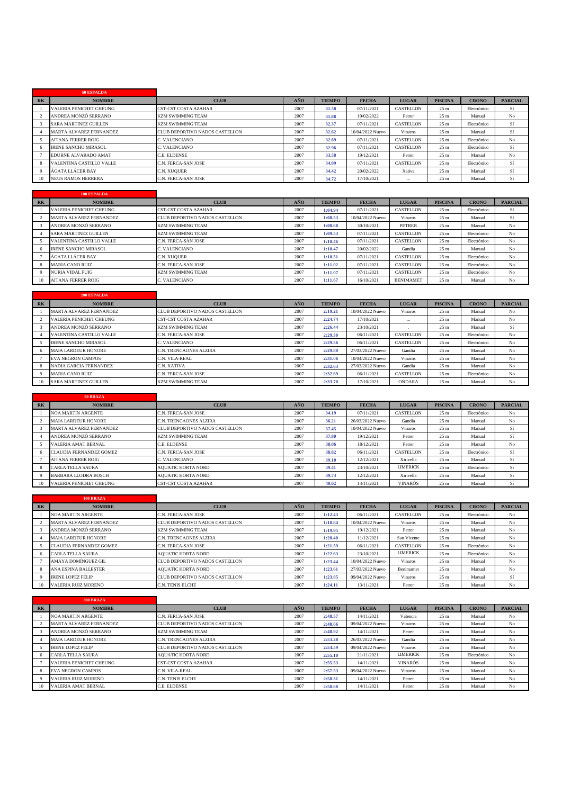|   | 50 ESPALDA                     |                                |      |               |                  |              |                 |              |                |
|---|--------------------------------|--------------------------------|------|---------------|------------------|--------------|-----------------|--------------|----------------|
| R | <b>NOMBRE</b>                  | <b>CLUB</b>                    | AÑO  | <b>TIEMPO</b> | <b>FECHA</b>     | <b>LUGAR</b> | <b>PISCINA</b>  | <b>CRONO</b> | <b>PARCIAL</b> |
|   | <b>VALERIA PENICHET CHEUNG</b> | <b>CST-CST COSTA AZAHAR</b>    | 2007 | 31.58         | 07/11/2021       | CASTELLON    | 25 <sub>m</sub> | Electrónico  | Sí             |
|   | ANDREA MONZÓ SERRANO           | <b>KZM SWIMMING TEAM</b>       | 2007 | 31.88         | 19/02/2022       | Petrer       | 25 <sub>m</sub> | Manual       | N <sub>o</sub> |
|   | <b>SARA MARTINEZ GUILLEN</b>   | <b>KZM SWIMMING TEAM</b>       | 2007 | 32.37         | 07/11/2021       | CASTELLON    | 25 <sub>m</sub> | Electrónico  | Sí             |
|   | MARTA ALVAREZ FERNANDEZ        | CLUB DEPORTIVO NADOS CASTELLON | 2007 | 32.62         | 10/04/2022 Nuevo | Vinaros      | 25 <sub>m</sub> | Manual       | Sí             |
|   | <b>AITANA FERRER ROIG</b>      | C. VALENCIANO                  | 2007 | 32.89         | 07/11/2021       | CASTELLON    | 25 <sub>m</sub> | Electrónico  | No             |
|   | <b>IRENE SANCHO MIRASOL</b>    | C. VALENCIANO                  | 2007 | 32.96         | 07/11/2021       | CASTELLON    | 25 <sub>m</sub> | Electrónico  | Sí             |
|   | EDURNE ALVARADO AMAT           | C.E. ELDENSE                   | 2007 | 33.58         | 19/12/2021       | Petrer       | 25 <sub>m</sub> | Manual       | N <sub>o</sub> |
|   | VALENTINA CASTILLO VALLE       | C.N. FERCA-SAN JOSE            | 2007 | 34.09         | 07/11/2021       | CASTELLON    | 25 <sub>m</sub> | Electrónico  | Sí             |
|   | ÁGATA LLÁCER BAY               | C.N. XUQUER                    | 2007 | 34.42         | 20/02/2022       | Xativa       | 25 <sub>m</sub> | Manual       | Sí             |
|   | <b>NEUS RAMOS HERRERA</b>      | C.N. FERCA-SAN JOSE            | 2007 | 34.72         | 17/10/2021       | $\cdots$     | 25 <sub>m</sub> | Manual       | Sí             |

|           | <b>100 ESPALDA</b>             |                                |      |               |                  |                  |                 |              |                |
|-----------|--------------------------------|--------------------------------|------|---------------|------------------|------------------|-----------------|--------------|----------------|
| <b>RK</b> | <b>NOMBRE</b>                  | <b>CLUB</b>                    | AÑO  | <b>TIEMPO</b> | <b>FECHA</b>     | <b>LUGAR</b>     | <b>PISCINA</b>  | <b>CRONO</b> | <b>PARCIAL</b> |
|           | <b>VALERIA PENICHET CHEUNG</b> | <b>CST-CST COSTA AZAHAR</b>    | 2007 | 1:04.94       | 07/11/2021       | CASTELLON        | 25 <sub>m</sub> | Electrónico  | Sí             |
|           | MARTA ALVAREZ FERNANDEZ        | CLUB DEPORTIVO NADOS CASTELLON | 2007 | 1:08.53       | 10/04/2022 Nuevo | Vinaros          | 25 <sub>m</sub> | Manual       | Sí             |
|           | ANDREA MONZÓ SERRANO           | <b>KZM SWIMMING TEAM</b>       | 2007 | 1:08.68       | 30/10/2021       | <b>PETRER</b>    | 25 <sub>m</sub> | Manual       | No             |
|           | SARA MARTINEZ GUILLEN          | <b>KZM SWIMMING TEAM</b>       | 2007 | 1:09.53       | 07/11/2021       | CASTELLON        | 25 <sub>m</sub> | Electrónico  | No             |
|           | VALENTINA CASTILLO VALLE       | C.N. FERCA-SAN JOSE            | 2007 | 1:10.46       | 07/11/2021       | CASTELLON        | 25 <sub>m</sub> | Electrónico  | No             |
|           | <b>IRENE SANCHO MIRASOL</b>    | C. VALENCIANO                  | 2007 | 1:10.47       | 20/02/2022       | Gandia           | 25 <sub>m</sub> | Manual       | No             |
|           | ÁGATA LLÁCER BAY               | <b>C.N. XUOUER</b>             | 2007 | 1:10.51       | 07/11/2021       | <b>CASTELLON</b> | 25 <sub>m</sub> | Electrónico  | No             |
|           | <b>MARIA CANO RUIZ</b>         | <b>C.N. FERCA-SAN JOSE</b>     | 2007 | 1:11.02       | 07/11/2021       | CASTELLON        | 25 <sub>m</sub> | Electrónico  | No             |
|           | <b>NURIA VIDAL PUIG</b>        | <b>KZM SWIMMING TEAM</b>       | 2007 | 1:11.07       | 07/11/2021       | CASTELLON        | 25 <sub>m</sub> | Electrónico  | No             |
| 10        | <b>AITANA FERRER ROIG</b>      | C. VALENCIANO                  | 2007 | 1:11.67       | 16/10/2021       | <b>BENIMAMET</b> | 25 <sub>m</sub> | Manual       | No             |

|    | 200 ESPALDA                  |                                |      |               |                  |                |                 |              |                |
|----|------------------------------|--------------------------------|------|---------------|------------------|----------------|-----------------|--------------|----------------|
| RK | <b>NOMBRE</b>                | <b>CLUB</b>                    | AÑO  | <b>TIEMPO</b> | <b>FECHA</b>     | <b>LUGAR</b>   | <b>PISCINA</b>  | <b>CRONO</b> | <b>PARCIAL</b> |
|    | MARTA ALVAREZ FERNANDEZ      | CLUB DEPORTIVO NADOS CASTELLON | 2007 | 2:19.21       | 10/04/2022 Nuevo | Vinaros        | 25 <sub>m</sub> | Manual       | No             |
|    | VALERIA PENICHET CHEUNG      | CST-CST COSTA AZAHAR           | 2007 | 2:24.74       | 17/10/2021       | $\cdots$       | 25 <sub>m</sub> | Manual       | N <sub>o</sub> |
|    | ANDREA MONZÓ SERRANO         | <b>KZM SWIMMING TEAM</b>       | 2007 | 2:26.44       | 23/10/2021       |                | 25 <sub>m</sub> | Manual       | Sí             |
|    | VALENTINA CASTILLO VALLE     | C.N. FERCA-SAN JOSE            | 2007 | 2:29.30       | 06/11/2021       | CASTELLON      | 25 <sub>m</sub> | Electrónico  | No             |
|    | <b>IRENE SANCHO MIRASOL</b>  | C. VALENCIANO                  | 2007 | 2:29.56       | 06/11/2021       | CASTELLON      | 25 <sub>m</sub> | Electrónico  | No             |
|    | <b>MAIA LARDEUR HONORE</b>   | C.N. TRENCAONES ALZIRA         | 2007 | 2:29.80       | 27/03/2022 Nuevo | Gandia         | 25 <sub>m</sub> | Manual       | No             |
|    | <b>EVA NEGRON CAMPOS</b>     | C.N. VILA-REAL                 | 2007 | 2:31.06       | 10/04/2022 Nuevo | <b>Vinaros</b> | 25 <sub>m</sub> | Manual       | N <sub>o</sub> |
|    | NADIA GARCIA FERNANDEZ       | C.N. XATIVA                    | 2007 | 2:32.63       | 27/03/2022 Nuevo | Gandia         | 25 <sub>m</sub> | Manual       | No             |
|    | <b>MARIA CANO RUIZ</b>       | C.N. FERCA-SAN JOSE            | 2007 | 2:32.69       | 06/11/2021       | CASTELLON      | 25 <sub>m</sub> | Electrónico  | No             |
|    | <b>SARA MARTINEZ GUILLEN</b> | <b>KZM SWIMMING TEAM</b>       | 2007 | 2:33.70       | 17/10/2021       | ONDARA         | 25 <sub>m</sub> | Manual       | N <sub>o</sub> |

|           | <b>50 BRAZA</b>                |                                |      |               |                  |                 |                 |              |                |
|-----------|--------------------------------|--------------------------------|------|---------------|------------------|-----------------|-----------------|--------------|----------------|
| <b>RK</b> | <b>NOMBRE</b>                  | <b>CLUB</b>                    | AÑO  | <b>TIEMPO</b> | <b>FECHA</b>     | <b>LUGAR</b>    | <b>PISCINA</b>  | <b>CRONO</b> | <b>PARCIAL</b> |
|           | <b>NOA MARTIN ARGENTE</b>      | C.N. FERCA-SAN JOSE            | 2007 | 34.19         | 07/11/2021       | CASTELLON       | 25 <sub>m</sub> | Electrónico  | No             |
|           | <b>MAIA LARDEUR HONORE</b>     | C.N. TRENCAONES ALZIRA         | 2007 | 36.21         | 26/03/2022 Nuevo | Gandia          | 25 <sub>m</sub> | Manual       | No             |
|           | <b>MARTA ALVAREZ FERNANDEZ</b> | CLUB DEPORTIVO NADOS CASTELLON | 2007 | 37.45         | 10/04/2022 Nuevo | Vinaros         | 25 <sub>m</sub> | Manual       | Sí             |
|           | ANDREA MONZÓ SERRANO           | <b>KZM SWIMMING TEAM</b>       | 2007 | 37.80         | 19/12/2021       | Petrer          | 25 <sub>m</sub> | Manual       | Sí             |
|           | <b>VALERIA AMAT BERNAL</b>     | C.E. ELDENSE                   | 2007 | 38.06         | 18/12/2021       | Petrer          | 25 <sub>m</sub> | Manual       | N <sub>o</sub> |
|           | CLAUDIA FERNANDEZ GOMEZ        | C.N. FERCA-SAN JOSE            | 2007 | 38.82         | 06/11/2021       | CASTELLON       | 25 <sub>m</sub> | Electrónico  | Sí             |
|           | <b>AITANA FERRER ROIG</b>      | C. VALENCIANO                  | 2007 | 39.10         | 12/12/2021       | Xirivella       | 25 <sub>m</sub> | Manual       | Sí             |
|           | CARLA TELLA SAURA              | <b>AOUATIC HORTA NORD</b>      | 2007 | 39.41         | 23/10/2021       | <b>LIMERICK</b> | 25 <sub>m</sub> | Electrónico  | Sí             |
|           | <b>BARBARA LLODRA BOSCH</b>    | <b>AOUATIC HORTA NORD</b>      | 2007 | 39.73         | 12/12/2021       | Xirivella       | 25 <sub>m</sub> | Manual       | Sí             |
| 10        | <b>VALERIA PENICHET CHEUNG</b> | <b>CST-CST COSTA AZAHAR</b>    | 2007 | 40.02         | 14/11/2021       | VINARÓS         | 25 <sub>m</sub> | Manual       | Sí             |

|           | <b>100 BRAZA</b>               |                                |      |               |                  |                  |                 |              |                |
|-----------|--------------------------------|--------------------------------|------|---------------|------------------|------------------|-----------------|--------------|----------------|
| <b>RK</b> | <b>NOMBRE</b>                  | <b>CLUB</b>                    | AÑO  | <b>TIEMPO</b> | <b>FECHA</b>     | <b>LUGAR</b>     | <b>PISCINA</b>  | <b>CRONO</b> | <b>PARCIAL</b> |
|           | <b>NOA MARTIN ARGENTE</b>      | C.N. FERCA-SAN JOSE            | 2007 | 1:12.43       | 06/11/2021       | <b>CASTELLON</b> | 25 <sub>m</sub> | Electrónico  | No             |
|           | <b>MARTA ALVAREZ FERNANDEZ</b> | CLUB DEPORTIVO NADOS CASTELLON | 2007 | 1:18.84       | 10/04/2022 Nuevo | Vinaros          | 25 <sub>m</sub> | Manual       | No             |
|           | ANDREA MONZÓ SERRANO           | <b>KZM SWIMMING TEAM</b>       | 2007 | 1:19.95       | 19/12/2021       | Petrer           | 25 <sub>m</sub> | Manual       | No             |
|           | <b>MAIA LARDEUR HONORE</b>     | C.N. TRENCAONES ALZIRA         | 2007 | 1:20.40       | 11/12/2021       | San Vicente      | 25 <sub>m</sub> | Manual       | No             |
|           | <b>CLAUDIA FERNANDEZ GOMEZ</b> | C.N. FERCA-SAN JOSE            | 2007 | 1:21.59       | 06/11/2021       | <b>CASTELLON</b> | 25 <sub>m</sub> | Electrónico  | No             |
|           | <b>CARLA TELLA SAURA</b>       | <b>AOUATIC HORTA NORD</b>      | 2007 | 1:22.63       | 23/10/2021       | <b>LIMERICK</b>  | 25 <sub>m</sub> | Electrónico  | No             |
|           | AMAYA DOMÍNGUEZ GIL            | CLUB DEPORTIVO NADOS CASTELLON | 2007 | 1:23.44       | 10/04/2022 Nuevo | Vinaros          | 25 <sub>m</sub> | Manual       | No             |
|           | ANA ESPINA BALLESTER           | <b>AOUATIC HORTA NORD</b>      | 2007 | 1:23.61       | 27/03/2022 Nuevo | Benimamet        | 25 <sub>m</sub> | Manual       | No             |
|           | <b>IRENE LOPEZ FELIP</b>       | CLUB DEPORTIVO NADOS CASTELLON | 2007 | 1:23.85       | 09/04/2022 Nuevo | Vinaros          | 25 <sub>m</sub> | Manual       | Sí             |
| 10        | <b>VALERIA RUIZ MORENO</b>     | <b>C.N. TENIS ELCHE</b>        | 2007 | 1:24.11       | 13/11/2021       | Petrer           | 25 <sub>m</sub> | Manual       | No             |

|           | 200 BRAZA                      |                                |      |               |                  |                 |                 |              |                |
|-----------|--------------------------------|--------------------------------|------|---------------|------------------|-----------------|-----------------|--------------|----------------|
| <b>RK</b> | <b>NOMBRE</b>                  | <b>CLUB</b>                    | AÑO  | <b>TIEMPO</b> | <b>FECHA</b>     | <b>LUGAR</b>    | <b>PISCINA</b>  | <b>CRONO</b> | <b>PARCIAL</b> |
|           | <b>NOA MARTIN ARGENTE</b>      | C.N. FERCA-SAN JOSE            | 2007 | 2:48.57       | 14/11/2021       | Valencia        | 25 <sub>m</sub> | Manual       | No             |
|           | <b>MARTA ALVAREZ FERNANDEZ</b> | CLUB DEPORTIVO NADOS CASTELLON | 2007 | 2:48.66       | 09/04/2022 Nuevo | Vinaros         | 25 <sub>m</sub> | Manual       | No             |
|           | ANDREA MONZÓ SERRANO           | <b>KZM SWIMMING TEAM</b>       | 2007 | 2:48.92       | 14/11/2021       | Petrer          | 25 <sub>m</sub> | Manual       | No             |
|           | <b>MAIA LARDEUR HONORE</b>     | C.N. TRENCAONES ALZIRA         | 2007 | 2:53.28       | 26/03/2022 Nuevo | Gandia          | 25 <sub>m</sub> | Manual       | No             |
|           | <b>IRENE LOPEZ FELIP</b>       | CLUB DEPORTIVO NADOS CASTELLON | 2007 | 2:54.59       | 09/04/2022 Nuevo | Vinaros         | 25 <sub>m</sub> | Manual       | No             |
|           | <b>CARLA TELLA SAURA</b>       | <b>AOUATIC HORTA NORD</b>      | 2007 | 2:55.10       | 21/11/2021       | <b>LIMERICK</b> | 25 <sub>m</sub> | Electrónico  | No             |
|           | <b>VALERIA PENICHET CHEUNG</b> | <b>CST-CST COSTA AZAHAR</b>    | 2007 | 2:55.53       | 14/11/2021       | <b>VINARÓS</b>  | 25 <sub>m</sub> | Manual       | No             |
|           | <b>EVA NEGRON CAMPOS</b>       | C.N. VILA-REAL                 | 2007 | 2:57.53       | 09/04/2022 Nuevo | Vinaros         | 25 <sub>m</sub> | Manual       | No             |
|           | <b>VALERIA RUIZ MORENO</b>     | C.N. TENIS ELCHE               | 2007 | 2:58.31       | 14/11/2021       | Petrer          | 25 <sub>m</sub> | Manual       | No             |
| 10        | <b>VALERIA AMAT BERNAL</b>     | C.E. ELDENSE                   | 2007 | 2:58.68       | 14/11/2021       | Petrer          | 25 <sub>m</sub> | Manual       | No             |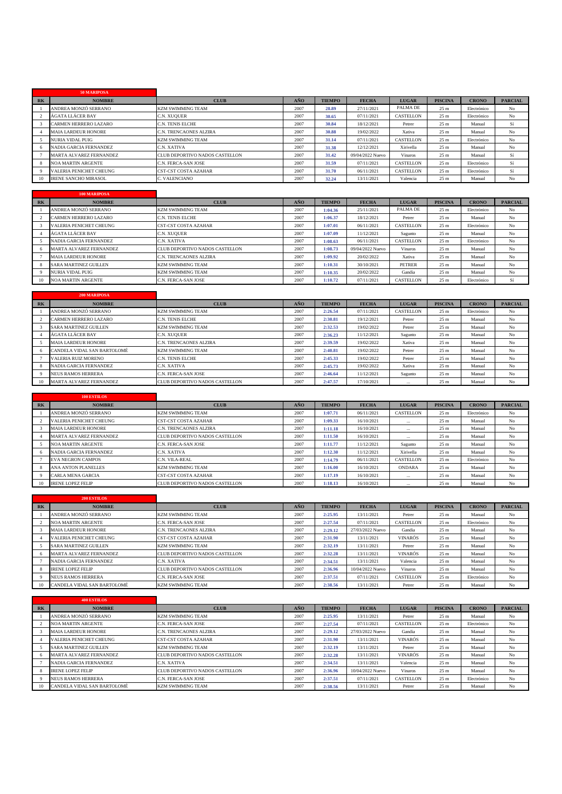|    | 50 MARIPOSA                    |                                |      |               |                  |              |                 |              |                |
|----|--------------------------------|--------------------------------|------|---------------|------------------|--------------|-----------------|--------------|----------------|
| RK | <b>NOMBRE</b>                  | <b>CLUB</b>                    | AÑO  | <b>TIEMPO</b> | <b>FECHA</b>     | <b>LUGAR</b> | <b>PISCINA</b>  | <b>CRONO</b> | <b>PARCIAL</b> |
|    | ANDREA MONZÓ SERRANO           | <b>KZM SWIMMING TEAM</b>       | 2007 | 28.89         | 27/11/2021       | PALMA DE     | 25 <sub>m</sub> | Electrónico  | No             |
|    | ÁGATA LLÁCER BAY               | C.N. XUQUER                    | 2007 | 30.65         | 07/11/2021       | CASTELLON    | 25 <sub>m</sub> | Electrónico  | N <sub>o</sub> |
|    | CARMEN HERRERO LAZARO          | C.N. TENIS ELCHE               | 2007 | 30.84         | 18/12/2021       | Petrer       | 25 <sub>m</sub> | Manual       | Sí             |
|    | <b>MAIA LARDEUR HONORE</b>     | C.N. TRENCAONES ALZIRA         | 2007 | 30.88         | 19/02/2022       | Xativa       | 25 <sub>m</sub> | Manual       | N <sub>o</sub> |
|    | <b>NURIA VIDAL PUIG</b>        | <b>KZM SWIMMING TEAM</b>       | 2007 | 31.14         | 07/11/2021       | CASTELLON    | 25 <sub>m</sub> | Electrónico  | N <sub>o</sub> |
|    | NADIA GARCIA FERNANDEZ         | C.N. XATIVA                    | 2007 | 31.38         | 12/12/2021       | Xirivella    | 25 <sub>m</sub> | Manual       | N <sub>o</sub> |
|    | MARTA ALVAREZ FERNANDEZ        | CLUB DEPORTIVO NADOS CASTELLON | 2007 | 31.42         | 09/04/2022 Nuevo | Vinaros      | 25 <sub>m</sub> | Manual       | Sí             |
|    | <b>NOA MARTIN ARGENTE</b>      | C.N. FERCA-SAN JOSE            | 2007 | 31.59         | 07/11/2021       | CASTELLON    | 25 <sub>m</sub> | Electrónico  | Sí             |
|    | <b>VALERIA PENICHET CHEUNG</b> | <b>CST-CST COSTA AZAHAR</b>    | 2007 | 31.70         | 06/11/2021       | CASTELLON    | 25 <sub>m</sub> | Electrónico  | Sí             |
|    | <b>IRENE SANCHO MIRASOL</b>    | C. VALENCIANO                  | 2007 | 32.24         | 13/11/2021       | Valencia     | 25 <sub>m</sub> | Manual       | No             |

|   | 100 MARIPOSA                   |                                |      |               |                  |                  |                 |              |                |
|---|--------------------------------|--------------------------------|------|---------------|------------------|------------------|-----------------|--------------|----------------|
| R | <b>NOMBRE</b>                  | <b>CLUB</b>                    | AÑO  | <b>TIEMPO</b> | <b>FECHA</b>     | <b>LUGAR</b>     | <b>PISCINA</b>  | <b>CRONO</b> | <b>PARCIAL</b> |
|   | ANDREA MONZÓ SERRANO           | <b>KZM SWIMMING TEAM</b>       | 2007 | 1:04.36       | 25/11/2021       | PALMA DE         | 25 <sub>m</sub> | Electrónico  | No             |
|   | CARMEN HERRERO LAZARO          | C.N. TENIS ELCHE               | 2007 | 1:06.37       | 18/12/2021       | Petrer           | 25 <sub>m</sub> | Manual       | No             |
|   | <b>VALERIA PENICHET CHEUNG</b> | <b>CST-CST COSTA AZAHAR</b>    | 2007 | 1:07.01       | 06/11/2021       | <b>CASTELLON</b> | 25 <sub>m</sub> | Electrónico  | No             |
|   | ÁGATA LLÁCER BAY               | C.N. XUQUER                    | 2007 | 1:07.09       | 11/12/2021       | Sagunto          | 25 <sub>m</sub> | Manual       | No             |
|   | <b>NADIA GARCIA FERNANDEZ</b>  | C.N. XATIVA                    | 2007 | 1:08.63       | 06/11/2021       | <b>CASTELLON</b> | 25 <sub>m</sub> | Electrónico  | No             |
|   | MARTA ALVAREZ FERNANDEZ        | CLUB DEPORTIVO NADOS CASTELLON | 2007 | 1:08.73       | 09/04/2022 Nuevo | Vinaros          | 25 <sub>m</sub> | Manual       | No             |
|   | <b>MAIA LARDEUR HONORE</b>     | C.N. TRENCAONES ALZIRA         | 2007 | 1:09.92       | 20/02/2022       | Xativa           | 25 <sub>m</sub> | Manual       | No             |
|   | <b>SARA MARTINEZ GUILLEN</b>   | <b>KZM SWIMMING TEAM</b>       | 2007 | 1:10.31       | 30/10/2021       | <b>PETRER</b>    | 25 <sub>m</sub> | Manual       | No             |
|   | <b>NURIA VIDAL PUIG</b>        | <b>KZM SWIMMING TEAM</b>       | 2007 | 1:10.35       | 20/02/2022       | Gandia           | 25 <sub>m</sub> | Manual       | No             |
|   | <b>NOA MARTIN ARGENTE</b>      | C.N. FERCA-SAN JOSE            | 2007 | 1:10.72       | 07/11/2021       | <b>CASTELLON</b> | 25 <sub>m</sub> | Electrónico  | Sí             |
|   |                                |                                |      |               |                  |                  |                 |              |                |

|           | 200 MARIPOSA                 |                                |      |               |              |              |                 |              |                |
|-----------|------------------------------|--------------------------------|------|---------------|--------------|--------------|-----------------|--------------|----------------|
| <b>RK</b> | <b>NOMBRE</b>                | <b>CLUB</b>                    | AÑO  | <b>TIEMPO</b> | <b>FECHA</b> | <b>LUGAR</b> | <b>PISCINA</b>  | <b>CRONO</b> | <b>PARCIAL</b> |
|           | ANDREA MONZÓ SERRANO         | <b>KZM SWIMMING TEAM</b>       | 2007 | 2:26.54       | 07/11/2021   | CASTELLON    | 25 <sub>m</sub> | Electrónico  | No             |
|           | <b>CARMEN HERRERO LAZARO</b> | <b>C.N. TENIS ELCHE</b>        | 2007 | 2:30.81       | 19/12/2021   | Petrer       | 25 <sub>m</sub> | Manual       | No             |
|           | SARA MARTINEZ GUILLEN        | <b>KZM SWIMMING TEAM</b>       | 2007 | 2:32.53       | 19/02/2022   | Petrer       | 25 <sub>m</sub> | Manual       | No             |
|           | ÁGATA LLÁCER BAY             | C.N. XUQUER                    | 2007 | 2:36.23       | 11/12/2021   | Sagunto      | 25 <sub>m</sub> | Manual       | No             |
|           | <b>MAIA LARDEUR HONORE</b>   | C.N. TRENCAONES ALZIRA         | 2007 | 2:39.59       | 19/02/2022   | Xativa       | 25 <sub>m</sub> | Manual       | No             |
|           | CANDELA VIDAL SAN BARTOLOMÉ  | <b>KZM SWIMMING TEAM</b>       | 2007 | 2:40.81       | 19/02/2022   | Petrer       | 25 <sub>m</sub> | Manual       | No             |
|           | <b>VALERIA RUIZ MORENO</b>   | <b>C.N. TENIS ELCHE</b>        | 2007 | 2:45.33       | 19/02/2022   | Petrer       | 25 <sub>m</sub> | Manual       | No             |
|           | NADIA GARCIA FERNANDEZ       | C.N. XATIVA                    | 2007 | 2:45.73       | 19/02/2022   | Xativa       | 25 <sub>m</sub> | Manual       | No             |
|           | <b>NEUS RAMOS HERRERA</b>    | C.N. FERCA-SAN JOSE            | 2007 | 2:46.64       | 11/12/2021   | Sagunto      | 25 <sub>m</sub> | Manual       | No             |
| 10        | MARTA ALVAREZ FERNANDEZ      | CLUB DEPORTIVO NADOS CASTELLON | 2007 | 2:47.57       | 17/10/2021   | $\cdots$     | 25 <sub>m</sub> | Manual       | No             |

|           | <b>100 ESTILOS</b>             |                                |      |               |              |                  |                 |              |                |
|-----------|--------------------------------|--------------------------------|------|---------------|--------------|------------------|-----------------|--------------|----------------|
| <b>RK</b> | <b>NOMBRE</b>                  | <b>CLUB</b>                    | AÑO  | <b>TIEMPO</b> | <b>FECHA</b> | <b>LUGAR</b>     | <b>PISCINA</b>  | <b>CRONO</b> | <b>PARCIAL</b> |
|           | ANDREA MONZÓ SERRANO           | <b>KZM SWIMMING TEAM</b>       | 2007 | 1:07.71       | 06/11/2021   | <b>CASTELLON</b> | 25 <sub>m</sub> | Electrónico  | No             |
|           | <b>VALERIA PENICHET CHEUNG</b> | <b>CST-CST COSTA AZAHAR</b>    | 2007 | 1:09.33       | 16/10/2021   | $\cdots$         | 25 <sub>m</sub> | Manual       | No             |
|           | <b>MAIA LARDEUR HONORE</b>     | <b>C.N. TRENCAONES ALZIRA</b>  | 2007 | 1:11.18       | 16/10/2021   | $\cdots$         | 25 <sub>m</sub> | Manual       | No             |
|           | <b>MARTA ALVAREZ FERNANDEZ</b> | CLUB DEPORTIVO NADOS CASTELLON | 2007 | 1:11.50       | 16/10/2021   | $\cdots$         | 25 <sub>m</sub> | Manual       | No             |
|           | <b>NOA MARTIN ARGENTE</b>      | C.N. FERCA-SAN JOSE            | 2007 | 1:11.77       | 11/12/2021   | Sagunto          | 25 <sub>m</sub> | Manual       | No             |
|           | NADIA GARCIA FERNANDEZ         | C.N. XATIVA                    | 2007 | 1:12.30       | 11/12/2021   | Xirivella        | 25 <sub>m</sub> | Manual       | No             |
|           | <b>EVA NEGRON CAMPOS</b>       | C.N. VILA-REAL                 | 2007 | 1:14.79       | 06/11/2021   | CASTELLON        | 25 <sub>m</sub> | Electrónico  | No             |
|           | ANA ANTON PLANELLES            | <b>KZM SWIMMING TEAM</b>       | 2007 | 1:16.00       | 16/10/2021   | <b>ONDARA</b>    | 25 <sub>m</sub> | Manual       | No             |
|           | <b>CARLA MENA GARCIA</b>       | <b>CST-CST COSTA AZAHAR</b>    | 2007 | 1:17.19       | 16/10/2021   | $\cdots$         | 25 <sub>m</sub> | Manual       | No             |
| 10        | <b>IRENE LOPEZ FELIP</b>       | CLUB DEPORTIVO NADOS CASTELLON | 2007 | 1:18.13       | 16/10/2021   | $\cdots$         | 25 <sub>m</sub> | Manual       | No             |

|           | <b>200 ESTILOS</b>             |                                       |      |               |                  |                  |                 |              |                |
|-----------|--------------------------------|---------------------------------------|------|---------------|------------------|------------------|-----------------|--------------|----------------|
| <b>RK</b> | <b>NOMBRE</b>                  | <b>CLUB</b>                           | AÑO  | <b>TIEMPO</b> | <b>FECHA</b>     | <b>LUGAR</b>     | <b>PISCINA</b>  | <b>CRONO</b> | <b>PARCIAL</b> |
|           | ANDREA MONZÓ SERRANO           | <b>KZM SWIMMING TEAM</b>              | 2007 | 2:25.95       | 13/11/2021       | Petrer           | 25 <sub>m</sub> | Manual       | No             |
|           | <b>NOA MARTIN ARGENTE</b>      | C.N. FERCA-SAN JOSE                   | 2007 | 2:27.54       | 07/11/2021       | <b>CASTELLON</b> | 25 <sub>m</sub> | Electrónico  | No             |
|           | <b>MAIA LARDEUR HONORE</b>     | C.N. TRENCAONES ALZIRA                | 2007 | 2:29.12       | 27/03/2022 Nuevo | Gandia           | 25 <sub>m</sub> | Manual       | No             |
|           | <b>VALERIA PENICHET CHEUNG</b> | <b>CST-CST COSTA AZAHAR</b>           | 2007 | 2:31.90       | 13/11/2021       | <b>VINARÓS</b>   | 25 <sub>m</sub> | Manual       | No             |
|           | <b>SARA MARTINEZ GUILLEN</b>   | <b>KZM SWIMMING TEAM</b>              | 2007 | 2:32.19       | 13/11/2021       | Petrer           | 25 <sub>m</sub> | Manual       | No             |
|           | <b>MARTA ALVAREZ FERNANDEZ</b> | CLUB DEPORTIVO NADOS CASTELLON        | 2007 | 2:32.28       | 13/11/2021       | <b>VINARÓS</b>   | 25 <sub>m</sub> | Manual       | No             |
|           | NADIA GARCIA FERNANDEZ         | C.N. XATIVA                           | 2007 | 2:34.51       | 13/11/2021       | Valencia         | 25 <sub>m</sub> | Manual       | No             |
|           | <b>IRENE LOPEZ FELIP</b>       | <b>CLUB DEPORTIVO NADOS CASTELLON</b> | 2007 | 2:36.96       | 10/04/2022 Nuevo | Vinaros          | 25 <sub>m</sub> | Manual       | No             |
|           | <b>NEUS RAMOS HERRERA</b>      | C.N. FERCA-SAN JOSE                   | 2007 | 2:37.51       | 07/11/2021       | CASTELLON        | 25 <sub>m</sub> | Electrónico  | No             |
| 10        | CANDELA VIDAL SAN BARTOLOMÉ    | <b>KZM SWIMMING TEAM</b>              | 2007 | 2:38.56       | 13/11/2021       | Petrer           | 25 <sub>m</sub> | Manual       | No             |

|                | <b>400 ESTILOS</b>             |                                |      |               |                  |                |                 |              |                |
|----------------|--------------------------------|--------------------------------|------|---------------|------------------|----------------|-----------------|--------------|----------------|
| R <sub>K</sub> | <b>NOMBRE</b>                  | <b>CLUB</b>                    | AÑO  | <b>TIEMPO</b> | <b>FECHA</b>     | <b>LUGAR</b>   | <b>PISCINA</b>  | <b>CRONO</b> | <b>PARCIAL</b> |
|                | ANDREA MONZÓ SERRANO           | <b>KZM SWIMMING TEAM</b>       | 2007 | 2:25.95       | 13/11/2021       | Petrer         | 25 <sub>m</sub> | Manual       | No             |
|                | <b>NOA MARTIN ARGENTE</b>      | C.N. FERCA-SAN JOSE            | 2007 | 2:27.54       | 07/11/2021       | CASTELLON      | 25 <sub>m</sub> | Electrónico  | No             |
|                | <b>MAIA LARDEUR HONORE</b>     | C.N. TRENCAONES ALZIRA         | 2007 | 2:29.12       | 27/03/2022 Nuevo | Gandia         | 25 <sub>m</sub> | Manual       | No             |
|                | <b>VALERIA PENICHET CHEUNG</b> | <b>CST-CST COSTA AZAHAR</b>    | 2007 | 2:31.90       | 13/11/2021       | <b>VINARÓS</b> | 25 <sub>m</sub> | Manual       | No             |
|                | <b>SARA MARTINEZ GUILLEN</b>   | <b>KZM SWIMMING TEAM</b>       | 2007 | 2:32.19       | 13/11/2021       | Petrer         | 25 <sub>m</sub> | Manual       | No             |
|                | MARTA ALVAREZ FERNANDEZ        | CLUB DEPORTIVO NADOS CASTELLON | 2007 | 2:32.28       | 13/11/2021       | <b>VINARÓS</b> | 25 <sub>m</sub> | Manual       | N <sub>o</sub> |
|                | <b>NADIA GARCIA FERNANDEZ</b>  | C.N. XATIVA                    | 2007 | 2:34.51       | 13/11/2021       | Valencia       | 25 <sub>m</sub> | Manual       | No             |
|                | <b>IRENE LOPEZ FELIP</b>       | CLUB DEPORTIVO NADOS CASTELLON | 2007 | 2:36.96       | 10/04/2022 Nuevo | Vinaros        | 25 <sub>m</sub> | Manual       | No             |
|                | <b>NEUS RAMOS HERRERA</b>      | C.N. FERCA-SAN JOSE            | 2007 | 2:37.51       | 07/11/2021       | CASTELLON      | 25 <sub>m</sub> | Electrónico  | No             |
| 10             | CANDELA VIDAL SAN BARTOLOMÉ    | <b>KZM SWIMMING TEAM</b>       | 2007 | 2:38.56       | 13/11/2021       | Petrer         | 25 <sub>m</sub> | Manual       | N <sub>o</sub> |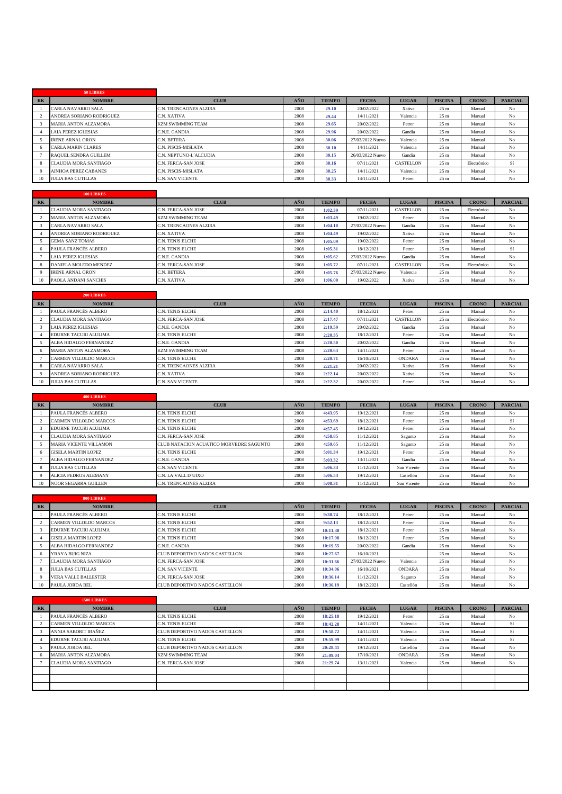|                | 50 LIBRES                    |                          |      |               |                  |              |                 |              |                |
|----------------|------------------------------|--------------------------|------|---------------|------------------|--------------|-----------------|--------------|----------------|
| R <sub>K</sub> | <b>NOMBRE</b>                | <b>CLUB</b>              | AÑO  | <b>TIEMPO</b> | <b>FECHA</b>     | <b>LUGAR</b> | <b>PISCINA</b>  | <b>CRONO</b> | <b>PARCIAL</b> |
|                | <b>CARLA NAVARRO SALA</b>    | C.N. TRENCAONES ALZIRA   | 2008 | 29.10         | 20/02/2022       | Xativa       | 25 <sub>m</sub> | Manual       | No             |
|                | ANDREA SORIANO RODRIGUEZ     | C.N. XATIVA              | 2008 | 29.44         | 14/11/2021       | Valencia     | 25 <sub>m</sub> | Manual       | No             |
|                | <b>MARIA ANTON ALZAMORA</b>  | <b>KZM SWIMMING TEAM</b> | 2008 | 29.65         | 20/02/2022       | Petrer       | 25 <sub>m</sub> | Manual       | N <sub>o</sub> |
|                | <b>LAIA PEREZ IGLESIAS</b>   | C.N.E. GANDIA            | 2008 | 29.96         | 20/02/2022       | Gandia       | 25 <sub>m</sub> | Manual       | N <sub>o</sub> |
|                | <b>IRENE ARNAL ORON</b>      | C.N. BETERA              | 2008 | 30.06         | 27/03/2022 Nuevo | Valencia     | 25 <sub>m</sub> | Manual       | N <sub>o</sub> |
|                | <b>CARLA MARIN CLARES</b>    | C.N. PISCIS-MISLATA      | 2008 | 30.10         | 14/11/2021       | Valencia     | 25 <sub>m</sub> | Manual       | No             |
|                | RAOUEL SENDRA GUILLEM        | C.N. NEPTUNO-L'ALCUDIA   | 2008 | 30.15         | 26/03/2022 Nuevo | Gandia       | 25 <sub>m</sub> | Manual       | No             |
|                | <b>CLAUDIA MORA SANTIAGO</b> | C.N. FERCA-SAN JOSE      | 2008 | 30.16         | 07/11/2021       | CASTELLON    | 25 <sub>m</sub> | Electrónico  | Sí             |
|                | <b>AINHOA PEREZ CABANES</b>  | C.N. PISCIS-MISLATA      | 2008 | 30.25         | 14/11/2021       | Valencia     | 25 <sub>m</sub> | Manual       | N <sub>o</sub> |
| 10             | <b>JULIA BAS CUTILLAS</b>    | <b>C.N. SAN VICENTE</b>  | 2008 | 30.33         | 14/11/2021       | Petrer       | 25 <sub>m</sub> | Manual       | N <sub>o</sub> |

|    | <b>100 LIBRES</b>           |                          |      |               |                  |              |                 |              |                |
|----|-----------------------------|--------------------------|------|---------------|------------------|--------------|-----------------|--------------|----------------|
| RK | <b>NOMBRE</b>               | <b>CLUB</b>              | AÑO  | <b>TIEMPO</b> | <b>FECHA</b>     | <b>LUGAR</b> | <b>PISCINA</b>  | <b>CRONO</b> | <b>PARCIAL</b> |
|    | CLAUDIA MORA SANTIAGO       | C.N. FERCA-SAN JOSE      | 2008 | 1:02.39       | 07/11/2021       | CASTELLON    | 25 <sub>m</sub> | Electrónico  | No             |
|    | <b>MARIA ANTON ALZAMORA</b> | <b>KZM SWIMMING TEAM</b> | 2008 | 1:03.49       | 19/02/2022       | Petrer       | 25 <sub>m</sub> | Manual       | No             |
|    | CARLA NAVARRO SALA          | C.N. TRENCAONES ALZIRA   | 2008 | 1:04.10       | 27/03/2022 Nuevo | Gandia       | 25 <sub>m</sub> | Manual       | No             |
|    | ANDREA SORIANO RODRIGUEZ    | C.N. XATIVA              | 2008 | 1:04.49       | 19/02/2022       | Xativa       | 25 <sub>m</sub> | Manual       | No             |
|    | <b>GEMA SANZ TOMAS</b>      | <b>C.N. TENIS ELCHE</b>  | 2008 | 1:05.09       | 19/02/2022       | Petrer       | 25 <sub>m</sub> | Manual       | No             |
|    | PAULA FRANCÉS ALBERO        | C.N. TENIS ELCHE         | 2008 | 1:05.31       | 18/12/2021       | Petrer       | 25 <sub>m</sub> | Manual       | Sí             |
|    | <b>LAIA PEREZ IGLESIAS</b>  | C.N.E. GANDIA            | 2008 | 1:05.62       | 27/03/2022 Nuevo | Gandia       | 25 <sub>m</sub> | Manual       | No             |
|    | DANIELA MOLEDO MENDEZ       | C.N. FERCA-SAN JOSE      | 2008 | 1:05.72       | 07/11/2021       | CASTELLON    | 25 <sub>m</sub> | Electrónico  | No             |
|    | <b>IRENE ARNAL ORON</b>     | C.N. BETERA              | 2008 | 1:05.76       | 27/03/2022 Nuevo | Valencia     | 25 <sub>m</sub> | Manual       | No             |
|    | PAOLA ANDANI SANCHIS        | C.N. XATIVA              | 2008 | 1:06.00       | 19/02/2022       | Xativa       | 25 <sub>m</sub> | Manual       | No             |

|       | 200 LIBRES                  |                          |      |               |              |               |                 |              |                |
|-------|-----------------------------|--------------------------|------|---------------|--------------|---------------|-----------------|--------------|----------------|
| $R$ K | <b>NOMBRE</b>               | <b>CLUB</b>              | AÑO  | <b>TIEMPO</b> | <b>FECHA</b> | <b>LUGAR</b>  | <b>PISCINA</b>  | <b>CRONO</b> | <b>PARCIAL</b> |
|       | PAULA FRANCÉS ALBERO        | <b>C.N. TENIS ELCHE</b>  | 2008 | 2:14.40       | 18/12/2021   | Petrer        | 25 <sub>m</sub> | Manual       | No             |
|       | CLAUDIA MORA SANTIAGO       | C.N. FERCA-SAN JOSE      | 2008 | 2:17.47       | 07/11/2021   | CASTELLON     | 25 <sub>m</sub> | Electrónico  | No             |
|       | LAIA PEREZ IGLESIAS         | C.N.E. GANDIA            | 2008 | 2:19.59       | 20/02/2022   | Gandia        | 25 <sub>m</sub> | Manual       | N <sub>o</sub> |
|       | EDURNE TACURI ALULIMA       | C.N. TENIS ELCHE         | 2008 | 2:20.35       | 18/12/2021   | Petrer        | 25 <sub>m</sub> | Manual       | N <sub>o</sub> |
|       | ALBA HIDALGO FERNANDEZ      | C.N.E. GANDIA            | 2008 | 2:20.50       | 20/02/2022   | Gandia        | 25 <sub>m</sub> | Manual       | No             |
|       | <b>MARIA ANTON ALZAMORA</b> | <b>KZM SWIMMING TEAM</b> | 2008 | 2:20.63       | 14/11/2021   | Petrer        | 25 <sub>m</sub> | Manual       | No             |
|       | CARMEN VILLOLDO MARCOS      | C.N. TENIS ELCHE         | 2008 | 2:20.71       | 16/10/2021   | <b>ONDARA</b> | 25 <sub>m</sub> | Manual       | N <sub>o</sub> |
|       | CARLA NAVARRO SALA          | C.N. TRENCAONES ALZIRA   | 2008 | 2:21.21       | 20/02/2022   | Xativa        | 25 <sub>m</sub> | Manual       | No             |
|       | ANDREA SORIANO RODRIGUEZ    | C.N. XATIVA              | 2008 | 2:22.14       | 20/02/2022   | Xativa        | 25 <sub>m</sub> | Manual       | No             |
|       | <b>JULIA BAS CUTILLAS</b>   | C.N. SAN VICENTE         | 2008 | 2:22.32       | 20/02/2022   | Petrer        | 25 <sub>m</sub> | Manual       | No             |

|       | 400 LIBRES                    |                                         |      |               |              |              |                 |              |                |
|-------|-------------------------------|-----------------------------------------|------|---------------|--------------|--------------|-----------------|--------------|----------------|
| $R$ K | <b>NOMBRE</b>                 | <b>CLUB</b>                             | AÑO  | <b>TIEMPO</b> | <b>FECHA</b> | <b>LUGAR</b> | <b>PISCINA</b>  | <b>CRONO</b> | <b>PARCIAL</b> |
|       | PAULA FRANCÉS ALBERO          | C.N. TENIS ELCHE                        | 2008 | 4:43.95       | 19/12/2021   | Petrer       | 25 <sub>m</sub> | Manual       | No             |
|       | CARMEN VILLOLDO MARCOS        | C.N. TENIS ELCHE                        | 2008 | 4:53.69       | 18/12/2021   | Petrer       | 25 <sub>m</sub> | Manual       | Sí             |
|       | EDURNE TACURI ALULIMA         | C.N. TENIS ELCHE                        | 2008 | 4:57.45       | 19/12/2021   | Petrer       | 25 <sub>m</sub> | Manual       | No             |
|       | <b>CLAUDIA MORA SANTIAGO</b>  | C.N. FERCA-SAN JOSE                     | 2008 | 4:58.85       | 11/12/2021   | Sagunto      | 25 <sub>m</sub> | Manual       | No             |
|       | <b>MARIA VICENTE VILLAMON</b> | CLUB NATACION ACUATICO MORVEDRE SAGUNTO | 2008 | 4:59.65       | 11/12/2021   | Sagunto      | 25 <sub>m</sub> | Manual       | No             |
|       | <b>GISELA MARTIN LOPEZ</b>    | C.N. TENIS ELCHE                        | 2008 | 5:01.34       | 19/12/2021   | Petrer       | 25 <sub>m</sub> | Manual       | No             |
|       | ALBA HIDALGO FERNANDEZ        | C.N.E. GANDIA                           | 2008 | 5:03.32       | 13/11/2021   | Gandia       | 25 <sub>m</sub> | Manual       | No             |
|       | <b>JULIA BAS CUTILLAS</b>     | C.N. SAN VICENTE                        | 2008 | 5:06.34       | 11/12/2021   | San Vicente  | 25 <sub>m</sub> | Manual       | No             |
|       | ALICIA PEDROS ALEMANY         | C.N. LA VALL D'UIXO                     | 2008 | 5:06.54       | 19/12/2021   | Castellón    | 25 <sub>m</sub> | Manual       | No             |
| 10    | <b>NOOR SEGARRA GUILLEN</b>   | C.N. TRENCAONES ALZIRA                  | 2008 | 5:08.31       | 11/12/2021   | San Vicente  | 25 <sub>m</sub> | Manual       | No             |

|           | 800 LIBRES                    |                                |      |               |                  |               |                 |              |                |
|-----------|-------------------------------|--------------------------------|------|---------------|------------------|---------------|-----------------|--------------|----------------|
| <b>RK</b> | <b>NOMBRE</b>                 | <b>CLUB</b>                    | AÑO  | <b>TIEMPO</b> | <b>FECHA</b>     | <b>LUGAR</b>  | <b>PISCINA</b>  | <b>CRONO</b> | <b>PARCIAL</b> |
|           | PAULA FRANCÉS ALBERO          | <b>C.N. TENIS ELCHE</b>        | 2008 | 9:38.74       | 18/12/2021       | Petrer        | 25 <sub>m</sub> | Manual       | No             |
|           | <b>CARMEN VILLOLDO MARCOS</b> | <b>C.N. TENIS ELCHE</b>        | 2008 | 9:52.13       | 18/12/2021       | Petrer        | 25 <sub>m</sub> | Manual       | No             |
|           | EDURNE TACURI ALULIMA         | <b>C.N. TENIS ELCHE</b>        | 2008 | 10:11.38      | 18/12/2021       | Petrer        | 25 <sub>m</sub> | Manual       | No             |
|           | <b>GISELA MARTIN LOPEZ</b>    | <b>C.N. TENIS ELCHE</b>        | 2008 | 10:17.98      | 18/12/2021       | Petrer        | 25 <sub>m</sub> | Manual       | No             |
|           | ALBA HIDALGO FERNANDEZ        | C.N.E. GANDIA                  | 2008 | 10:19.55      | 20/02/2022       | Gandia        | 25 <sub>m</sub> | Manual       | No             |
|           | YRAYA BUIG NIZA               | CLUB DEPORTIVO NADOS CASTELLON | 2008 | 10:27.67      | 16/10/2021       | $\cdots$      | 25 <sub>m</sub> | Manual       | No             |
|           | <b>CLAUDIA MORA SANTIAGO</b>  | C.N. FERCA-SAN JOSE            | 2008 | 10:31.66      | 27/03/2022 Nuevo | Valencia      | 25 <sub>m</sub> | Manual       | No             |
|           | <b>JULIA BAS CUTILLAS</b>     | C.N. SAN VICENTE               | 2008 | 10:34.06      | 16/10/2021       | <b>ONDARA</b> | 25 <sub>m</sub> | Manual       | No             |
|           | <b>VERA VALLE BALLESTER</b>   | C.N. FERCA-SAN JOSE            | 2008 | 10:36.14      | 11/12/2021       | Sagunto       | 25 <sub>m</sub> | Manual       | No             |
| 10        | <b>PAULA JORDA BEL</b>        | CLUB DEPORTIVO NADOS CASTELLON | 2008 | 10:36.19      | 18/12/2021       | Castellón     | 25 <sub>m</sub> | Manual       | No             |

|           | <b>1500 LIBRES</b>            |                                |      |               |              |               |                 |              |                |
|-----------|-------------------------------|--------------------------------|------|---------------|--------------|---------------|-----------------|--------------|----------------|
| <b>RK</b> | <b>NOMBRE</b>                 | <b>CLUB</b>                    | AÑO  | <b>TIEMPO</b> | <b>FECHA</b> | <b>LUGAR</b>  | <b>PISCINA</b>  | <b>CRONO</b> | <b>PARCIAL</b> |
|           | PAULA FRANCÉS ALBERO          | C.N. TENIS ELCHE               | 2008 | 18:25.18      | 19/12/2021   | Petrer        | 25 <sub>m</sub> | Manual       | No             |
|           | <b>CARMEN VILLOLDO MARCOS</b> | C.N. TENIS ELCHE               | 2008 | 18:42.28      | 14/11/2021   | Valencia      | 25 <sub>m</sub> | Manual       | Sí             |
|           | ANNIA SABORIT IBAÑEZ          | CLUB DEPORTIVO NADOS CASTELLON | 2008 | 19:58.72      | 14/11/2021   | Valencia      | 25 <sub>m</sub> | Manual       | Sí             |
|           | EDURNE TACURI ALULIMA         | C.N. TENIS ELCHE               | 2008 | 19:59.99      | 14/11/2021   | Valencia      | 25 <sub>m</sub> | Manual       | Sí             |
|           | <b>PAULA JORDA BEL</b>        | CLUB DEPORTIVO NADOS CASTELLON | 2008 | 20:28.41      | 19/12/2021   | Castellón     | 25 <sub>m</sub> | Manual       | No             |
|           | <b>MARIA ANTON ALZAMORA</b>   | <b>KZM SWIMMING TEAM</b>       | 2008 | 21:09.04      | 17/10/2021   | <b>ONDARA</b> | 25 <sub>m</sub> | Manual       | No             |
|           | CLAUDIA MORA SANTIAGO         | C.N. FERCA-SAN JOSE            | 2008 | 21:29.74      | 13/11/2021   | Valencia      | 25 <sub>m</sub> | Manual       | No             |
|           |                               |                                |      |               |              |               |                 |              |                |
|           |                               |                                |      |               |              |               |                 |              |                |
|           |                               |                                |      |               |              |               |                 |              |                |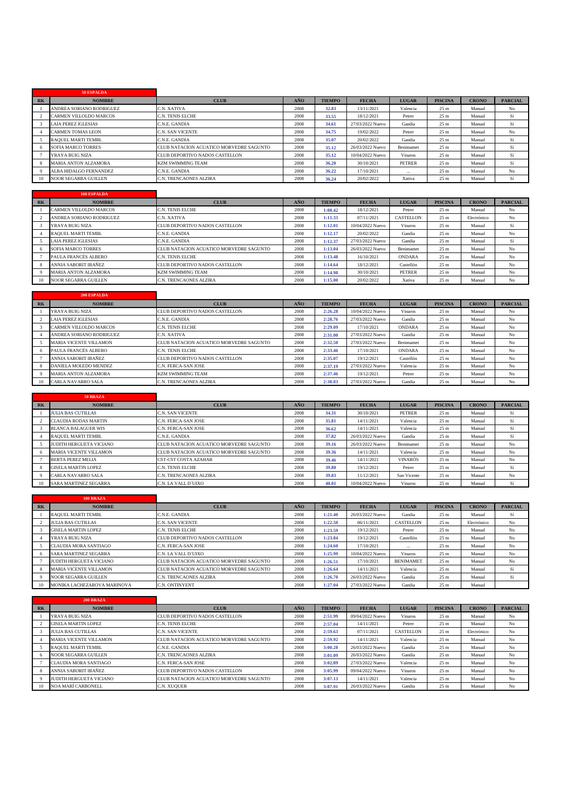|   | 50 ESPALDA                  |                                         |      |               |                  |               |                 |              |                |
|---|-----------------------------|-----------------------------------------|------|---------------|------------------|---------------|-----------------|--------------|----------------|
| R | <b>NOMBRE</b>               | <b>CLUB</b>                             | AÑO  | <b>TIEMPO</b> | <b>FECHA</b>     | <b>LUGAR</b>  | <b>PISCINA</b>  | <b>CRONO</b> | <b>PARCIAL</b> |
|   | ANDREA SORIANO RODRIGUEZ    | C.N. XATIVA                             | 2008 | 32.83         | 13/11/2021       | Valencia      | 25 <sub>m</sub> | Manual       | No             |
|   | CARMEN VILLOLDO MARCOS      | C.N. TENIS ELCHE                        | 2008 | 33.55         | 18/12/2021       | Petrer        | 25 <sub>m</sub> | Manual       | Sí             |
|   | <b>LAIA PEREZ IGLESIAS</b>  | C.N.E. GANDIA                           | 2008 | 34.61         | 27/03/2022 Nuevo | Gandia        | 25 <sub>m</sub> | Manual       | Sí             |
|   | <b>CARMEN TOMAS LEON</b>    | C.N. SAN VICENTE                        | 2008 | 34.75         | 19/02/2022       | Petrer        | 25 <sub>m</sub> | Manual       | No             |
|   | <b>RAOUEL MARTI TEMBL</b>   | C.N.E. GANDIA                           | 2008 | 35.07         | 20/02/2022       | Gandia        | 25 <sub>m</sub> | Manual       | Sí             |
|   | <b>SOFIA MARCO TORRES</b>   | CLUB NATACION ACUATICO MORVEDRE SAGUNTO | 2008 | 35.12         | 26/03/2022 Nuevo | Benimamet     | 25 <sub>m</sub> | Manual       | Sí             |
|   | YRAYA BUIG NIZA             | CLUB DEPORTIVO NADOS CASTELLON          | 2008 | 35.12         | 10/04/2022 Nuevo | Vinaros       | 25 <sub>m</sub> | Manual       | Sí             |
|   | <b>MARIA ANTON ALZAMORA</b> | <b>KZM SWIMMING TEAM</b>                | 2008 | 36.20         | 30/10/2021       | <b>PETRER</b> | 25 <sub>m</sub> | Manual       | Sí             |
|   | ALBA HIDALGO FERNANDEZ      | C.N.E. GANDIA                           | 2008 | 36.22         | 17/10/2021       | $\cdots$      | 25 <sub>m</sub> | Manual       | No             |
|   | <b>NOOR SEGARRA GUILLEN</b> | C.N. TRENCAONES ALZIRA                  | 2008 | 36.24         | 20/02/2022       | Xativa        | 25 <sub>m</sub> | Manual       | Sí             |

|           | <b>100 ESPALDA</b>          |                                         |      |               |                  |               |                 |              |                |
|-----------|-----------------------------|-----------------------------------------|------|---------------|------------------|---------------|-----------------|--------------|----------------|
| <b>RK</b> | <b>NOMBRE</b>               | <b>CLUB</b>                             | AÑO  | <b>TIEMPO</b> | <b>FECHA</b>     | <b>LUGAR</b>  | <b>PISCINA</b>  | <b>CRONO</b> | <b>PARCIAL</b> |
|           | CARMEN VILLOLDO MARCOS      | <b>C.N. TENIS ELCHE</b>                 | 2008 | 1:08.42       | 18/12/2021       | Petrer        | 25 <sub>m</sub> | Manual       | No             |
|           | ANDREA SORIANO RODRIGUEZ    | C.N. XATIVA                             | 2008 | 1:11.33       | 07/11/2021       | CASTELLON     | 25 <sub>m</sub> | Electrónico  | No             |
|           | YRAYA BUIG NIZA             | CLUB DEPORTIVO NADOS CASTELLON          | 2008 | 1:12.01       | 10/04/2022 Nuevo | Vinaros       | 25 <sub>m</sub> | Manual       | Sí             |
|           | <b>RAOUEL MARTI TEMBL</b>   | C.N.E. GANDIA                           | 2008 | 1:12.17       | 20/02/2022       | Gandia        | 25 <sub>m</sub> | Manual       | No             |
|           | <b>LAIA PEREZ IGLESIAS</b>  | C.N.E. GANDIA                           | 2008 | 1:12.37       | 27/03/2022 Nuevo | Gandia        | 25 <sub>m</sub> | Manual       | Sí             |
|           | <b>SOFIA MARCO TORRES</b>   | CLUB NATACION ACUATICO MORVEDRE SAGUNTO | 2008 | 1:13.04       | 26/03/2022 Nuevo | Benimamet     | 25 <sub>m</sub> | Manual       | No             |
|           | PAULA FRANCÉS ALBERO        | <b>C.N. TENIS ELCHE</b>                 | 2008 | 1:13.48       | 16/10/2021       | ONDARA        | 25 <sub>m</sub> | Manual       | No             |
|           | <b>ANNIA SABORIT IBAÑEZ</b> | CLUB DEPORTIVO NADOS CASTELLON          | 2008 | 1:14.64       | 18/12/2021       | Castellón     | 25 <sub>m</sub> | Manual       | No             |
|           | <b>MARIA ANTON ALZAMORA</b> | <b>KZM SWIMMING TEAM</b>                | 2008 | 1:14.98       | 30/10/2021       | <b>PETRER</b> | 25 <sub>m</sub> | Manual       | No             |
| 10        | <b>NOOR SEGARRA GUILLEN</b> | C.N. TRENCAONES ALZIRA                  | 2008 | 1:15.00       | 20/02/2022       | Xativa        | 25 <sub>m</sub> | Manual       | No             |

|           | 200 ESPALDA                   |                                         |      |               |                  |               |                 |              |                |
|-----------|-------------------------------|-----------------------------------------|------|---------------|------------------|---------------|-----------------|--------------|----------------|
| <b>RK</b> | <b>NOMBRE</b>                 | <b>CLUB</b>                             | AÑO  | <b>TIEMPO</b> | <b>FECHA</b>     | <b>LUGAR</b>  | <b>PISCINA</b>  | <b>CRONO</b> | <b>PARCIAL</b> |
|           | YRAYA BUIG NIZA               | CLUB DEPORTIVO NADOS CASTELLON          | 2008 | 2:26.28       | 10/04/2022 Nuevo | Vinaros       | 25 <sub>m</sub> | Manual       | No             |
|           | <b>LAIA PEREZ IGLESIAS</b>    | C.N.E. GANDIA                           | 2008 | 2:28.76       | 27/03/2022 Nuevo | Gandia        | 25 <sub>m</sub> | Manual       | No             |
|           | CARMEN VILLOLDO MARCOS        | C.N. TENIS ELCHE                        | 2008 | 2:29.09       | 17/10/2021       | <b>ONDARA</b> | 25 <sub>m</sub> | Manual       | No             |
|           | ANDREA SORIANO RODRIGUEZ      | C.N. XATIVA                             | 2008 | 2:31.00       | 27/03/2022 Nuevo | Gandia        | 25 <sub>m</sub> | Manual       | No             |
|           | <b>MARIA VICENTE VILLAMON</b> | CLUB NATACION ACUATICO MORVEDRE SAGUNTO | 2008 | 2:32.50       | 27/03/2022 Nuevo | Benimamet     | 25 <sub>m</sub> | Manual       | No             |
|           | PAULA FRANCÉS ALBERO          | C.N. TENIS ELCHE                        | 2008 | 2:33.46       | 17/10/2021       | <b>ONDARA</b> | 25 <sub>m</sub> | Manual       | No             |
|           | <b>ANNIA SABORIT IBAÑEZ</b>   | CLUB DEPORTIVO NADOS CASTELLON          | 2008 | 2:35.07       | 19/12/2021       | Castellón     | 25 <sub>m</sub> | Manual       | No             |
|           | DANIELA MOLEDO MENDEZ         | C.N. FERCA-SAN JOSE                     | 2008 | 2:37.19       | 27/03/2022 Nuevo | Valencia      | 25 <sub>m</sub> | Manual       | No             |
|           | <b>MARIA ANTON ALZAMORA</b>   | <b>KZM SWIMMING TEAM</b>                | 2008 | 2:37.46       | 19/12/2021       | Petrer        | 25 <sub>m</sub> | Manual       | No             |
|           | <b>CARLA NAVARRO SALA</b>     | C.N. TRENCAONES ALZIRA                  | 2008 | 2:38.83       | 27/03/2022 Nuevo | Gandia        | 25 <sub>m</sub> | Manual       | No             |

|       | <b>50 BRAZA</b>               |                                         |      |               |                  |                |                 |              |                |
|-------|-------------------------------|-----------------------------------------|------|---------------|------------------|----------------|-----------------|--------------|----------------|
| $R$ K | <b>NOMBRE</b>                 | <b>CLUB</b>                             | AÑO  | <b>TIEMPO</b> | <b>FECHA</b>     | <b>LUGAR</b>   | <b>PISCINA</b>  | <b>CRONO</b> | <b>PARCIAL</b> |
|       | <b>JULIA BAS CUTILLAS</b>     | <b>C.N. SAN VICENTE</b>                 | 2008 | 34.31         | 30/10/2021       | <b>PETRER</b>  | 25 <sub>m</sub> | Manual       | Sí             |
|       | <b>CLAUDIA RODAS MARTIN</b>   | <b>C.N. FERCA-SAN JOSE</b>              | 2008 | 35.81         | 14/11/2021       | Valencia       | 25 <sub>m</sub> | Manual       | Sí             |
|       | <b>BLANCA BALAGUER WIS</b>    | C.N. FERCA-SAN JOSE                     | 2008 | 36.62         | 14/11/2021       | Valencia       | 25 <sub>m</sub> | Manual       | Sí             |
|       | <b>RAOUEL MARTI TEMBL</b>     | C.N.E. GANDIA                           | 2008 | 37.82         | 26/03/2022 Nuevo | Gandia         | 25 <sub>m</sub> | Manual       | Sí             |
|       | JUDITH HERGUETA VICIANO       | CLUB NATACION ACUATICO MORVEDRE SAGUNTO | 2008 | 39.16         | 26/03/2022 Nuevo | Benimamet      | 25 <sub>m</sub> | Manual       | No             |
|       | <b>MARIA VICENTE VILLAMON</b> | CLUB NATACION ACUATICO MORVEDRE SAGUNTO | 2008 | 39.36         | 14/11/2021       | Valencia       | 25 <sub>m</sub> | Manual       | No             |
|       | <b>BERTA PEREZ MELIA</b>      | <b>CST-CST COSTA AZAHAR</b>             | 2008 | 39.46         | 14/11/2021       | <b>VINARÓS</b> | 25 <sub>m</sub> | Manual       | No             |
|       | <b>GISELA MARTIN LOPEZ</b>    | <b>C.N. TENIS ELCHE</b>                 | 2008 | 39.80         | 19/12/2021       | Petrer         | 25 <sub>m</sub> | Manual       | Sí             |
|       | <b>CARLA NAVARRO SALA</b>     | <b>C.N. TRENCAONES ALZIRA</b>           | 2008 | 39.83         | 11/12/2021       | San Vicente    | 25 <sub>m</sub> | Manual       | No             |
| 10    | <b>SARA MARTINEZ SEGARRA</b>  | C.N. LA VALL D'UIXO                     | 2008 | 40.01         | 10/04/2022 Nuevo | Vinaros        | 25 <sub>m</sub> | Manual       | Sí             |

|           | <b>100 BRAZA</b>              |                                         |      |               |                  |                  |                 |              |                |
|-----------|-------------------------------|-----------------------------------------|------|---------------|------------------|------------------|-----------------|--------------|----------------|
| <b>RK</b> | <b>NOMBRE</b>                 | <b>CLUB</b>                             | AÑO  | <b>TIEMPO</b> | <b>FECHA</b>     | <b>LUGAR</b>     | <b>PISCINA</b>  | <b>CRONO</b> | <b>PARCIAL</b> |
|           | <b>RAOUEL MARTI TEMBL</b>     | C.N.E. GANDIA                           | 2008 | 1:21.40       | 26/03/2022 Nuevo | Gandia           | 25 <sub>m</sub> | Manual       | Sí             |
|           | <b>JULIA BAS CUTILLAS</b>     | C.N. SAN VICENTE                        | 2008 | 1:22.50       | 06/11/2021       | <b>CASTELLON</b> | 25 <sub>m</sub> | Electrónico  | No             |
|           | <b>GISELA MARTIN LOPEZ</b>    | <b>C.N. TENIS ELCHE</b>                 | 2008 | 1:23.59       | 19/12/2021       | Petrer           | 25 <sub>m</sub> | Manual       | No             |
|           | YRAYA BUIG NIZA               | <b>CLUB DEPORTIVO NADOS CASTELLON</b>   | 2008 | 1:23.84       | 19/12/2021       | Castellón        | 25 <sub>m</sub> | Manual       | No             |
|           | CLAUDIA MORA SANTIAGO         | C.N. FERCA-SAN JOSE                     | 2008 | 1:24.60       | 17/10/2021       | $\cdots$         | 25 <sub>m</sub> | Manual       | No             |
|           | SARA MARTINEZ SEGARRA         | C.N. LA VALL D'UIXO                     | 2008 | 1:25.99       | 10/04/2022 Nuevo | Vinaros          | 25 <sub>m</sub> | Manual       | No             |
|           | JUDITH HERGUETA VICIANO       | CLUB NATACION ACUATICO MORVEDRE SAGUNTO | 2008 | 1:26.51       | 17/10/2021       | <b>BENIMAMET</b> | 25 <sub>m</sub> | Manual       | No             |
|           | <b>MARIA VICENTE VILLAMON</b> | CLUB NATACION ACUATICO MORVEDRE SAGUNTO | 2008 | 1:26.64       | 14/11/2021       | Valencia         | 25 <sub>m</sub> | Manual       | Sí             |
|           | NOOR SEGARRA GUILLEN          | C.N. TRENCAONES ALZIRA                  | 2008 | 1:26.70       | 26/03/2022 Nuevo | Gandia           | 25 <sub>m</sub> | Manual       | Sí             |
| 10        | MONIKA LACHEZAROVA MARINOVA   | <b>C.N. ONTINYENT</b>                   | 2008 | 1:27.04       | 27/03/2022 Nuevo | Gandia           | 25 <sub>m</sub> | Manual       |                |

|                | <b>200 BRAZA</b>               |                                         |      |               |                  |              |                 |              |                |
|----------------|--------------------------------|-----------------------------------------|------|---------------|------------------|--------------|-----------------|--------------|----------------|
| R <sub>K</sub> | <b>NOMBRE</b>                  | <b>CLUB</b>                             | AÑO  | <b>TIEMPO</b> | <b>FECHA</b>     | <b>LUGAR</b> | <b>PISCINA</b>  | <b>CRONO</b> | <b>PARCIAL</b> |
|                | YRAYA BUIG NIZA                | CLUB DEPORTIVO NADOS CASTELLON          | 2008 | 2:51.99       | 09/04/2022 Nuevo | Vinaros      | 25 <sub>m</sub> | Manual       | No             |
|                | <b>GISELA MARTIN LOPEZ</b>     | C.N. TENIS ELCHE                        | 2008 | 2:57.04       | 14/11/2021       | Petrer       | 25 <sub>m</sub> | Manual       | No             |
|                | <b>JULIA BAS CUTILLAS</b>      | C.N. SAN VICENTE                        | 2008 | 2:59.63       | 07/11/2021       | CASTELLON    | 25 <sub>m</sub> | Electrónico  | No             |
|                | <b>MARIA VICENTE VILLAMON</b>  | CLUB NATACION ACUATICO MORVEDRE SAGUNTO | 2008 | 2:59.92       | 14/11/2021       | Valencia     | 25 <sub>m</sub> | Manual       | No             |
|                | <b>RAOUEL MARTI TEMBL</b>      | C.N.E. GANDIA                           | 2008 | 3:00.28       | 26/03/2022 Nuevo | Gandia       | 25 <sub>m</sub> | Manual       | No             |
|                | <b>NOOR SEGARRA GUILLEN</b>    | C.N. TRENCAONES ALZIRA                  | 2008 | 3:01.09       | 26/03/2022 Nuevo | Gandia       | 25 <sub>m</sub> | Manual       | No             |
|                | <b>CLAUDIA MORA SANTIAGO</b>   | C.N. FERCA-SAN JOSE                     | 2008 | 3:02.89       | 27/03/2022 Nuevo | Valencia     | 25 <sub>m</sub> | Manual       | No             |
|                | ANNIA SABORIT IBAÑEZ           | CLUB DEPORTIVO NADOS CASTELLON          | 2008 | 3:05.99       | 09/04/2022 Nuevo | Vinaros      | 25 <sub>m</sub> | Manual       | No             |
|                | <b>JUDITH HERGUETA VICIANO</b> | CLUB NATACION ACUATICO MORVEDRE SAGUNTO | 2008 | 3:07.13       | 14/11/2021       | Valencia     | 25 <sub>m</sub> | Manual       | No             |
| 10             | <b>NOA MARÍ CARBONELL</b>      | C.N. XUQUER                             | 2008 | 3:07.91       | 26/03/2022 Nuevo | Gandia       | 25 <sub>m</sub> | Manual       | No             |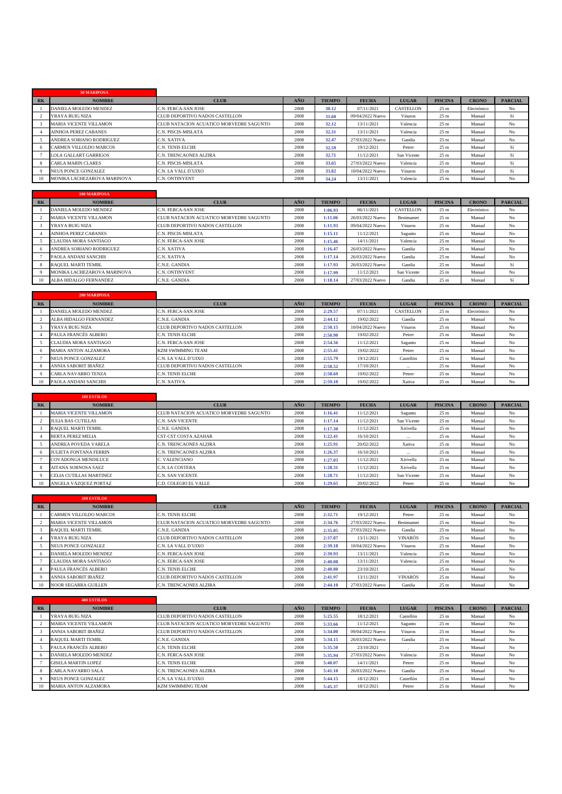|                | 50 MARIPOSA                   |                                         |      |               |                  |                  |                 |              |                |
|----------------|-------------------------------|-----------------------------------------|------|---------------|------------------|------------------|-----------------|--------------|----------------|
| R <sub>K</sub> | <b>NOMBRE</b>                 | <b>CLUB</b>                             | AÑO  | <b>TIEMPO</b> | <b>FECHA</b>     | <b>LUGAR</b>     | <b>PISCINA</b>  | <b>CRONO</b> | <b>PARCIAL</b> |
|                | DANIELA MOLEDO MENDEZ         | C.N. FERCA-SAN JOSE                     | 2008 | 30.12         | 07/11/2021       | <b>CASTELLON</b> | 25 <sub>m</sub> | Electrónico  | No             |
|                | YRAYA BUIG NIZA               | CLUB DEPORTIVO NADOS CASTELLON          | 2008 | 31.60         | 09/04/2022 Nuevo | <b>Vinaros</b>   | 25 <sub>m</sub> | Manual       | Sí             |
|                | <b>MARIA VICENTE VILLAMON</b> | CLUB NATACION ACUATICO MORVEDRE SAGUNTO | 2008 | 32.12         | 13/11/2021       | Valencia         | 25 <sub>m</sub> | Manual       | No             |
|                | <b>AINHOA PEREZ CABANES</b>   | C.N. PISCIS-MISLATA                     | 2008 | 32.31         | 13/11/2021       | Valencia         | 25 <sub>m</sub> | Manual       | No             |
|                | ANDREA SORIANO RODRIGUEZ      | C.N. XATIVA                             | 2008 | 32.47         | 27/03/2022 Nuevo | Gandia           | 25 <sub>m</sub> | Manual       | No             |
|                | CARMEN VILLOLDO MARCOS        | C.N. TENIS ELCHE                        | 2008 | 32.59         | 19/12/2021       | Petrer           | 25 <sub>m</sub> | Manual       | Sí             |
|                | <b>LOLA GALLART GARRIGOS</b>  | C.N. TRENCAONES ALZIRA                  | 2008 | 32.71         | 11/12/2021       | San Vicente      | 25 <sub>m</sub> | Manual       | Sí             |
|                | <b>CARLA MARIN CLARES</b>     | C.N. PISCIS-MISLATA                     | 2008 | 33.65         | 27/03/2022 Nuevo | Valencia         | 25 <sub>m</sub> | Manual       | Sí             |
|                | NEUS PONCE GONZALEZ           | C.N. LA VALL D'UIXO                     | 2008 | 33.82         | 10/04/2022 Nuevo | Vinaros          | 25 <sub>m</sub> | Manual       | Sí             |
| 10             | MONIKA LACHEZAROVA MARINOVA   | <b>C.N. ONTINYENT</b>                   | 2008 | 34.24         | 13/11/2021       | Valencia         | 25 <sub>m</sub> | Manual       | N <sub>o</sub> |

|           | <b>100 MARIPOSA</b>           |                                         |      |               |                  |              |                 |              |                |
|-----------|-------------------------------|-----------------------------------------|------|---------------|------------------|--------------|-----------------|--------------|----------------|
| <b>RK</b> | <b>NOMBRE</b>                 | <b>CLUB</b>                             | AÑO  | <b>TIEMPO</b> | <b>FECHA</b>     | <b>LUGAR</b> | <b>PISCINA</b>  | <b>CRONO</b> | <b>PARCIAL</b> |
|           | DANIELA MOLEDO MENDEZ         | C.N. FERCA-SAN JOSE                     | 2008 | 1:06.93       | 06/11/2021       | CASTELLON    | 25 <sub>m</sub> | Electrónico  | No             |
|           | <b>MARIA VICENTE VILLAMON</b> | CLUB NATACION ACUATICO MORVEDRE SAGUNTO | 2008 | 1:11.06       | 26/03/2022 Nuevo | Benimamet    | 25 <sub>m</sub> | Manual       | No             |
|           | YRAYA BUIG NIZA               | CLUB DEPORTIVO NADOS CASTELLON          | 2008 | 1:11.93       | 09/04/2022 Nuevo | Vinaros      | 25 <sub>m</sub> | Manual       | No             |
|           | <b>AINHOA PEREZ CABANES</b>   | <b>C.N. PISCIS-MISLATA</b>              | 2008 | 1:15.11       | 11/12/2021       | Sagunto      | 25 <sub>m</sub> | Manual       | No             |
|           | CLAUDIA MORA SANTIAGO         | C.N. FERCA-SAN JOSE                     | 2008 | 1:15.46       | 14/11/2021       | Valencia     | 25 <sub>m</sub> | Manual       | No             |
|           | ANDREA SORIANO RODRIGUEZ      | C.N. XATIVA                             | 2008 | 1:16.47       | 26/03/2022 Nuevo | Gandia       | 25 <sub>m</sub> | Manual       | No             |
|           | PAOLA ANDANI SANCHIS          | C.N. XATIVA                             | 2008 | 1:17.14       | 26/03/2022 Nuevo | Gandia       | 25 <sub>m</sub> | Manual       | No             |
|           | <b>RAOUEL MARTI TEMBL</b>     | C.N.E. GANDIA                           | 2008 | 1:17.93       | 26/03/2022 Nuevo | Gandia       | 25 <sub>m</sub> | Manual       | Sí             |
|           | MONIKA LACHEZAROVA MARINOVA   | <b>C.N. ONTINYENT</b>                   | 2008 | 1:17.99       | 11/12/2021       | San Vicente  | 25 <sub>m</sub> | Manual       | No             |
| 10        | ALBA HIDALGO FERNANDEZ        | C.N.E. GANDIA                           | 2008 | 1:18.14       | 27/03/2022 Nuevo | Gandia       | 25 <sub>m</sub> | Manual       | Sí             |

|    | <b>200 MARIPOSA</b>        |                                |      |               |                  |                |                 |              |                |
|----|----------------------------|--------------------------------|------|---------------|------------------|----------------|-----------------|--------------|----------------|
| RK | <b>NOMBRE</b>              | <b>CLUB</b>                    | AÑO  | <b>TIEMPO</b> | <b>FECHA</b>     | <b>LUGAR</b>   | <b>PISCINA</b>  | <b>CRONO</b> | <b>PARCIAL</b> |
|    | DANIELA MOLEDO MENDEZ      | C.N. FERCA-SAN JOSE            | 2008 | 2:29.57       | 07/11/2021       | CASTELLON      | 25 <sub>m</sub> | Electrónico  | No             |
|    | ALBA HIDALGO FERNANDEZ     | C.N.E. GANDIA                  | 2008 | 2:44.12       | 19/02/2022       | Gandia         | 25 <sub>m</sub> | Manual       | No             |
|    | YRAYA BUIG NIZA            | CLUB DEPORTIVO NADOS CASTELLON | 2008 | 2:50.15       | 10/04/2022 Nuevo | <b>Vinaros</b> | 25 <sub>m</sub> | Manual       | No             |
|    | PAULA FRANCÉS ALBERO       | C.N. TENIS ELCHE               | 2008 | 2:50.90       | 19/02/2022       | Petrer         | 25 <sub>m</sub> | Manual       | No             |
|    | CLAUDIA MORA SANTIAGO      | C.N. FERCA-SAN JOSE            | 2008 | 2:54.56       | 11/12/2021       | Sagunto        | 25 <sub>m</sub> | Manual       | No             |
|    | MARIA ANTON ALZAMORA       | <b>KZM SWIMMING TEAM</b>       | 2008 | 2:55.41       | 19/02/2022       | Petrer         | 25 <sub>m</sub> | Manual       | No             |
|    | <b>NEUS PONCE GONZALEZ</b> | C.N. LA VALL D'UIXO            | 2008 | 2:55.79       | 19/12/2021       | Castellón      | 25 <sub>m</sub> | Manual       | No             |
|    | ANNIA SABORIT IBAÑEZ       | CLUB DEPORTIVO NADOS CASTELLON | 2008 | 2:58.52       | 17/10/2021       | $\cdots$       | 25 <sub>m</sub> | Manual       | No             |
|    | CARLA NAVARRO TENZA        | C.N. TENIS ELCHE               | 2008 | 2:58.69       | 19/02/2022       | Petrer         | 25 <sub>m</sub> | Manual       | No             |
|    | PAOLA ANDANI SANCHIS       | C.N. XATIVA                    | 2008 | 2:59.10       | 19/02/2022       | Xativa         | 25 <sub>m</sub> | Manual       | No             |

|       | <b>100 ESTILOS</b>            |                                         |            |               |              |              |                 |              |                |
|-------|-------------------------------|-----------------------------------------|------------|---------------|--------------|--------------|-----------------|--------------|----------------|
| $R$ K | <b>NOMBRE</b>                 | <b>CLUB</b>                             | <b>AÑO</b> | <b>TIEMPO</b> | <b>FECHA</b> | <b>LUGAR</b> | <b>PISCINA</b>  | <b>CRONO</b> | <b>PARCIAL</b> |
|       | <b>MARIA VICENTE VILLAMON</b> | CLUB NATACION ACUATICO MORVEDRE SAGUNTO | 2008       | 1:16.41       | 11/12/2021   | Sagunto      | 25 <sub>m</sub> | Manual       | No             |
|       | <b>JULIA BAS CUTILLAS</b>     | C.N. SAN VICENTE                        | 2008       | 1:17.14       | 11/12/2021   | San Vicente  | 25 <sub>m</sub> | Manual       | No             |
|       | <b>RAOUEL MARTI TEMBL</b>     | C.N.E. GANDIA                           | 2008       | 1:17.30       | 11/12/2021   | Xirivella    | 25 <sub>m</sub> | Manual       | No             |
|       | <b>BERTA PEREZ MELIA</b>      | <b>CST-CST COSTA AZAHAR</b>             | 2008       | 1:22.41       | 16/10/2021   | $\cdots$     | 25 <sub>m</sub> | Manual       | No             |
|       | <b>ANDREA POVEDA VARELA</b>   | C.N. TRENCAONES ALZIRA                  | 2008       | 1:25.91       | 20/02/2022   | Xativa       | 25 <sub>m</sub> | Manual       | No             |
|       | <b>JULIETA FONTANA FERRIN</b> | C.N. TRENCAONES ALZIRA                  | 2008       | 1:26.37       | 16/10/2021   | $\cdots$     | 25 <sub>m</sub> | Manual       | No             |
|       | <b>COVADONGA MENDILUCE</b>    | C. VALENCIANO                           | 2008       | 1:27.03       | 11/12/2021   | Xirivella    | 25 <sub>m</sub> | Manual       | No             |
|       | <b>AITANA SORNOSA SAEZ</b>    | C.N. LA COSTERA                         | 2008       | 1:28.31       | 11/12/2021   | Xirivella    | 25 <sub>m</sub> | Manual       | No             |
|       | CELIA CUTILLAS MARTINEZ       | C.N. SAN VICENTE                        | 2008       | 1:28.71       | 11/12/2021   | San Vicente  | 25 <sub>m</sub> | Manual       | No             |
| 10    | ANGELA VÁZOUEZ PORTAZ         | C.D. COLEGIO EL VALLE                   | 2008       | 1:29.65       | 20/02/2022   | Petrer       | 25 <sub>m</sub> | Manual       | No             |

|           | <b>200 ESTILOS</b>            |                                         |      |               |                  |                |                 |              |                |
|-----------|-------------------------------|-----------------------------------------|------|---------------|------------------|----------------|-----------------|--------------|----------------|
| <b>RK</b> | <b>NOMBRE</b>                 | <b>CLUB</b>                             | AÑO  | <b>TIEMPO</b> | <b>FECHA</b>     | <b>LUGAR</b>   | <b>PISCINA</b>  | <b>CRONO</b> | <b>PARCIAL</b> |
|           | <b>CARMEN VILLOLDO MARCOS</b> | <b>C.N. TENIS ELCHE</b>                 | 2008 | 2:32.71       | 19/12/2021       | Petrer         | 25 <sub>m</sub> | Manual       | No             |
|           | <b>MARIA VICENTE VILLAMON</b> | CLUB NATACION ACUATICO MORVEDRE SAGUNTO | 2008 | 2:34.76       | 27/03/2022 Nuevo | Benimamet      | 25 <sub>m</sub> | Manual       | No             |
|           | <b>RAOUEL MARTI TEMBL</b>     | C.N.E. GANDIA                           | 2008 | 2:35.05       | 27/03/2022 Nuevo | Gandia         | 25 <sub>m</sub> | Manual       | No             |
|           | YRAYA BUIG NIZA               | CLUB DEPORTIVO NADOS CASTELLON          | 2008 | 2:37.87       | 13/11/2021       | <b>VINARÓS</b> | 25 <sub>m</sub> | Manual       | No             |
|           | <b>NEUS PONCE GONZALEZ</b>    | C.N. LA VALL D'UIXO                     | 2008 | 2:39.18       | 10/04/2022 Nuevo | <b>Vinaros</b> | 25 <sub>m</sub> | Manual       | No             |
|           | DANIELA MOLEDO MENDEZ         | C.N. FERCA-SAN JOSE                     | 2008 | 2:39.93       | 13/11/2021       | Valencia       | 25 <sub>m</sub> | Manual       | No             |
|           | <b>CLAUDIA MORA SANTIAGO</b>  | C.N. FERCA-SAN JOSE                     | 2008 | 2:40.08       | 13/11/2021       | Valencia       | 25 <sub>m</sub> | Manual       | No             |
| 8         | PAULA FRANCÉS ALBERO          | <b>C.N. TENIS ELCHE</b>                 | 2008 | 2:40.80       | 23/10/2021       |                | 25 <sub>m</sub> | Manual       | No             |
|           | ANNIA SABORIT IBAÑEZ          | <b>CLUB DEPORTIVO NADOS CASTELLON</b>   | 2008 | 2:41.97       | 13/11/2021       | <b>VINARÓS</b> | 25 <sub>m</sub> | Manual       | No             |
| 10        | <b>NOOR SEGARRA GUILLEN</b>   | <b>C.N. TRENCAONES ALZIRA</b>           | 2008 | 2:44.10       | 27/03/2022 Nuevo | Gandia         | 25 <sub>m</sub> | Manual       | No             |

|           | <b>400 ESTILOS</b>            |                                         |      |               |                  |                |                 |              |                |
|-----------|-------------------------------|-----------------------------------------|------|---------------|------------------|----------------|-----------------|--------------|----------------|
| <b>RK</b> | <b>NOMBRE</b>                 | <b>CLUB</b>                             | AÑO  | <b>TIEMPO</b> | <b>FECHA</b>     | <b>LUGAR</b>   | <b>PISCINA</b>  | <b>CRONO</b> | <b>PARCIAL</b> |
|           | YRAYA BUIG NIZA               | <b>CLUB DEPORTIVO NADOS CASTELLON</b>   | 2008 | 5:25.55       | 18/12/2021       | Castellón      | 25 <sub>m</sub> | Manual       | No             |
|           | <b>MARIA VICENTE VILLAMON</b> | CLUB NATACION ACUATICO MORVEDRE SAGUNTO | 2008 | 5:33.66       | 11/12/2021       | Sagunto        | 25 <sub>m</sub> | Manual       | No             |
|           | ANNIA SABORIT IBAÑEZ          | <b>CLUB DEPORTIVO NADOS CASTELLON</b>   | 2008 | 5:34.00       | 09/04/2022 Nuevo | <b>Vinaros</b> | 25 <sub>m</sub> | Manual       | No             |
|           | <b>RAOUEL MARTI TEMBL</b>     | C.N.E. GANDIA                           | 2008 | 5:34.15       | 26/03/2022 Nuevo | Gandia         | 25 <sub>m</sub> | Manual       | No             |
|           | PAULA FRANCÉS ALBERO          | <b>C.N. TENIS ELCHE</b>                 | 2008 | 5:35.50       | 23/10/2021       |                | 25 <sub>m</sub> | Manual       | No             |
|           | DANIELA MOLEDO MENDEZ         | C.N. FERCA-SAN JOSE                     | 2008 | 5:35.94       | 27/03/2022 Nuevo | Valencia       | 25 <sub>m</sub> | Manual       | No             |
|           | <b>GISELA MARTIN LOPEZ</b>    | <b>C.N. TENIS ELCHE</b>                 | 2008 | 5:40.07       | 14/11/2021       | Petrer         | 25 <sub>m</sub> | Manual       | No             |
|           | <b>CARLA NAVARRO SALA</b>     | C.N. TRENCAONES ALZIRA                  | 2008 | 5:41.10       | 26/03/2022 Nuevo | Gandia         | 25 <sub>m</sub> | Manual       | No             |
|           | NEUS PONCE GONZALEZ           | C.N. LA VALL D'UIXO                     | 2008 | 5:44.15       | 18/12/2021       | Castellón      | 25 <sub>m</sub> | Manual       | No             |
|           | <b>MARIA ANTON ALZAMORA</b>   | <b>KZM SWIMMING TEAM</b>                | 2008 | 5:45.37       | 18/12/2021       | Petrer         | 25 <sub>m</sub> | Manual       | N <sub>o</sub> |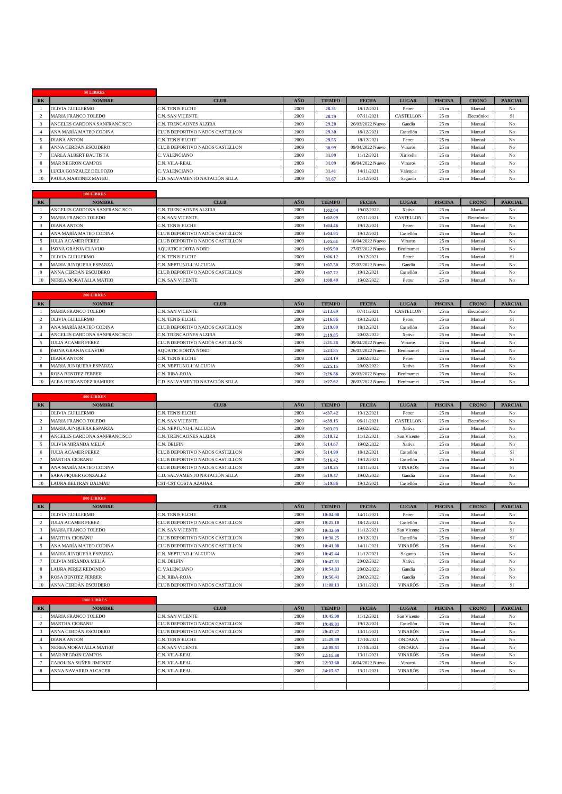|       | 50 LIBRES                    |                                |      |               |                  |                  |                 |              |                |
|-------|------------------------------|--------------------------------|------|---------------|------------------|------------------|-----------------|--------------|----------------|
| $R$ K | <b>NOMBRE</b>                | <b>CLUB</b>                    | AÑO  | <b>TIEMPO</b> | <b>FECHA</b>     | <b>LUGAR</b>     | <b>PISCINA</b>  | <b>CRONO</b> | <b>PARCIAL</b> |
|       | <b>OLIVIA GUILLERMO</b>      | <b>C.N. TENIS ELCHE</b>        | 2009 | 28.31         | 18/12/2021       | Petrer           | 25 <sub>m</sub> | Manual       | No             |
|       | <b>MARIA FRANCO TOLEDO</b>   | C.N. SAN VICENTE               | 2009 | 28.79         | 07/11/2021       | <b>CASTELLON</b> | 25 <sub>m</sub> | Electrónico  | Sí             |
|       | ANGELES CARDONA SANFRANCISCO | C.N. TRENCAONES ALZIRA         | 2009 | 29.28         | 26/03/2022 Nuevo | Gandia           | 25 <sub>m</sub> | Manual       | No             |
|       | ANA MARÍA MATEO CODINA       | CLUB DEPORTIVO NADOS CASTELLON | 2009 | 29.30         | 18/12/2021       | Castellón        | 25 <sub>m</sub> | Manual       | No             |
|       | <b>DIANA ANTON</b>           | C.N. TENIS ELCHE               | 2009 | 29.55         | 18/12/2021       | Petrer           | 25 <sub>m</sub> | Manual       | No             |
|       | ANNA CERDÁN ESCUDERO         | CLUB DEPORTIVO NADOS CASTELLON | 2009 | 30.99         | 09/04/2022 Nuevo | Vinaros          | 25 <sub>m</sub> | Manual       | No             |
|       | <b>CARLA ALBERT BAUTISTA</b> | C. VALENCIANO                  | 2009 | 31.09         | 11/12/2021       | Xirivella        | 25 <sub>m</sub> | Manual       | No             |
|       | <b>MAR NEGRON CAMPOS</b>     | C.N. VILA-REAL                 | 2009 | 31.09         | 09/04/2022 Nuevo | <b>Vinaros</b>   | 25 <sub>m</sub> | Manual       | No             |
|       | LUCIA GONZALEZ DEL POZO      | C. VALENCIANO                  | 2009 | 31.41         | 14/11/2021       | Valencia         | 25 <sub>m</sub> | Manual       | No             |
| 10    | PAULA MARTINEZ MATEU         | C.D. SALVAMENTO NATACIÓN SILLA | 2009 | 31.67         | 11/12/2021       | Sagunto          | 25 <sub>m</sub> | Manual       | N <sub>o</sub> |

|           | 100 LIBRES                    |                                |      |               |                  |              |                 |              |                |
|-----------|-------------------------------|--------------------------------|------|---------------|------------------|--------------|-----------------|--------------|----------------|
| <b>RK</b> | <b>NOMBRE</b>                 | <b>CLUB</b>                    | AÑO  | <b>TIEMPO</b> | <b>FECHA</b>     | <b>LUGAR</b> | <b>PISCINA</b>  | <b>CRONO</b> | <b>PARCIAL</b> |
|           | ANGELES CARDONA SANFRANCISCO  | C.N. TRENCAONES ALZIRA         | 2009 | 1:02.04       | 19/02/2022       | Xativa       | 25 <sub>m</sub> | Manual       | No             |
|           | <b>MARIA FRANCO TOLEDO</b>    | <b>C.N. SAN VICENTE</b>        | 2009 | 1:02.09       | 07/11/2021       | CASTELLON    | 25 <sub>m</sub> | Electrónico  | No             |
|           | <b>DIANA ANTON</b>            | <b>C.N. TENIS ELCHE</b>        | 2009 | 1:04.46       | 19/12/2021       | Petrer       | 25 <sub>m</sub> | Manual       | No             |
|           | ANA MARÍA MATEO CODINA        | CLUB DEPORTIVO NADOS CASTELLON | 2009 | 1:04.95       | 19/12/2021       | Castellón    | 25 <sub>m</sub> | Manual       | No             |
|           | <b>IULIA ACAMER PEREZ</b>     | CLUB DEPORTIVO NADOS CASTELLON | 2009 | 1:05.61       | 10/04/2022 Nuevo | Vinaros      | 25 <sub>m</sub> | Manual       | No             |
|           | ISONA GRANJA CLAVIJO          | <b>AOUATIC HORTA NORD</b>      | 2009 | 1:05.90       | 27/03/2022 Nuevo | Benimamet    | 25 <sub>m</sub> | Manual       | No             |
|           | OLIVIA GUILLERMO              | <b>C.N. TENIS ELCHE</b>        | 2009 | 1:06.12       | 19/12/2021       | Petrer       | 25 <sub>m</sub> | Manual       | Sí             |
|           | <b>MARIA JUNOUERA ESPARZA</b> | C.N. NEPTUNO-L'ALCUDIA         | 2009 | 1:07.50       | 27/03/2022 Nuevo | Gandia       | 25 <sub>m</sub> | Manual       | No             |
|           | ANNA CERDÁN ESCUDERO          | CLUB DEPORTIVO NADOS CASTELLON | 2009 | 1:07.72       | 19/12/2021       | Castellón    | 25 <sub>m</sub> | Manual       | No             |
| 10        | NEREA MORATALLA MATEO         | <b>C.N. SAN VICENTE</b>        | 2009 | 1:08.40       | 19/02/2022       | Petrer       | 25 <sub>m</sub> | Manual       | No             |

|           | <b>200 LIBRES</b>             |                                |      |               |                  |              |                 |              |                |
|-----------|-------------------------------|--------------------------------|------|---------------|------------------|--------------|-----------------|--------------|----------------|
| <b>RK</b> | <b>NOMBRE</b>                 | <b>CLUB</b>                    | AÑO  | <b>TIEMPO</b> | <b>FECHA</b>     | <b>LUGAR</b> | <b>PISCINA</b>  | <b>CRONO</b> | <b>PARCIAL</b> |
|           | <b>MARIA FRANCO TOLEDO</b>    | C.N. SAN VICENTE               | 2009 | 2:13.69       | 07/11/2021       | CASTELLON    | 25 <sub>m</sub> | Electrónico  | No             |
|           | OLIVIA GUILLERMO              | C.N. TENIS ELCHE               | 2009 | 2:16.86       | 19/12/2021       | Petrer       | 25 <sub>m</sub> | Manual       | Sí             |
|           | ANA MARÍA MATEO CODINA        | CLUB DEPORTIVO NADOS CASTELLON | 2009 | 2:19.00       | 18/12/2021       | Castellón    | 25 <sub>m</sub> | Manual       | No             |
|           | ANGELES CARDONA SANFRANCISCO  | C.N. TRENCAONES ALZIRA         | 2009 | 2:19.85       | 20/02/2022       | Xativa       | 25 <sub>m</sub> | Manual       | No             |
|           | <b>JULIA ACAMER PEREZ</b>     | CLUB DEPORTIVO NADOS CASTELLON | 2009 | 2:21.28       | 09/04/2022 Nuevo | Vinaros      | 25 <sub>m</sub> | Manual       | No             |
|           | <b>ISONA GRANJA CLAVIJO</b>   | <b>AOUATIC HORTA NORD</b>      | 2009 | 2:23.85       | 26/03/2022 Nuevo | Benimamet    | 25 <sub>m</sub> | Manual       | No             |
|           | <b>DIANA ANTON</b>            | C.N. TENIS ELCHE               | 2009 | 2:24.19       | 20/02/2022       | Petrer       | 25 <sub>m</sub> | Manual       | No             |
|           | <b>MARIA JUNOUERA ESPARZA</b> | C.N. NEPTUNO-L'ALCUDIA         | 2009 | 2:25.15       | 20/02/2022       | Xativa       | 25 <sub>m</sub> | Manual       | No             |
|           | <b>ROSA BENITEZ FERRER</b>    | C.N. RIBA-ROJA                 | 2009 | 2:26.86       | 26/03/2022 Nuevo | Benimamet    | 25 <sub>m</sub> | Manual       | No             |
|           | ALBA HERNANDEZ RAMIREZ        | C.D. SALVAMENTO NATACIÓN SILLA | 2009 | 2:27.62       | 26/03/2022 Nuevo | Benimamet    | 25 <sub>m</sub> | Manual       | No             |

|       | 400 LIBRES                    |                                       |      |               |              |                |                 |              |                |
|-------|-------------------------------|---------------------------------------|------|---------------|--------------|----------------|-----------------|--------------|----------------|
| $R$ K | <b>NOMBRE</b>                 | <b>CLUB</b>                           | AÑO  | <b>TIEMPO</b> | <b>FECHA</b> | <b>LUGAR</b>   | <b>PISCINA</b>  | <b>CRONO</b> | <b>PARCIAL</b> |
|       | OLIVIA GUILLERMO              | <b>C.N. TENIS ELCHE</b>               | 2009 | 4:37.42       | 19/12/2021   | Petrer         | 25 <sub>m</sub> | Manual       | No             |
|       | <b>MARIA FRANCO TOLEDO</b>    | <b>C.N. SAN VICENTE</b>               | 2009 | 4:39.15       | 06/11/2021   | CASTELLON      | 25 <sub>m</sub> | Electrónico  | No             |
|       | <b>MARIA JUNOUERA ESPARZA</b> | C.N. NEPTUNO-L'ALCUDIA                | 2009 | 5:03.03       | 19/02/2022   | Xativa         | 25 <sub>m</sub> | Manual       | No             |
|       | ANGELES CARDONA SANFRANCISCO  | <b>C.N. TRENCAONES ALZIRA</b>         | 2009 | 5:10.72       | 11/12/2021   | San Vicente    | 25 <sub>m</sub> | Manual       | No             |
|       | OLIVIA MIRANDA MELIÁ          | C.N. DELFIN                           | 2009 | 5:14.67       | 19/02/2022   | Xativa         | 25 <sub>m</sub> | Manual       | No             |
|       | <b>JULIA ACAMER PEREZ</b>     | <b>CLUB DEPORTIVO NADOS CASTELLON</b> | 2009 | 5:14.99       | 18/12/2021   | Castellón      | 25 <sub>m</sub> | Manual       | Sí             |
|       | <b>MARTHA CIOBANU</b>         | CLUB DEPORTIVO NADOS CASTELLON        | 2009 | 5:16.42       | 19/12/2021   | Castellón      | 25 <sub>m</sub> | Manual       | Sí             |
|       | ANA MARÍA MATEO CODINA        | <b>CLUB DEPORTIVO NADOS CASTELLON</b> | 2009 | 5:18.25       | 14/11/2021   | <b>VINARÓS</b> | 25 <sub>m</sub> | Manual       | Sí             |
|       | <b>SARA PIOUER GONZALEZ</b>   | C.D. SALVAMENTO NATACIÓN SILLA        | 2009 | 5:19.47       | 19/02/2022   | Gandia         | 25 <sub>m</sub> | Manual       | No             |
| 10    | LAURA BELTRAN DALMAU          | <b>CST-CST COSTA AZAHAR</b>           | 2009 | 5:19.86       | 19/12/2021   | Castellón      | 25 <sub>m</sub> | Manual       | No             |

|           | 800 LIBRES                    |                                       |      |               |              |                |                 |              |                |
|-----------|-------------------------------|---------------------------------------|------|---------------|--------------|----------------|-----------------|--------------|----------------|
| <b>RK</b> | <b>NOMBRE</b>                 | <b>CLUB</b>                           | AÑO  | <b>TIEMPO</b> | <b>FECHA</b> | <b>LUGAR</b>   | <b>PISCINA</b>  | <b>CRONO</b> | <b>PARCIAL</b> |
|           | OLIVIA GUILLERMO              | <b>C.N. TENIS ELCHE</b>               | 2009 | 10:04.90      | 14/11/2021   | Petrer         | 25 <sub>m</sub> | Manual       | No             |
|           | <b>JULIA ACAMER PEREZ</b>     | CLUB DEPORTIVO NADOS CASTELLON        | 2009 | 10:25.10      | 18/12/2021   | Castellón      | 25 <sub>m</sub> | Manual       | No             |
|           | <b>MARIA FRANCO TOLEDO</b>    | C.N. SAN VICENTE                      | 2009 | 10:32.09      | 11/12/2021   | San Vicente    | 25 <sub>m</sub> | Manual       | Sí             |
|           | <b>MARTHA CIOBANU</b>         | CLUB DEPORTIVO NADOS CASTELLON        | 2009 | 10:38.25      | 19/12/2021   | Castellón      | 25 <sub>m</sub> | Manual       | Sí             |
|           | ANA MARÍA MATEO CODINA        | <b>CLUB DEPORTIVO NADOS CASTELLON</b> | 2009 | 10:41.08      | 14/11/2021   | <b>VINARÓS</b> | 25 <sub>m</sub> | Manual       | No             |
|           | <b>MARIA JUNOUERA ESPARZA</b> | C.N. NEPTUNO-L'ALCUDIA                | 2009 | 10:45.44      | 11/12/2021   | Sagunto        | 25 <sub>m</sub> | Manual       | No             |
|           | OLIVIA MIRANDA MELIÁ          | C.N. DELFIN                           | 2009 | 10:47.81      | 20/02/2022   | Xativa         | 25 <sub>m</sub> | Manual       | No             |
|           | <b>LAURA PEREZ REDONDO</b>    | C. VALENCIANO                         | 2009 | 10:54.83      | 20/02/2022   | Gandia         | 25 <sub>m</sub> | Manual       | No             |
|           | <b>ROSA BENITEZ FERRER</b>    | C.N. RIBA-ROJA                        | 2009 | 10:56.41      | 20/02/2022   | Gandia         | 25 <sub>m</sub> | Manual       | No             |
| 10        | ANNA CERDÁN ESCUDERO          | CLUB DEPORTIVO NADOS CASTELLON        | 2009 | 11:08.13      | 13/11/2021   | <b>VINARÓS</b> | 25 <sub>m</sub> | Manual       | Sí             |

|           | <b>1500 LIBRES</b>         |                                |      |               |                  |                |                 |              |                |
|-----------|----------------------------|--------------------------------|------|---------------|------------------|----------------|-----------------|--------------|----------------|
| <b>RK</b> | <b>NOMBRE</b>              | <b>CLUB</b>                    | AÑO  | <b>TIEMPO</b> | <b>FECHA</b>     | <b>LUGAR</b>   | <b>PISCINA</b>  | <b>CRONO</b> | <b>PARCIAL</b> |
|           | <b>MARIA FRANCO TOLEDO</b> | C.N. SAN VICENTE               | 2009 | 19:45.90      | 11/12/2021       | San Vicente    | 25 <sub>m</sub> | Manual       | No             |
|           | <b>MARTHA CIOBANU</b>      | CLUB DEPORTIVO NADOS CASTELLON | 2009 | 19:49.01      | 19/12/2021       | Castellón      | 25 <sub>m</sub> | Manual       | No             |
|           | ANNA CERDÁN ESCUDERO       | CLUB DEPORTIVO NADOS CASTELLON | 2009 | 20:47.27      | 13/11/2021       | <b>VINARÓS</b> | 25 <sub>m</sub> | Manual       | No             |
|           | <b>DIANA ANTON</b>         | <b>C.N. TENIS ELCHE</b>        | 2009 | 21:29.89      | 17/10/2021       | <b>ONDARA</b>  | 25 <sub>m</sub> | Manual       | N <sub>o</sub> |
|           | NEREA MORATALLA MATEO      | C.N. SAN VICENTE               | 2009 | 22:09.81      | 17/10/2021       | <b>ONDARA</b>  | 25 <sub>m</sub> | Manual       | No             |
|           | <b>MAR NEGRON CAMPOS</b>   | C.N. VILA-REAL                 | 2009 | 22:15.68      | 13/11/2021       | <b>VINARÓS</b> | 25 <sub>m</sub> | Manual       | No             |
|           | CAROLINA SUÑER JIMENEZ     | C.N. VILA-REAL                 | 2009 | 22:33.60      | 10/04/2022 Nuevo | Vinaros        | 25 <sub>m</sub> | Manual       | N <sub>o</sub> |
|           | ANNA NAVARRO ALCACER       | C.N. VILA-REAL                 | 2009 | 24:17.87      | 13/11/2021       | <b>VINARÓS</b> | 25 <sub>m</sub> | Manual       | No             |
|           |                            |                                |      |               |                  |                |                 |              |                |
|           |                            |                                |      |               |                  |                |                 |              |                |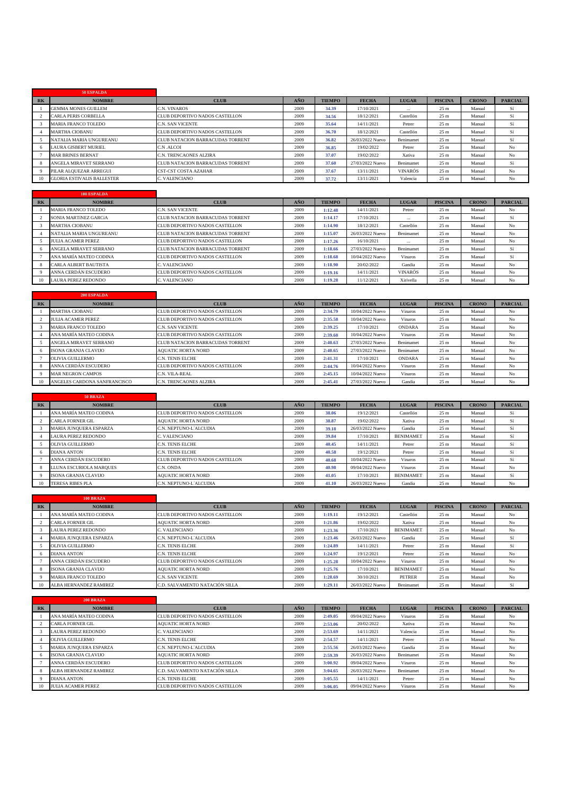|       | 50 ESPALDA                        |                                         |      |               |                  |                |                 |              |                |
|-------|-----------------------------------|-----------------------------------------|------|---------------|------------------|----------------|-----------------|--------------|----------------|
| $R$ K | <b>NOMBRE</b>                     | <b>CLUB</b>                             | AÑO  | <b>TIEMPO</b> | <b>FECHA</b>     | <b>LUGAR</b>   | <b>PISCINA</b>  | <b>CRONO</b> | <b>PARCIAL</b> |
|       | <b>GEMMA MONES GUILLEM</b>        | C.N. VINAROS                            | 2009 | 34.39         | 17/10/2021       | $\cdots$       | 25 <sub>m</sub> | Manual       | Sí             |
|       | <b>CARLA PERIS CORBELLA</b>       | CLUB DEPORTIVO NADOS CASTELLON          | 2009 | 34.56         | 18/12/2021       | Castellón      | 25 <sub>m</sub> | Manual       | Sí             |
|       | <b>MARIA FRANCO TOLEDO</b>        | <b>C.N. SAN VICENTE</b>                 | 2009 | 35.64         | 14/11/2021       | Petrer         | 25 <sub>m</sub> | Manual       | Sí             |
|       | <b>MARTHA CIOBANU</b>             | CLUB DEPORTIVO NADOS CASTELLON          | 2009 | 36.70         | 18/12/2021       | Castellón      | 25 <sub>m</sub> | Manual       | Sí             |
|       | NATALIA MARIA UNGUREANU           | <b>CLUB NATACION BARRACUDAS TORRENT</b> | 2009 | 36.82         | 26/03/2022 Nuevo | Benimamet      | 25 <sub>m</sub> | Manual       | Sí             |
|       | <b>LAURA GISBERT MURIEL</b>       | C.N.ALCOI                               | 2009 | 36.85         | 19/02/2022       | Petrer         | 25 <sub>m</sub> | Manual       | N <sub>o</sub> |
|       | <b>MAR BRINES BERNAT</b>          | C.N. TRENCAONES ALZIRA                  | 2009 | 37.07         | 19/02/2022       | Xativa         | 25 <sub>m</sub> | Manual       | N <sub>o</sub> |
|       | ANGELA MIRAVET SERRANO            | CLUB NATACION BARRACUDAS TORRENT        | 2009 | 37.60         | 27/03/2022 Nuevo | Benimamet      | 25 <sub>m</sub> | Manual       | Sí             |
|       | PILAR ALQUEZAR ARREGUI            | <b>CST-CST COSTA AZAHAR</b>             | 2009 | 37.67         | 13/11/2021       | <b>VINARÓS</b> | 25 <sub>m</sub> | Manual       | N <sub>o</sub> |
| 10    | <b>GLORIA ESTIVALIS BALLESTER</b> | C. VALENCIANO                           | 2009 | 37.72         | 13/11/2021       | Valencia       | 25 <sub>m</sub> | Manual       | N <sub>o</sub> |

|           | 100 ESPALDA                  |                                  |      |               |                  |                |                 |              |                |
|-----------|------------------------------|----------------------------------|------|---------------|------------------|----------------|-----------------|--------------|----------------|
| <b>RK</b> | <b>NOMBRE</b>                | <b>CLUB</b>                      | AÑO  | <b>TIEMPO</b> | <b>FECHA</b>     | <b>LUGAR</b>   | <b>PISCINA</b>  | <b>CRONO</b> | <b>PARCIAL</b> |
|           | MARIA FRANCO TOLEDO          | C.N. SAN VICENTE                 | 2009 | 1:12.48       | 14/11/2021       | Petrer         | 25 <sub>m</sub> | Manual       | No             |
|           | SONIA MARTINEZ GARCÍA        | CLUB NATACION BARRACUDAS TORRENT | 2009 | 1:14.17       | 17/10/2021       | $\cdots$       | 25 <sub>m</sub> | Manual       | Sí             |
|           | <b>MARTHA CIOBANU</b>        | CLUB DEPORTIVO NADOS CASTELLON   | 2009 | 1:14.90       | 18/12/2021       | Castellón      | 25 <sub>m</sub> | Manual       | No             |
|           | NATALIA MARIA UNGUREANU      | CLUB NATACION BARRACUDAS TORRENT | 2009 | 1:15.07       | 26/03/2022 Nuevo | Benimamet      | 25 <sub>m</sub> | Manual       | No             |
|           | <b>JULIA ACAMER PEREZ</b>    | CLUB DEPORTIVO NADOS CASTELLON   | 2009 | 1:17.26       | 16/10/2021       | $\cdots$       | 25 <sub>m</sub> | Manual       | No             |
|           | ANGELA MIRAVET SERRANO       | CLUB NATACION BARRACUDAS TORRENT | 2009 | 1:18.66       | 27/03/2022 Nuevo | Benimamet      | 25 <sub>m</sub> | Manual       | Sí             |
|           | ANA MARÍA MATEO CODINA       | CLUB DEPORTIVO NADOS CASTELLON   | 2009 | 1:18.68       | 10/04/2022 Nuevo | Vinaros        | 25 <sub>m</sub> | Manual       | Sí             |
|           | <b>CARLA ALBERT BAUTISTA</b> | C. VALENCIANO                    | 2009 | 1:18.90       | 20/02/2022       | Gandia         | 25 <sub>m</sub> | Manual       | No             |
|           | ANNA CERDÁN ESCUDERO         | CLUB DEPORTIVO NADOS CASTELLON   | 2009 | 1:19.16       | 14/11/2021       | <b>VINARÓS</b> | 25 <sub>m</sub> | Manual       | No             |
|           | <b>LAURA PEREZ REDONDO</b>   | C. VALENCIANO                    | 2009 | 1:19.28       | 11/12/2021       | Xirivella      | 25 <sub>m</sub> | Manual       | No             |

|       | <b>200 ESPALDA</b>           |                                  |      |               |                  |                |                 |              |                |
|-------|------------------------------|----------------------------------|------|---------------|------------------|----------------|-----------------|--------------|----------------|
| $R$ K | <b>NOMBRE</b>                | <b>CLUB</b>                      | AÑO  | <b>TIEMPO</b> | <b>FECHA</b>     | <b>LUGAR</b>   | <b>PISCINA</b>  | <b>CRONO</b> | <b>PARCIAL</b> |
|       | <b>MARTHA CIOBANU</b>        | CLUB DEPORTIVO NADOS CASTELLON   | 2009 | 2:34.79       | 10/04/2022 Nuevo | Vinaros        | 25 <sub>m</sub> | Manual       | No             |
|       | <b>IULIA ACAMER PEREZ</b>    | CLUB DEPORTIVO NADOS CASTELLON   | 2009 | 2:35.58       | 10/04/2022 Nuevo | Vinaros        | 25 <sub>m</sub> | Manual       | N <sub>o</sub> |
|       | MARIA FRANCO TOLEDO          | C.N. SAN VICENTE                 | 2009 | 2:39.25       | 17/10/2021       | <b>ONDARA</b>  | 25 <sub>m</sub> | Manual       | N <sub>o</sub> |
|       | ANA MARÍA MATEO CODINA       | CLUB DEPORTIVO NADOS CASTELLON   | 2009 | 2:39.60       | 10/04/2022 Nuevo | Vinaros        | 25 <sub>m</sub> | Manual       | No             |
|       | ANGELA MIRAVET SERRANO       | CLUB NATACION BARRACUDAS TORRENT | 2009 | 2:40.63       | 27/03/2022 Nuevo | Benimamet      | 25 <sub>m</sub> | Manual       | No             |
|       | <b>ISONA GRANJA CLAVIJO</b>  | <b>AOUATIC HORTA NORD</b>        | 2009 | 2:40.65       | 27/03/2022 Nuevo | Benimamet      | 25 <sub>m</sub> | Manual       | N <sub>o</sub> |
|       | <b>OLIVIA GUILLERMO</b>      | C.N. TENIS ELCHE                 | 2009 | 2:41.31       | 17/10/2021       | ONDARA         | 25 <sub>m</sub> | Manual       | No             |
|       | ANNA CERDÁN ESCUDERO         | CLUB DEPORTIVO NADOS CASTELLON   | 2009 | 2:44.76       | 10/04/2022 Nuevo | Vinaros        | 25 <sub>m</sub> | Manual       | N <sub>o</sub> |
|       | <b>MAR NEGRON CAMPOS</b>     | C.N. VILA-REAL                   | 2009 | 2:45.15       | 10/04/2022 Nuevo | <b>Vinaros</b> | 25 <sub>m</sub> | Manual       | N <sub>o</sub> |
|       | ANGELES CARDONA SANFRANCISCO | C.N. TRENCAONES ALZIRA           | 2009 | 2:45.41       | 27/03/2022 Nuevo | Gandia         | 25 <sub>m</sub> | Manual       | No             |

|                | 50 BRAZA                    |                                |      |               |                  |                  |                 |              |                |
|----------------|-----------------------------|--------------------------------|------|---------------|------------------|------------------|-----------------|--------------|----------------|
| R <sub>K</sub> | <b>NOMBRE</b>               | <b>CLUB</b>                    | AÑO  | <b>TIEMPO</b> | <b>FECHA</b>     | <b>LUGAR</b>     | <b>PISCINA</b>  | <b>CRONO</b> | <b>PARCIAL</b> |
|                | ANA MARÍA MATEO CODINA      | CLUB DEPORTIVO NADOS CASTELLON | 2009 | 38.06         | 19/12/2021       | Castellón        | 25 <sub>m</sub> | Manual       | Sí             |
|                | CARLA FORNER GIL            | <b>AOUATIC HORTA NORD</b>      | 2009 | 38.87         | 19/02/2022       | Xativa           | 25 <sub>m</sub> | Manual       | Sí             |
|                | MARIA JUNQUERA ESPARZA      | C.N. NEPTUNO-L'ALCUDIA         | 2009 | 39.18         | 26/03/2022 Nuevo | Gandia           | 25 <sub>m</sub> | Manual       | Sí             |
|                | <b>LAURA PEREZ REDONDO</b>  | C. VALENCIANO                  | 2009 | 39.84         | 17/10/2021       | <b>BENIMAMET</b> | 25 <sub>m</sub> | Manual       | Sí             |
|                | <b>OLIVIA GUILLERMO</b>     | C.N. TENIS ELCHE               | 2009 | 40.45         | 14/11/2021       | Petrer           | 25 <sub>m</sub> | Manual       | Sí             |
| -6             | <b>DIANA ANTON</b>          | C.N. TENIS ELCHE               | 2009 | 40.58         | 19/12/2021       | Petrer           | 25 <sub>m</sub> | Manual       | Sí             |
|                | ANNA CERDÁN ESCUDERO        | CLUB DEPORTIVO NADOS CASTELLON | 2009 | 40.68         | 10/04/2022 Nuevo | Vinaros          | 25 <sub>m</sub> | Manual       | Sí             |
|                | LLUNA ESCURIOLA MAROUES     | C.N. ONDA                      | 2009 | 40.98         | 09/04/2022 Nuevo | Vinaros          | 25 <sub>m</sub> | Manual       | No             |
|                | <b>ISONA GRANJA CLAVIJO</b> | <b>AOUATIC HORTA NORD</b>      | 2009 | 41.05         | 17/10/2021       | <b>BENIMAMET</b> | 25 <sub>m</sub> | Manual       | Sí             |
| 10             | <b>TERESA RIBES PLA</b>     | C.N. NEPTUNO-L'ALCUDIA         | 2009 | 41.10         | 26/03/2022 Nuevo | Gandia           | 25 <sub>m</sub> | Manual       | No             |

|           | <b>100 BRAZA</b>              |                                |      |               |                  |                  |                 |              |                |
|-----------|-------------------------------|--------------------------------|------|---------------|------------------|------------------|-----------------|--------------|----------------|
| <b>RK</b> | <b>NOMBRE</b>                 | <b>CLUB</b>                    | AÑO  | <b>TIEMPO</b> | <b>FECHA</b>     | <b>LUGAR</b>     | <b>PISCINA</b>  | <b>CRONO</b> | <b>PARCIAL</b> |
|           | ANA MARÍA MATEO CODINA        | CLUB DEPORTIVO NADOS CASTELLON | 2009 | 1:19.11       | 19/12/2021       | Castellón        | 25 <sub>m</sub> | Manual       | No             |
|           | <b>CARLA FORNER GIL</b>       | <b>AOUATIC HORTA NORD</b>      | 2009 | 1:21.86       | 19/02/2022       | Xativa           | 25 <sub>m</sub> | Manual       | No             |
|           | <b>LAURA PEREZ REDONDO</b>    | C. VALENCIANO                  | 2009 | 1:23.36       | 17/10/2021       | <b>BENIMAMET</b> | 25 <sub>m</sub> | Manual       | No             |
|           | <b>MARIA JUNOUERA ESPARZA</b> | C.N. NEPTUNO-L'ALCUDIA         | 2009 | 1:23.46       | 26/03/2022 Nuevo | Gandia           | 25 <sub>m</sub> | Manual       | Sí             |
|           | <b>OLIVIA GUILLERMO</b>       | <b>C.N. TENIS ELCHE</b>        | 2009 | 1:24.89       | 14/11/2021       | Petrer           | 25 <sub>m</sub> | Manual       | Sí             |
|           | <b>DIANA ANTON</b>            | <b>C.N. TENIS ELCHE</b>        | 2009 | 1:24.97       | 19/12/2021       | Petrer           | 25 <sub>m</sub> | Manual       | No             |
|           | ANNA CERDÁN ESCUDERO          | CLUB DEPORTIVO NADOS CASTELLON | 2009 | 1:25.28       | 10/04/2022 Nuevo | Vinaros          | 25 <sub>m</sub> | Manual       | No             |
|           | ISONA GRANJA CLAVIJO          | <b>AOUATIC HORTA NORD</b>      | 2009 | 1:25.76       | 17/10/2021       | <b>BENIMAMET</b> | 25 <sub>m</sub> | Manual       | No             |
|           | <b>MARIA FRANCO TOLEDO</b>    | C.N. SAN VICENTE               | 2009 | 1:28.69       | 30/10/2021       | <b>PETRER</b>    | 25 <sub>m</sub> | Manual       | No             |
| 10        | ALBA HERNANDEZ RAMIREZ        | C.D. SALVAMENTO NATACIÓN SILLA | 2009 | 1:29.11       | 26/03/2022 Nuevo | Benimamet        | 25 <sub>m</sub> | Manual       | Sí             |

|           | <b>200 BRAZA</b>              |                                |      |               |                  |                |                 |              |                |
|-----------|-------------------------------|--------------------------------|------|---------------|------------------|----------------|-----------------|--------------|----------------|
| <b>RK</b> | <b>NOMBRE</b>                 | <b>CLUB</b>                    | AÑO  | <b>TIEMPO</b> | <b>FECHA</b>     | <b>LUGAR</b>   | <b>PISCINA</b>  | <b>CRONO</b> | <b>PARCIAL</b> |
|           | ANA MARÍA MATEO CODINA        | CLUB DEPORTIVO NADOS CASTELLON | 2009 | 2:49.05       | 09/04/2022 Nuevo | Vinaros        | 25 <sub>m</sub> | Manual       | No             |
|           | <b>CARLA FORNER GIL</b>       | <b>AOUATIC HORTA NORD</b>      | 2009 | 2:53.06       | 20/02/2022       | Xativa         | 25 <sub>m</sub> | Manual       | N <sub>o</sub> |
|           | <b>LAURA PEREZ REDONDO</b>    | C. VALENCIANO                  | 2009 | 2:53.69       | 14/11/2021       | Valencia       | 25 <sub>m</sub> | Manual       | No             |
|           | OLIVIA GUILLERMO              | <b>C.N. TENIS ELCHE</b>        | 2009 | 2:54.57       | 14/11/2021       | Petrer         | 25 <sub>m</sub> | Manual       | N <sub>o</sub> |
|           | <b>MARIA JUNOUERA ESPARZA</b> | C.N. NEPTUNO-L'ALCUDIA         | 2009 | 2:55.56       | 26/03/2022 Nuevo | Gandia         | 25 <sub>m</sub> | Manual       | N <sub>o</sub> |
|           | <b>ISONA GRANJA CLAVIJO</b>   | <b>AOUATIC HORTA NORD</b>      | 2009 | 2:59.39       | 26/03/2022 Nuevo | Benimamet      | 25 <sub>m</sub> | Manual       | N <sub>o</sub> |
|           | ANNA CERDÁN ESCUDERO          | CLUB DEPORTIVO NADOS CASTELLON | 2009 | 3:00.92       | 09/04/2022 Nuevo | <b>Vinaros</b> | 25 <sub>m</sub> | Manual       | No             |
|           | ALBA HERNANDEZ RAMIREZ        | C.D. SALVAMENTO NATACIÓN SILLA | 2009 | 3:04.65       | 26/03/2022 Nuevo | Benimamet      | 25 <sub>m</sub> | Manual       | No             |
|           | <b>DIANA ANTON</b>            | <b>C.N. TENIS ELCHE</b>        | 2009 | 3:05.55       | 14/11/2021       | Petrer         | 25 <sub>m</sub> | Manual       | N <sub>o</sub> |
| 10        | <b>JULIA ACAMER PEREZ</b>     | CLUB DEPORTIVO NADOS CASTELLON | 2009 | 3:06.05       | 09/04/2022 Nuevo | Vinaros        | 25 <sub>m</sub> | Manual       | N <sub>o</sub> |